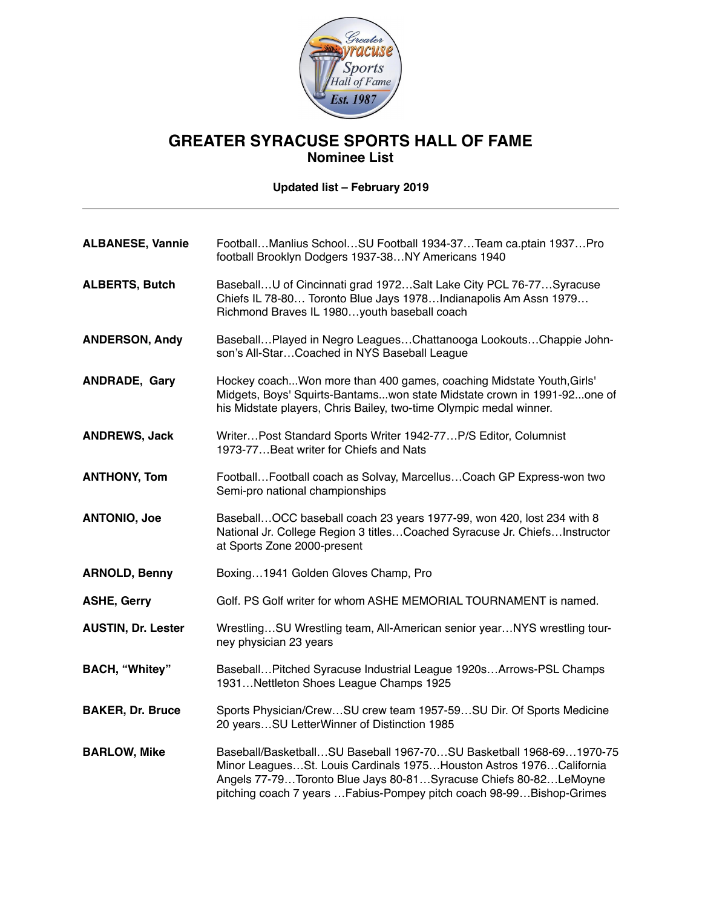

# **GREATER SYRACUSE SPORTS HALL OF FAME Nominee List**

**Updated list – February 2019**

| <b>ALBANESE, Vannie</b>   | FootballManlius SchoolSU Football 1934-37Team ca.ptain 1937Pro<br>football Brooklyn Dodgers 1937-38NY Americans 1940                                                                                                                                                                 |
|---------------------------|--------------------------------------------------------------------------------------------------------------------------------------------------------------------------------------------------------------------------------------------------------------------------------------|
| <b>ALBERTS, Butch</b>     | BaseballU of Cincinnati grad 1972Salt Lake City PCL 76-77Syracuse<br>Chiefs IL 78-80 Toronto Blue Jays 1978Indianapolis Am Assn 1979<br>Richmond Braves IL 1980youth baseball coach                                                                                                  |
| <b>ANDERSON, Andy</b>     | BaseballPlayed in Negro LeaguesChattanooga LookoutsChappie John-<br>son's All-StarCoached in NYS Baseball League                                                                                                                                                                     |
| ANDRADE, Gary             | Hockey coach Won more than 400 games, coaching Midstate Youth, Girls'<br>Midgets, Boys' Squirts-Bantamswon state Midstate crown in 1991-92one of<br>his Midstate players, Chris Bailey, two-time Olympic medal winner.                                                               |
| <b>ANDREWS, Jack</b>      | WriterPost Standard Sports Writer 1942-77P/S Editor, Columnist<br>1973-77Beat writer for Chiefs and Nats                                                                                                                                                                             |
| <b>ANTHONY, Tom</b>       | Football Football coach as Solvay, Marcellus Coach GP Express-won two<br>Semi-pro national championships                                                                                                                                                                             |
| <b>ANTONIO, Joe</b>       | Baseball OCC baseball coach 23 years 1977-99, won 420, lost 234 with 8<br>National Jr. College Region 3 titlesCoached Syracuse Jr. ChiefsInstructor<br>at Sports Zone 2000-present                                                                                                   |
| <b>ARNOLD, Benny</b>      | Boxing1941 Golden Gloves Champ, Pro                                                                                                                                                                                                                                                  |
| <b>ASHE, Gerry</b>        | Golf. PS Golf writer for whom ASHE MEMORIAL TOURNAMENT is named.                                                                                                                                                                                                                     |
| <b>AUSTIN, Dr. Lester</b> | WrestlingSU Wrestling team, All-American senior yearNYS wrestling tour-<br>ney physician 23 years                                                                                                                                                                                    |
| <b>BACH, "Whitey"</b>     | Baseball Pitched Syracuse Industrial League 1920s Arrows-PSL Champs<br>1931Nettleton Shoes League Champs 1925                                                                                                                                                                        |
| <b>BAKER, Dr. Bruce</b>   | Sports Physician/CrewSU crew team 1957-59SU Dir. Of Sports Medicine<br>20 yearsSU LetterWinner of Distinction 1985                                                                                                                                                                   |
| <b>BARLOW, Mike</b>       | Baseball/BasketballSU Baseball 1967-70SU Basketball 1968-691970-75<br>Minor LeaguesSt. Louis Cardinals 1975Houston Astros 1976California<br>Angels 77-79Toronto Blue Jays 80-81Syracuse Chiefs 80-82LeMoyne<br>pitching coach 7 years  Fabius-Pompey pitch coach 98-99 Bishop-Grimes |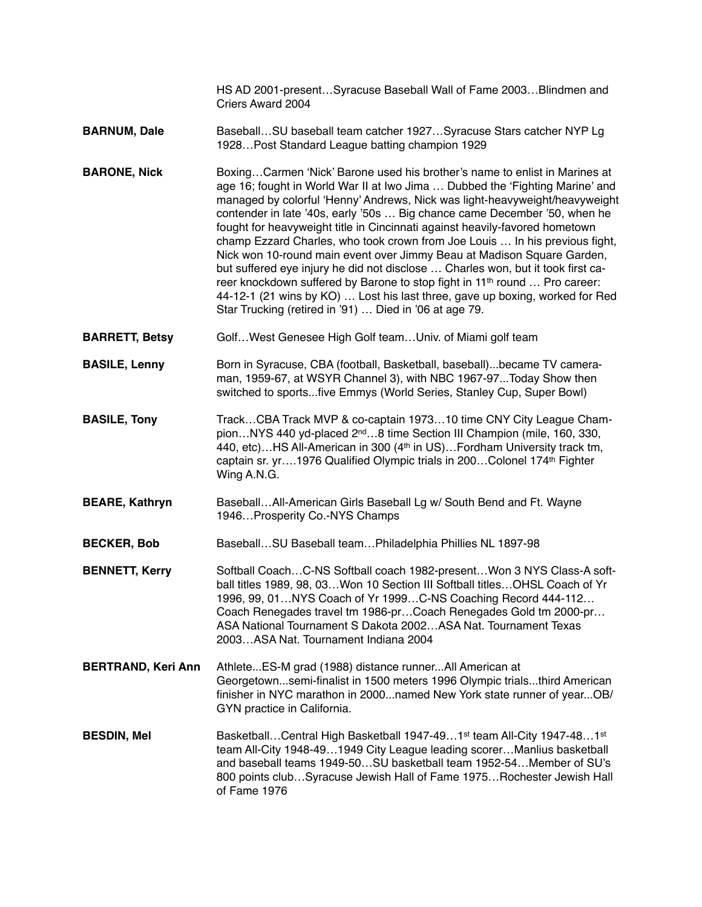HS AD 2001-present…Syracuse Baseball Wall of Fame 2003…Blindmen and Criers Award 2004

- **BARNUM, Dale** Baseball…SU baseball team catcher 1927…Syracuse Stars catcher NYP Lg 1928…Post Standard League batting champion 1929
- **BARONE, Nick** Boxing...Carmen 'Nick' Barone used his brother's name to enlist in Marines at age 16; fought in World War II at Iwo Jima … Dubbed the 'Fighting Marine' and managed by colorful 'Henny' Andrews, Nick was light-heavyweight/heavyweight contender in late '40s, early '50s … Big chance came December '50, when he fought for heavyweight title in Cincinnati against heavily-favored hometown champ Ezzard Charles, who took crown from Joe Louis … In his previous fight, Nick won 10-round main event over Jimmy Beau at Madison Square Garden, but suffered eye injury he did not disclose … Charles won, but it took first career knockdown suffered by Barone to stop fight in 11<sup>th</sup> round ... Pro career: 44-12-1 (21 wins by KO) … Lost his last three, gave up boxing, worked for Red Star Trucking (retired in '91) … Died in '06 at age 79.
- **BARRETT, Betsy** Golf...West Genesee High Golf team...Univ. of Miami golf team
- **BASILE, Lenny** Born in Syracuse, CBA (football, Basketball, baseball)...became TV cameraman, 1959-67, at WSYR Channel 3), with NBC 1967-97...Today Show then switched to sports...five Emmys (World Series, Stanley Cup, Super Bowl)
- **BASILE, Tony** Track...CBA Track MVP & co-captain 1973...10 time CNY City League Champion…NYS 440 yd-placed 2nd…8 time Section III Champion (mile, 160, 330, 440, etc)...HS All-American in 300 (4<sup>th</sup> in US)...Fordham University track tm, captain sr. yr….1976 Qualified Olympic trials in 200…Colonel 174th Fighter Wing A.N.G.
- **BEARE, Kathryn** Baseball…All-American Girls Baseball Lg w/ South Bend and Ft. Wayne 1946…Prosperity Co.-NYS Champs
- **BECKER, Bob** Baseball…SU Baseball team…Philadelphia Phillies NL 1897-98
- **BENNETT, Kerry Softball Coach...C-NS Softball coach 1982-present...Won 3 NYS Class-A soft**ball titles 1989, 98, 03…Won 10 Section III Softball titles…OHSL Coach of Yr 1996, 99, 01…NYS Coach of Yr 1999…C-NS Coaching Record 444-112… Coach Renegades travel tm 1986-pr…Coach Renegades Gold tm 2000-pr… ASA National Tournament S Dakota 2002…ASA Nat. Tournament Texas 2003…ASA Nat. Tournament Indiana 2004
- **BERTRAND, Keri Ann** Athlete...ES-M grad (1988) distance runner...All American at Georgetown...semi-finalist in 1500 meters 1996 Olympic trials...third American finisher in NYC marathon in 2000...named New York state runner of year...OB/ GYN practice in California.
- **BESDIN, Mel** Basketball…Central High Basketball 1947-49…1st team All-City 1947-48…1st team All-City 1948-49…1949 City League leading scorer…Manlius basketball and baseball teams 1949-50…SU basketball team 1952-54…Member of SU's 800 points club…Syracuse Jewish Hall of Fame 1975…Rochester Jewish Hall of Fame 1976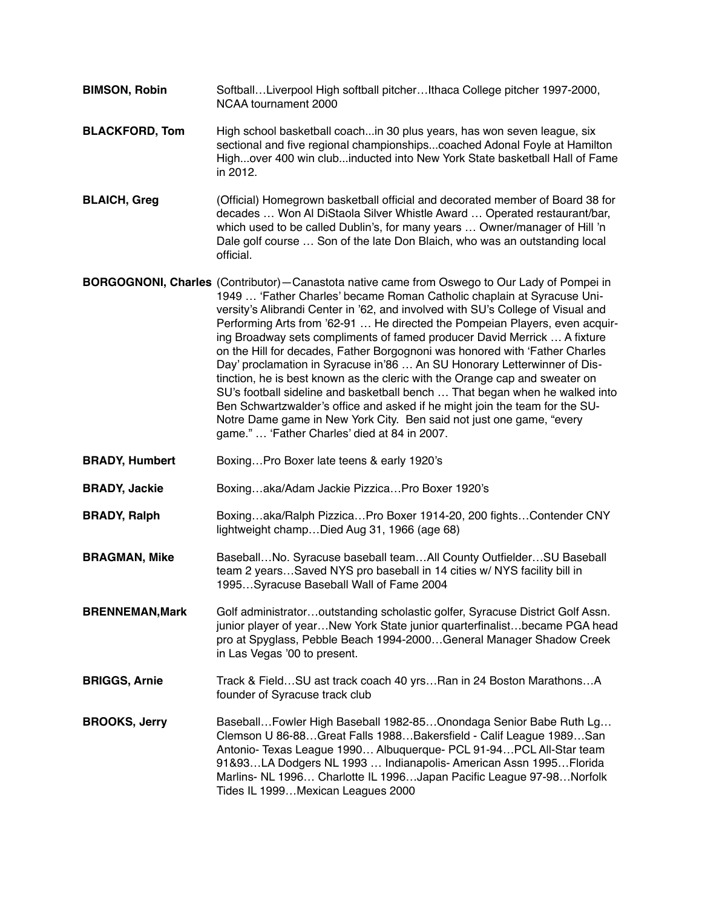- **BIMSON, Robin** Softball…Liverpool High softball pitcher…Ithaca College pitcher 1997-2000, NCAA tournament 2000
- **BLACKFORD, Tom** High school basketball coach...in 30 plus years, has won seven league, six sectional and five regional championships...coached Adonal Foyle at Hamilton High...over 400 win club...inducted into New York State basketball Hall of Fame in 2012.
- **BLAICH, Greg** (Official) Homegrown basketball official and decorated member of Board 38 for decades … Won Al DiStaola Silver Whistle Award … Operated restaurant/bar, which used to be called Dublin's, for many years … Owner/manager of Hill 'n Dale golf course … Son of the late Don Blaich, who was an outstanding local official.

**BORGOGNONI, Charles** (Contributor)—Canastota native came from Oswego to Our Lady of Pompei in 1949 … 'Father Charles' became Roman Catholic chaplain at Syracuse University's Alibrandi Center in '62, and involved with SU's College of Visual and Performing Arts from '62-91 … He directed the Pompeian Players, even acquiring Broadway sets compliments of famed producer David Merrick … A fixture on the Hill for decades, Father Borgognoni was honored with 'Father Charles Day' proclamation in Syracuse in'86 … An SU Honorary Letterwinner of Distinction, he is best known as the cleric with the Orange cap and sweater on SU's football sideline and basketball bench … That began when he walked into Ben Schwartzwalder's office and asked if he might join the team for the SU-Notre Dame game in New York City. Ben said not just one game, "every game." … 'Father Charles' died at 84 in 2007.

- **BRADY, Humbert** Boxing…Pro Boxer late teens & early 1920's
- **BRADY, Jackie** Boxing…aka/Adam Jackie Pizzica…Pro Boxer 1920's
- **BRADY, Ralph** Boxing…aka/Ralph Pizzica…Pro Boxer 1914-20, 200 fights…Contender CNY lightweight champ…Died Aug 31, 1966 (age 68)
- **BRAGMAN, Mike** Baseball…No. Syracuse baseball team…All County Outfielder…SU Baseball team 2 years…Saved NYS pro baseball in 14 cities w/ NYS facility bill in 1995…Syracuse Baseball Wall of Fame 2004
- **BRENNEMAN,Mark** Golf administrator…outstanding scholastic golfer, Syracuse District Golf Assn. junior player of year…New York State junior quarterfinalist…became PGA head pro at Spyglass, Pebble Beach 1994-2000…General Manager Shadow Creek in Las Vegas '00 to present.
- **BRIGGS, Arnie** Track & Field…SU ast track coach 40 yrs…Ran in 24 Boston Marathons…A founder of Syracuse track club
- **BROOKS, Jerry** Baseball...Fowler High Baseball 1982-85...Onondaga Senior Babe Ruth Lg... Clemson U 86-88…Great Falls 1988…Bakersfield - Calif League 1989…San Antonio- Texas League 1990… Albuquerque- PCL 91-94…PCL All-Star team 91&93…LA Dodgers NL 1993 … Indianapolis- American Assn 1995…Florida Marlins- NL 1996… Charlotte IL 1996…Japan Pacific League 97-98…Norfolk Tides IL 1999…Mexican Leagues 2000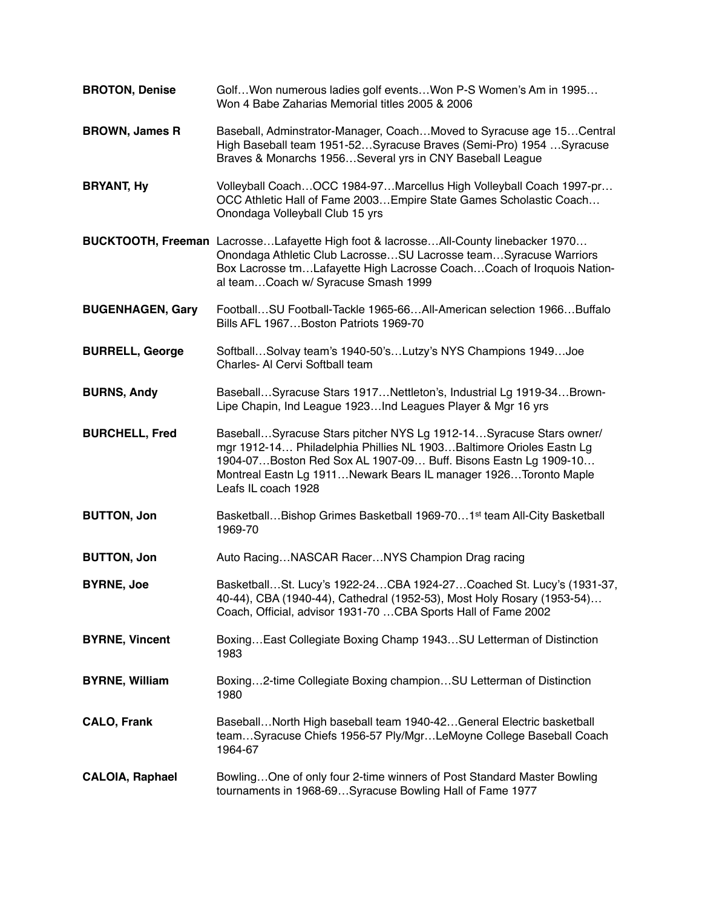| <b>BROTON, Denise</b>   | Golf Won numerous ladies golf events Won P-S Women's Am in 1995<br>Won 4 Babe Zaharias Memorial titles 2005 & 2006                                                                                                                                                                                      |
|-------------------------|---------------------------------------------------------------------------------------------------------------------------------------------------------------------------------------------------------------------------------------------------------------------------------------------------------|
| <b>BROWN, James R</b>   | Baseball, Adminstrator-Manager, CoachMoved to Syracuse age 15Central<br>High Baseball team 1951-52Syracuse Braves (Semi-Pro) 1954 Syracuse<br>Braves & Monarchs 1956Several yrs in CNY Baseball League                                                                                                  |
| <b>BRYANT, Hy</b>       | Volleyball Coach OCC 1984-97 Marcellus High Volleyball Coach 1997-pr<br>OCC Athletic Hall of Fame 2003 Empire State Games Scholastic Coach<br>Onondaga Volleyball Club 15 yrs                                                                                                                           |
|                         | BUCKTOOTH, Freeman LacrosseLafayette High foot & lacrosseAll-County linebacker 1970<br>Onondaga Athletic Club LacrosseSU Lacrosse teamSyracuse Warriors<br>Box Lacrosse tmLafayette High Lacrosse CoachCoach of Iroquois Nation-<br>al teamCoach w/ Syracuse Smash 1999                                 |
| <b>BUGENHAGEN, Gary</b> | FootballSU Football-Tackle 1965-66All-American selection 1966Buffalo<br>Bills AFL 1967Boston Patriots 1969-70                                                                                                                                                                                           |
| <b>BURRELL, George</b>  | SoftballSolvay team's 1940-50'sLutzy's NYS Champions 1949Joe<br>Charles- Al Cervi Softball team                                                                                                                                                                                                         |
| <b>BURNS, Andy</b>      | BaseballSyracuse Stars 1917Nettleton's, Industrial Lg 1919-34Brown-<br>Lipe Chapin, Ind League 1923Ind Leagues Player & Mgr 16 yrs                                                                                                                                                                      |
| <b>BURCHELL, Fred</b>   | BaseballSyracuse Stars pitcher NYS Lg 1912-14Syracuse Stars owner/<br>mgr 1912-14 Philadelphia Phillies NL 1903 Baltimore Orioles Eastn Lg<br>1904-07 Boston Red Sox AL 1907-09 Buff. Bisons Eastn Lg 1909-10<br>Montreal Eastn Lg 1911Newark Bears IL manager 1926Toronto Maple<br>Leafs IL coach 1928 |
| <b>BUTTON, Jon</b>      | Basketball Bishop Grimes Basketball 1969-70 1 <sup>st</sup> team All-City Basketball<br>1969-70                                                                                                                                                                                                         |
| <b>BUTTON, Jon</b>      | Auto RacingNASCAR RacerNYS Champion Drag racing                                                                                                                                                                                                                                                         |
| <b>BYRNE, Joe</b>       | BasketballSt. Lucy's 1922-24CBA 1924-27Coached St. Lucy's (1931-37,<br>40-44), CBA (1940-44), Cathedral (1952-53), Most Holy Rosary (1953-54)<br>Coach, Official, advisor 1931-70  CBA Sports Hall of Fame 2002                                                                                         |
| <b>BYRNE, Vincent</b>   | Boxing East Collegiate Boxing Champ 1943 SU Letterman of Distinction<br>1983                                                                                                                                                                                                                            |
| <b>BYRNE, William</b>   | Boxing2-time Collegiate Boxing championSU Letterman of Distinction<br>1980                                                                                                                                                                                                                              |
| <b>CALO, Frank</b>      | BaseballNorth High baseball team 1940-42General Electric basketball<br>teamSyracuse Chiefs 1956-57 Ply/MgrLeMoyne College Baseball Coach<br>1964-67                                                                                                                                                     |
| <b>CALOIA, Raphael</b>  | BowlingOne of only four 2-time winners of Post Standard Master Bowling<br>tournaments in 1968-69Syracuse Bowling Hall of Fame 1977                                                                                                                                                                      |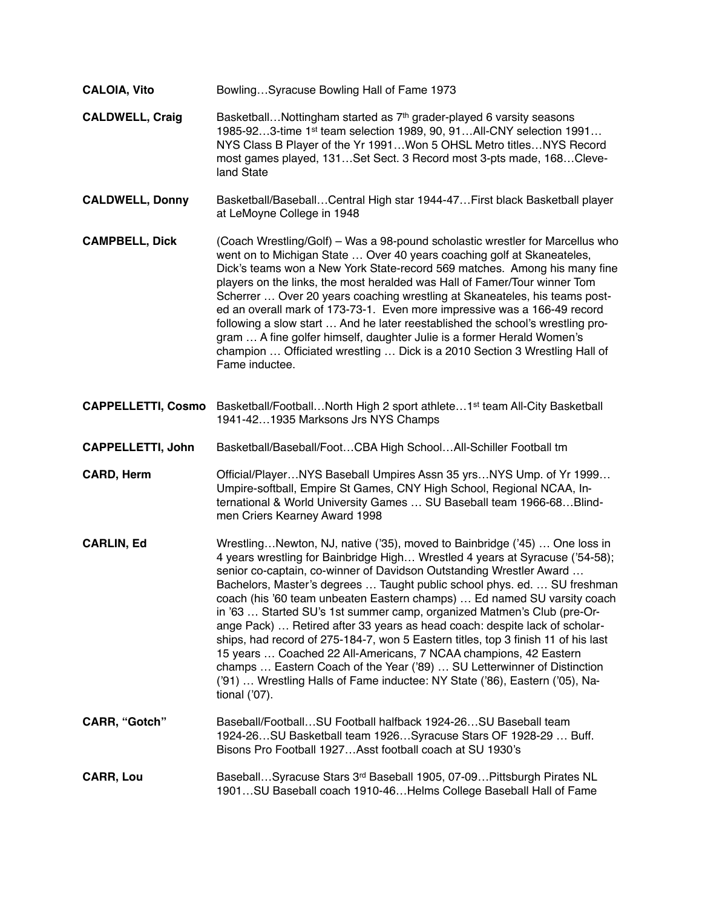| <b>CALOIA, Vito</b>       | BowlingSyracuse Bowling Hall of Fame 1973                                                                                                                                                                                                                                                                                                                                                                                                                                                                                                                                                                                                                                                                                                                                                                                                                                              |
|---------------------------|----------------------------------------------------------------------------------------------------------------------------------------------------------------------------------------------------------------------------------------------------------------------------------------------------------------------------------------------------------------------------------------------------------------------------------------------------------------------------------------------------------------------------------------------------------------------------------------------------------------------------------------------------------------------------------------------------------------------------------------------------------------------------------------------------------------------------------------------------------------------------------------|
| <b>CALDWELL, Craig</b>    | BasketballNottingham started as 7 <sup>th</sup> grader-played 6 varsity seasons<br>1985-923-time 1st team selection 1989, 90, 91All-CNY selection 1991<br>NYS Class B Player of the Yr 1991Won 5 OHSL Metro titlesNYS Record<br>most games played, 131Set Sect. 3 Record most 3-pts made, 168Cleve-<br>land State                                                                                                                                                                                                                                                                                                                                                                                                                                                                                                                                                                      |
| <b>CALDWELL, Donny</b>    | Basketball/BaseballCentral High star 1944-47First black Basketball player<br>at LeMoyne College in 1948                                                                                                                                                                                                                                                                                                                                                                                                                                                                                                                                                                                                                                                                                                                                                                                |
| <b>CAMPBELL, Dick</b>     | (Coach Wrestling/Golf) - Was a 98-pound scholastic wrestler for Marcellus who<br>went on to Michigan State  Over 40 years coaching golf at Skaneateles,<br>Dick's teams won a New York State-record 569 matches. Among his many fine<br>players on the links, the most heralded was Hall of Famer/Tour winner Tom<br>Scherrer  Over 20 years coaching wrestling at Skaneateles, his teams post-<br>ed an overall mark of 173-73-1. Even more impressive was a 166-49 record<br>following a slow start  And he later reestablished the school's wrestling pro-<br>gram  A fine golfer himself, daughter Julie is a former Herald Women's<br>champion  Officiated wrestling  Dick is a 2010 Section 3 Wrestling Hall of<br>Fame inductee.                                                                                                                                                |
| <b>CAPPELLETTI, Cosmo</b> | Basketball/FootballNorth High 2 sport athlete1 <sup>st</sup> team All-City Basketball<br>1941-421935 Marksons Jrs NYS Champs                                                                                                                                                                                                                                                                                                                                                                                                                                                                                                                                                                                                                                                                                                                                                           |
| <b>CAPPELLETTI, John</b>  | Basketball/Baseball/Foot CBA High School All-Schiller Football tm                                                                                                                                                                                                                                                                                                                                                                                                                                                                                                                                                                                                                                                                                                                                                                                                                      |
| <b>CARD, Herm</b>         | Official/PlayerNYS Baseball Umpires Assn 35 yrsNYS Ump. of Yr 1999<br>Umpire-softball, Empire St Games, CNY High School, Regional NCAA, In-<br>ternational & World University Games  SU Baseball team 1966-68 Blind-<br>men Criers Kearney Award 1998                                                                                                                                                                                                                                                                                                                                                                                                                                                                                                                                                                                                                                  |
| <b>CARLIN, Ed</b>         | WrestlingNewton, NJ, native ('35), moved to Bainbridge ('45)  One loss in<br>4 years wrestling for Bainbridge High Wrestled 4 years at Syracuse ('54-58);<br>senior co-captain, co-winner of Davidson Outstanding Wrestler Award<br>Bachelors, Master's degrees  Taught public school phys. ed.  SU freshman<br>coach (his '60 team unbeaten Eastern champs)  Ed named SU varsity coach<br>in '63  Started SU's 1st summer camp, organized Matmen's Club (pre-Or-<br>ange Pack)  Retired after 33 years as head coach: despite lack of scholar-<br>ships, had record of 275-184-7, won 5 Eastern titles, top 3 finish 11 of his last<br>15 years  Coached 22 All-Americans, 7 NCAA champions, 42 Eastern<br>champs  Eastern Coach of the Year ('89)  SU Letterwinner of Distinction<br>('91)  Wrestling Halls of Fame inductee: NY State ('86), Eastern ('05), Na-<br>tional $(707)$ . |
| <b>CARR, "Gotch"</b>      | Baseball/FootballSU Football halfback 1924-26SU Baseball team<br>1924-26SU Basketball team 1926Syracuse Stars OF 1928-29  Buff.<br>Bisons Pro Football 1927Asst football coach at SU 1930's                                                                                                                                                                                                                                                                                                                                                                                                                                                                                                                                                                                                                                                                                            |
| <b>CARR, Lou</b>          | BaseballSyracuse Stars 3rd Baseball 1905, 07-09Pittsburgh Pirates NL<br>1901SU Baseball coach 1910-46Helms College Baseball Hall of Fame                                                                                                                                                                                                                                                                                                                                                                                                                                                                                                                                                                                                                                                                                                                                               |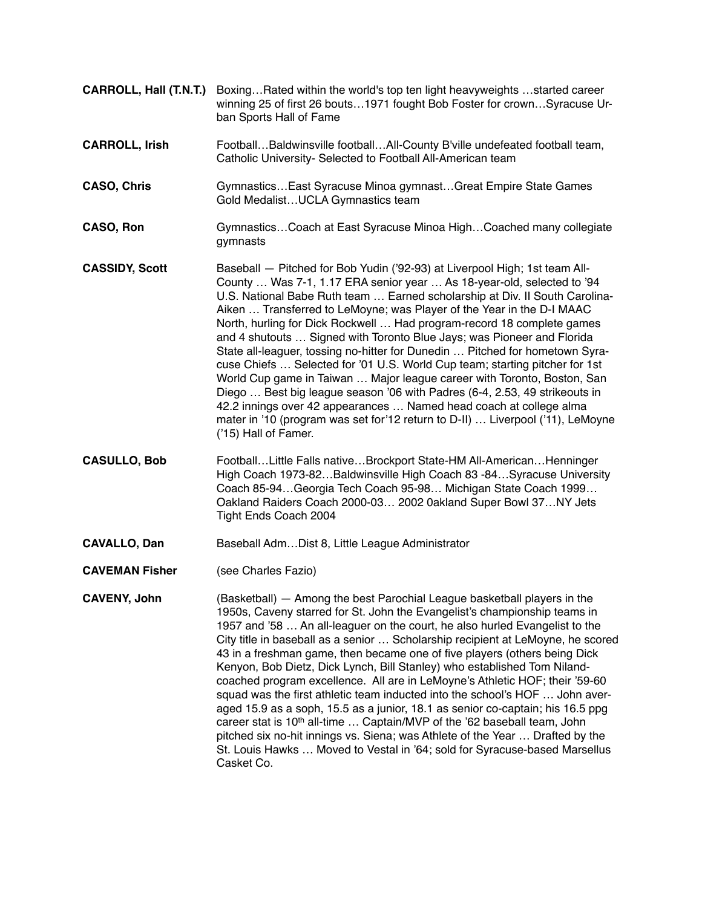- **CARROLL, Hall (T.N.T.)** Boxing…Rated within the world's top ten light heavyweights …started career winning 25 of first 26 bouts…1971 fought Bob Foster for crown…Syracuse Urban Sports Hall of Fame
- **CARROLL, Irish** Football…Baldwinsville football…All-County B'ville undefeated football team, Catholic University- Selected to Football All-American team
- **CASO, Chris** Gymnastics...East Syracuse Minoa gymnast...Great Empire State Games Gold Medalist…UCLA Gymnastics team
- **CASO, Ron** Gymnastics...Coach at East Syracuse Minoa High...Coached many collegiate gymnasts
- **CASSIDY, Scott** Baseball Pitched for Bob Yudin ('92-93) at Liverpool High; 1st team All-County … Was 7-1, 1.17 ERA senior year … As 18-year-old, selected to '94 U.S. National Babe Ruth team … Earned scholarship at Div. II South Carolina-Aiken … Transferred to LeMoyne; was Player of the Year in the D-I MAAC North, hurling for Dick Rockwell … Had program-record 18 complete games and 4 shutouts … Signed with Toronto Blue Jays; was Pioneer and Florida State all-leaguer, tossing no-hitter for Dunedin … Pitched for hometown Syracuse Chiefs … Selected for '01 U.S. World Cup team; starting pitcher for 1st World Cup game in Taiwan … Major league career with Toronto, Boston, San Diego … Best big league season '06 with Padres (6-4, 2.53, 49 strikeouts in 42.2 innings over 42 appearances … Named head coach at college alma mater in '10 (program was set for'12 return to D-II) … Liverpool ('11), LeMoyne ('15) Hall of Famer.
- **CASULLO, Bob** Football…Little Falls native…Brockport State-HM All-American…Henninger High Coach 1973-82…Baldwinsville High Coach 83 -84…Syracuse University Coach 85-94…Georgia Tech Coach 95-98… Michigan State Coach 1999… Oakland Raiders Coach 2000-03… 2002 0akland Super Bowl 37…NY Jets Tight Ends Coach 2004
- **CAVALLO, Dan** Baseball Adm...Dist 8, Little League Administrator
- **CAVEMAN Fisher** (see Charles Fazio)

**CAVENY, John** (Basketball) — Among the best Parochial League basketball players in the 1950s, Caveny starred for St. John the Evangelist's championship teams in 1957 and '58 … An all-leaguer on the court, he also hurled Evangelist to the City title in baseball as a senior … Scholarship recipient at LeMoyne, he scored 43 in a freshman game, then became one of five players (others being Dick Kenyon, Bob Dietz, Dick Lynch, Bill Stanley) who established Tom Nilandcoached program excellence. All are in LeMoyne's Athletic HOF; their '59-60 squad was the first athletic team inducted into the school's HOF … John averaged 15.9 as a soph, 15.5 as a junior, 18.1 as senior co-captain; his 16.5 ppg career stat is 10<sup>th</sup> all-time ... Captain/MVP of the '62 baseball team, John pitched six no-hit innings vs. Siena; was Athlete of the Year … Drafted by the St. Louis Hawks … Moved to Vestal in '64; sold for Syracuse-based Marsellus Casket Co.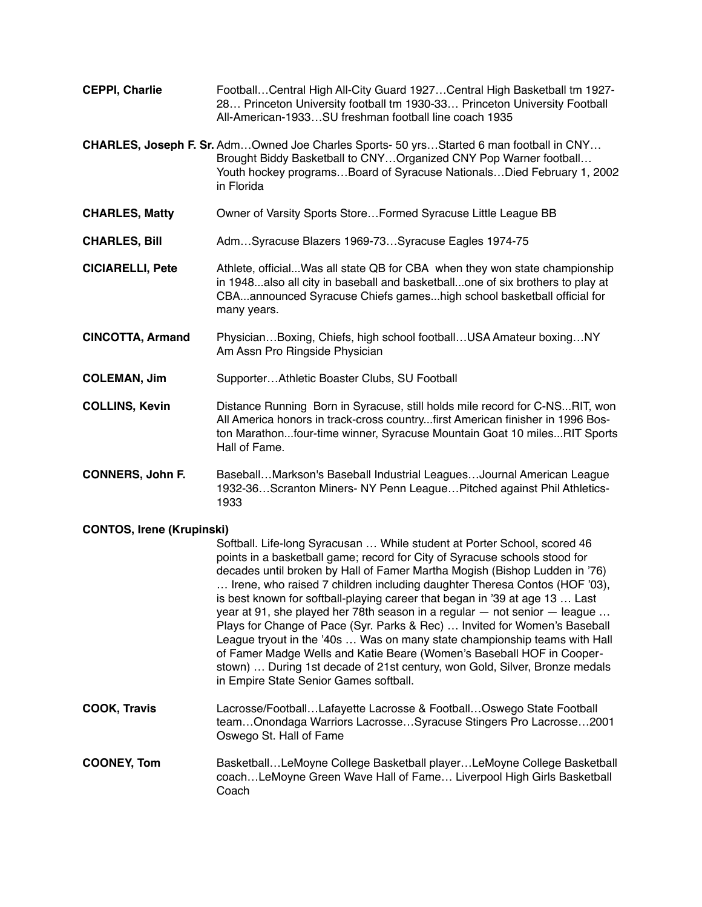- **CEPPI, Charlie** Football…Central High All-City Guard 1927…Central High Basketball tm 1927- 28… Princeton University football tm 1930-33… Princeton University Football All-American-1933…SU freshman football line coach 1935 **CHARLES, Joseph F. Sr.** Adm…Owned Joe Charles Sports- 50 yrs…Started 6 man football in CNY… Brought Biddy Basketball to CNY…Organized CNY Pop Warner football… Youth hockey programs…Board of Syracuse Nationals…Died February 1, 2002 in Florida **CHARLES, Matty** Owner of Varsity Sports Store…Formed Syracuse Little League BB
- **CHARLES, Bill** Adm…Syracuse Blazers 1969-73…Syracuse Eagles 1974-75
- **CICIARELLI, Pete** Athlete, official...Was all state QB for CBA when they won state championship in 1948...also all city in baseball and basketball...one of six brothers to play at CBA...announced Syracuse Chiefs games...high school basketball official for many years.
- **CINCOTTA, Armand** Physician…Boxing, Chiefs, high school football…USA Amateur boxing…NY Am Assn Pro Ringside Physician
- **COLEMAN, Jim** Supporter…Athletic Boaster Clubs, SU Football
- **COLLINS, Kevin** Distance Running Born in Syracuse, still holds mile record for C-NS...RIT, won All America honors in track-cross country...first American finisher in 1996 Boston Marathon...four-time winner, Syracuse Mountain Goat 10 miles...RIT Sports Hall of Fame.
- **CONNERS, John F.** Baseball…Markson's Baseball Industrial Leagues…Journal American League 1932-36…Scranton Miners- NY Penn League…Pitched against Phil Athletics-1933

## **CONTOS, Irene (Krupinski)**

Softball. Life-long Syracusan … While student at Porter School, scored 46 points in a basketball game; record for City of Syracuse schools stood for decades until broken by Hall of Famer Martha Mogish (Bishop Ludden in '76) … Irene, who raised 7 children including daughter Theresa Contos (HOF '03), is best known for softball-playing career that began in '39 at age 13 … Last year at 91, she played her 78th season in a regular — not senior — league … Plays for Change of Pace (Syr. Parks & Rec) … Invited for Women's Baseball League tryout in the '40s … Was on many state championship teams with Hall of Famer Madge Wells and Katie Beare (Women's Baseball HOF in Cooperstown) … During 1st decade of 21st century, won Gold, Silver, Bronze medals in Empire State Senior Games softball.

- **COOK, Travis** Lacrosse/Football…Lafayette Lacrosse & Football…Oswego State Football team…Onondaga Warriors Lacrosse…Syracuse Stingers Pro Lacrosse…2001 Oswego St. Hall of Fame
- **COONEY, Tom** Basketball…LeMoyne College Basketball player…LeMoyne College Basketball coach…LeMoyne Green Wave Hall of Fame… Liverpool High Girls Basketball Coach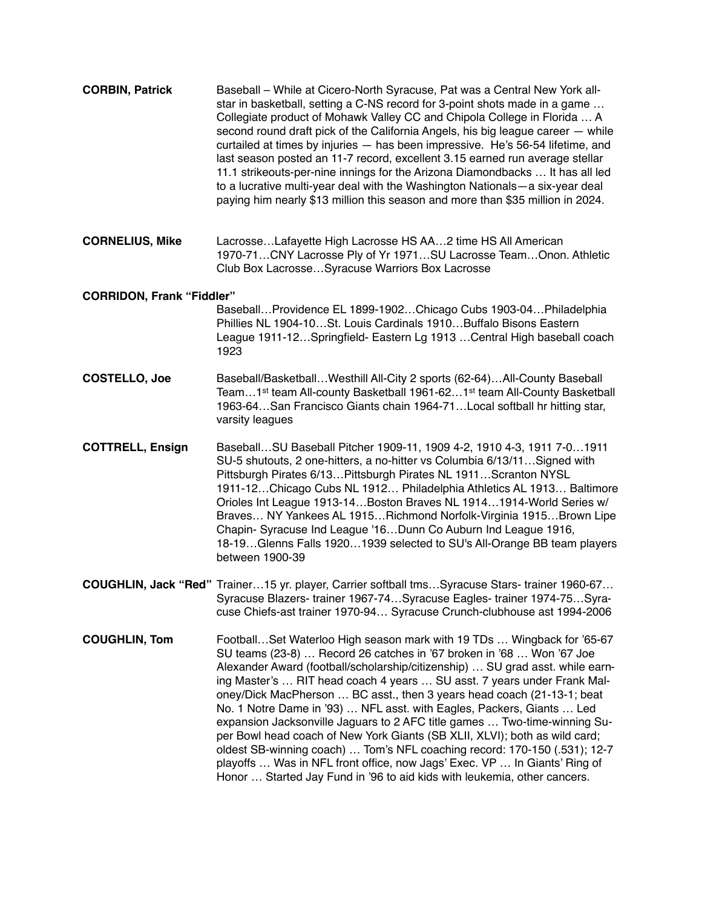| <b>CORBIN, Patrick</b>           | Baseball - While at Cicero-North Syracuse, Pat was a Central New York all-<br>star in basketball, setting a C-NS record for 3-point shots made in a game<br>Collegiate product of Mohawk Valley CC and Chipola College in Florida  A<br>second round draft pick of the California Angels, his big league career - while<br>curtailed at times by injuries - has been impressive. He's 56-54 lifetime, and<br>last season posted an 11-7 record, excellent 3.15 earned run average stellar<br>11.1 strikeouts-per-nine innings for the Arizona Diamondbacks  It has all led<br>to a lucrative multi-year deal with the Washington Nationals-a six-year deal<br>paying him nearly \$13 million this season and more than \$35 million in 2024.                                                                                                                   |
|----------------------------------|----------------------------------------------------------------------------------------------------------------------------------------------------------------------------------------------------------------------------------------------------------------------------------------------------------------------------------------------------------------------------------------------------------------------------------------------------------------------------------------------------------------------------------------------------------------------------------------------------------------------------------------------------------------------------------------------------------------------------------------------------------------------------------------------------------------------------------------------------------------|
| <b>CORNELIUS, Mike</b>           | LacrosseLafayette High Lacrosse HS AA2 time HS All American<br>1970-71CNY Lacrosse Ply of Yr 1971SU Lacrosse TeamOnon. Athletic<br>Club Box LacrosseSyracuse Warriors Box Lacrosse                                                                                                                                                                                                                                                                                                                                                                                                                                                                                                                                                                                                                                                                             |
| <b>CORRIDON, Frank "Fiddler"</b> |                                                                                                                                                                                                                                                                                                                                                                                                                                                                                                                                                                                                                                                                                                                                                                                                                                                                |
|                                  | BaseballProvidence EL 1899-1902Chicago Cubs 1903-04Philadelphia<br>Phillies NL 1904-10St. Louis Cardinals 1910Buffalo Bisons Eastern<br>League 1911-12Springfield- Eastern Lg 1913 Central High baseball coach<br>1923                                                                                                                                                                                                                                                                                                                                                                                                                                                                                                                                                                                                                                         |
| <b>COSTELLO, Joe</b>             | Baseball/BasketballWesthill All-City 2 sports (62-64)All-County Baseball<br>Team1 <sup>st</sup> team All-county Basketball 1961-621 <sup>st</sup> team All-County Basketball<br>1963-64 San Francisco Giants chain 1964-71 Local softball hr hitting star,<br>varsity leagues                                                                                                                                                                                                                                                                                                                                                                                                                                                                                                                                                                                  |
| <b>COTTRELL, Ensign</b>          | BaseballSU Baseball Pitcher 1909-11, 1909 4-2, 1910 4-3, 1911 7-01911<br>SU-5 shutouts, 2 one-hitters, a no-hitter vs Columbia 6/13/11Signed with<br>Pittsburgh Pirates 6/13 Pittsburgh Pirates NL 1911 Scranton NYSL<br>1911-12Chicago Cubs NL 1912 Philadelphia Athletics AL 1913 Baltimore<br>Orioles Int League 1913-14 Boston Braves NL 1914 1914-World Series w/<br>Braves NY Yankees AL 1915 Richmond Norfolk-Virginia 1915 Brown Lipe<br>Chapin- Syracuse Ind League '16Dunn Co Auburn Ind League 1916,<br>18-19Glenns Falls 19201939 selected to SU's All-Orange BB team players<br>between 1900-39                                                                                                                                                                                                                                                   |
|                                  | <b>COUGHLIN, Jack "Red"</b> Trainer15 yr. player, Carrier softball tmsSyracuse Stars- trainer 1960-67<br>Syracuse Blazers- trainer 1967-74Syracuse Eagles- trainer 1974-75Syra-<br>cuse Chiefs-ast trainer 1970-94 Syracuse Crunch-clubhouse ast 1994-2006                                                                                                                                                                                                                                                                                                                                                                                                                                                                                                                                                                                                     |
| <b>COUGHLIN, Tom</b>             | FootballSet Waterloo High season mark with 19 TDs  Wingback for '65-67<br>SU teams (23-8)  Record 26 catches in '67 broken in '68  Won '67 Joe<br>Alexander Award (football/scholarship/citizenship)  SU grad asst. while earn-<br>ing Master's  RIT head coach 4 years  SU asst. 7 years under Frank Mal-<br>oney/Dick MacPherson  BC asst., then 3 years head coach (21-13-1; beat<br>No. 1 Notre Dame in '93)  NFL asst. with Eagles, Packers, Giants  Led<br>expansion Jacksonville Jaguars to 2 AFC title games  Two-time-winning Su-<br>per Bowl head coach of New York Giants (SB XLII, XLVI); both as wild card;<br>oldest SB-winning coach)  Tom's NFL coaching record: 170-150 (.531); 12-7<br>playoffs  Was in NFL front office, now Jags' Exec. VP  In Giants' Ring of<br>Honor  Started Jay Fund in '96 to aid kids with leukemia, other cancers. |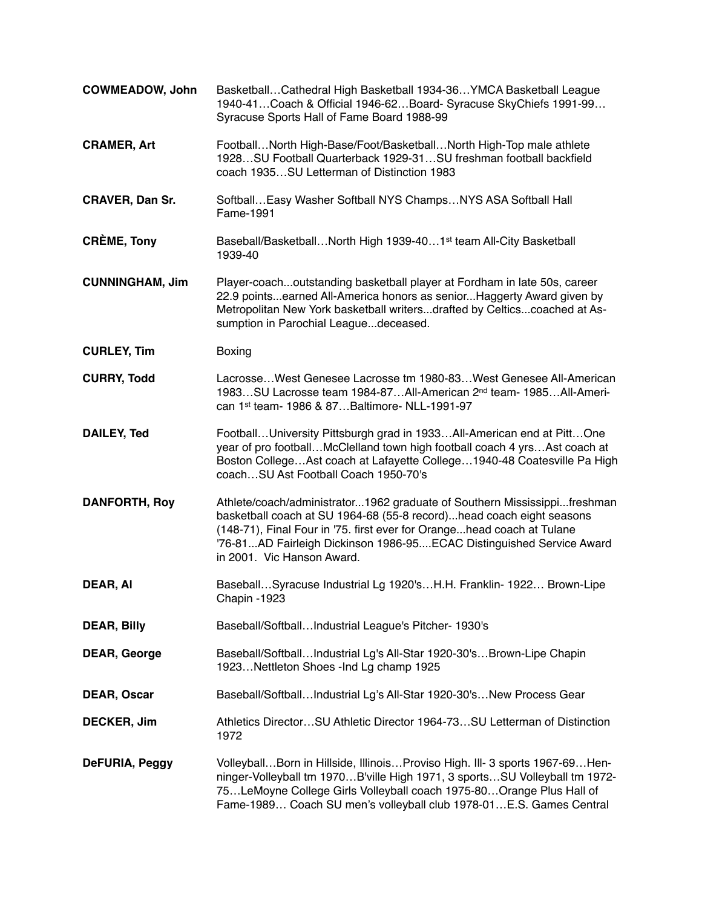| <b>COWMEADOW, John</b> | Basketball Cathedral High Basketball 1934-36 YMCA Basketball League<br>1940-41 Coach & Official 1946-62 Board- Syracuse SkyChiefs 1991-99<br>Syracuse Sports Hall of Fame Board 1988-99                                                                                                                                          |
|------------------------|----------------------------------------------------------------------------------------------------------------------------------------------------------------------------------------------------------------------------------------------------------------------------------------------------------------------------------|
| <b>CRAMER, Art</b>     | FootballNorth High-Base/Foot/BasketballNorth High-Top male athlete<br>1928SU Football Quarterback 1929-31SU freshman football backfield<br>coach 1935SU Letterman of Distinction 1983                                                                                                                                            |
| <b>CRAVER, Dan Sr.</b> | Softball Easy Washer Softball NYS Champs NYS ASA Softball Hall<br>Fame-1991                                                                                                                                                                                                                                                      |
| <b>CRÈME, Tony</b>     | Baseball/BasketballNorth High 1939-401 <sup>st</sup> team All-City Basketball<br>1939-40                                                                                                                                                                                                                                         |
| <b>CUNNINGHAM, Jim</b> | Player-coachoutstanding basketball player at Fordham in late 50s, career<br>22.9 pointsearned All-America honors as seniorHaggerty Award given by<br>Metropolitan New York basketball writersdrafted by Celticscoached at As-<br>sumption in Parochial Leaguedeceased.                                                           |
| <b>CURLEY, Tim</b>     | Boxing                                                                                                                                                                                                                                                                                                                           |
| <b>CURRY, Todd</b>     | LacrosseWest Genesee Lacrosse tm 1980-83West Genesee All-American<br>1983SU Lacrosse team 1984-87All-American 2 <sup>nd</sup> team- 1985All-Ameri-<br>can 1st team- 1986 & 87Baltimore- NLL-1991-97                                                                                                                              |
| <b>DAILEY, Ted</b>     | FootballUniversity Pittsburgh grad in 1933All-American end at PittOne<br>year of pro footballMcClelland town high football coach 4 yrsAst coach at<br>Boston CollegeAst coach at Lafayette College1940-48 Coatesville Pa High<br>coachSU Ast Football Coach 1950-70's                                                            |
| <b>DANFORTH, Roy</b>   | Athlete/coach/administrator1962 graduate of Southern Mississippifreshman<br>basketball coach at SU 1964-68 (55-8 record)head coach eight seasons<br>(148-71), Final Four in '75. first ever for Orangehead coach at Tulane<br>'76-81AD Fairleigh Dickinson 1986-95ECAC Distinguished Service Award<br>in 2001. Vic Hanson Award. |
| DEAR, AI               | BaseballSyracuse Industrial Lg 1920'sH.H. Franklin- 1922 Brown-Lipe<br>Chapin -1923                                                                                                                                                                                                                                              |
| <b>DEAR, Billy</b>     | Baseball/SoftballIndustrial League's Pitcher- 1930's                                                                                                                                                                                                                                                                             |
| <b>DEAR, George</b>    | Baseball/SoftballIndustrial Lg's All-Star 1920-30'sBrown-Lipe Chapin<br>1923Nettleton Shoes - Ind Lg champ 1925                                                                                                                                                                                                                  |
| <b>DEAR, Oscar</b>     | Baseball/SoftballIndustrial Lg's All-Star 1920-30'sNew Process Gear                                                                                                                                                                                                                                                              |
| DECKER, Jim            | Athletics DirectorSU Athletic Director 1964-73SU Letterman of Distinction<br>1972                                                                                                                                                                                                                                                |
| DeFURIA, Peggy         | VolleyballBorn in Hillside, IllinoisProviso High. III- 3 sports 1967-69Hen-<br>ninger-Volleyball tm 1970B'ville High 1971, 3 sportsSU Volleyball tm 1972-<br>75LeMoyne College Girls Volleyball coach 1975-80Orange Plus Hall of<br>Fame-1989 Coach SU men's volleyball club 1978-01E.S. Games Central                           |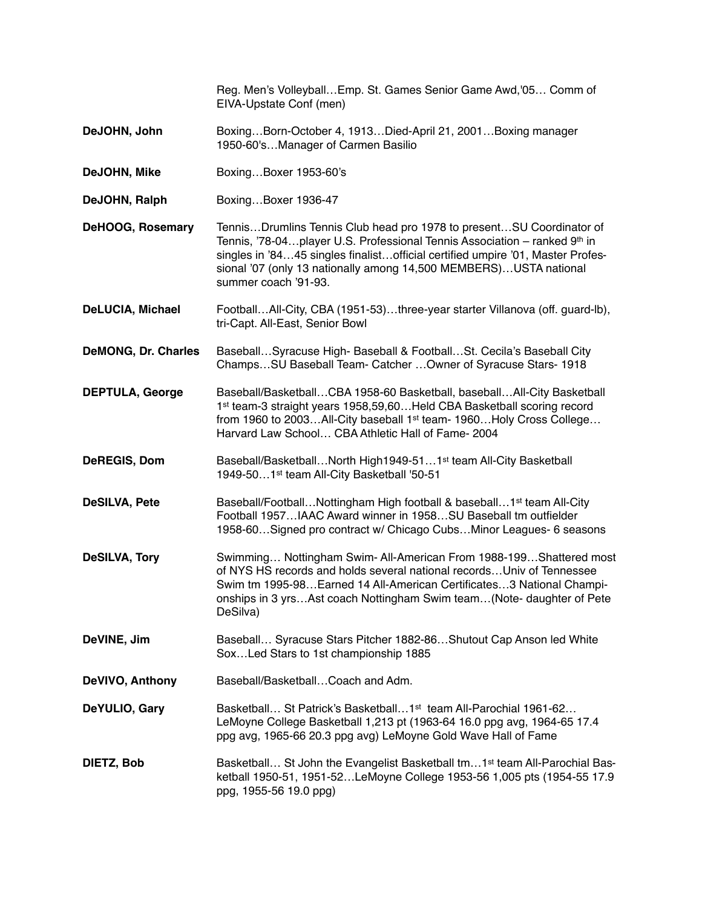|                            | Reg. Men's Volleyball Emp. St. Games Senior Game Awd, '05 Comm of<br>EIVA-Upstate Conf (men)                                                                                                                                                                                                                                       |
|----------------------------|------------------------------------------------------------------------------------------------------------------------------------------------------------------------------------------------------------------------------------------------------------------------------------------------------------------------------------|
| DeJOHN, John               | BoxingBorn-October 4, 1913Died-April 21, 2001Boxing manager<br>1950-60'sManager of Carmen Basilio                                                                                                                                                                                                                                  |
| DeJOHN, Mike               | BoxingBoxer 1953-60's                                                                                                                                                                                                                                                                                                              |
| DeJOHN, Ralph              | BoxingBoxer 1936-47                                                                                                                                                                                                                                                                                                                |
| DeHOOG, Rosemary           | TennisDrumlins Tennis Club head pro 1978 to presentSU Coordinator of<br>Tennis, '78-04 player U.S. Professional Tennis Association - ranked 9th in<br>singles in '8445 singles finalistofficial certified umpire '01, Master Profes-<br>sional '07 (only 13 nationally among 14,500 MEMBERS) USTA national<br>summer coach '91-93. |
| <b>DeLUCIA, Michael</b>    | FootballAll-City, CBA (1951-53)three-year starter Villanova (off. guard-lb),<br>tri-Capt. All-East, Senior Bowl                                                                                                                                                                                                                    |
| <b>DeMONG, Dr. Charles</b> | BaseballSyracuse High- Baseball & FootballSt. Cecila's Baseball City<br>ChampsSU Baseball Team- Catcher  Owner of Syracuse Stars- 1918                                                                                                                                                                                             |
| <b>DEPTULA, George</b>     | Baseball/BasketballCBA 1958-60 Basketball, baseballAll-City Basketball<br>1st team-3 straight years 1958,59,60 Held CBA Basketball scoring record<br>from 1960 to 2003All-City baseball 1 <sup>st</sup> team- 1960Holy Cross College<br>Harvard Law School CBA Athletic Hall of Fame-2004                                          |
| DeREGIS, Dom               | Baseball/BasketballNorth High1949-511 <sup>st</sup> team All-City Basketball<br>1949-501st team All-City Basketball '50-51                                                                                                                                                                                                         |
| <b>DeSILVA, Pete</b>       | Baseball/FootballNottingham High football & baseball1 <sup>st</sup> team All-City<br>Football 1957IAAC Award winner in 1958SU Baseball tm outfielder<br>1958-60Signed pro contract w/ Chicago CubsMinor Leagues- 6 seasons                                                                                                         |
| <b>DeSILVA, Tory</b>       | Swimming Nottingham Swim- All-American From 1988-199 Shattered most<br>of NYS HS records and holds several national records Univ of Tennessee<br>Swim tm 1995-98Earned 14 All-American Certificates3 National Champi-<br>onships in 3 yrsAst coach Nottingham Swim team(Note- daughter of Pete<br>DeSilva)                         |
| DeVINE, Jim                | Baseball Syracuse Stars Pitcher 1882-86 Shutout Cap Anson led White<br>Sox Led Stars to 1st championship 1885                                                                                                                                                                                                                      |
| <b>DeVIVO, Anthony</b>     | Baseball/BasketballCoach and Adm.                                                                                                                                                                                                                                                                                                  |
| DeYULIO, Gary              | Basketball St Patrick's Basketball1 <sup>st</sup> team All-Parochial 1961-62<br>LeMoyne College Basketball 1,213 pt (1963-64 16.0 ppg avg, 1964-65 17.4<br>ppg avg, 1965-66 20.3 ppg avg) LeMoyne Gold Wave Hall of Fame                                                                                                           |
| DIETZ, Bob                 | Basketball St John the Evangelist Basketball tm1 <sup>st</sup> team All-Parochial Bas-<br>ketball 1950-51, 1951-52LeMoyne College 1953-56 1,005 pts (1954-55 17.9<br>ppg, 1955-56 19.0 ppg)                                                                                                                                        |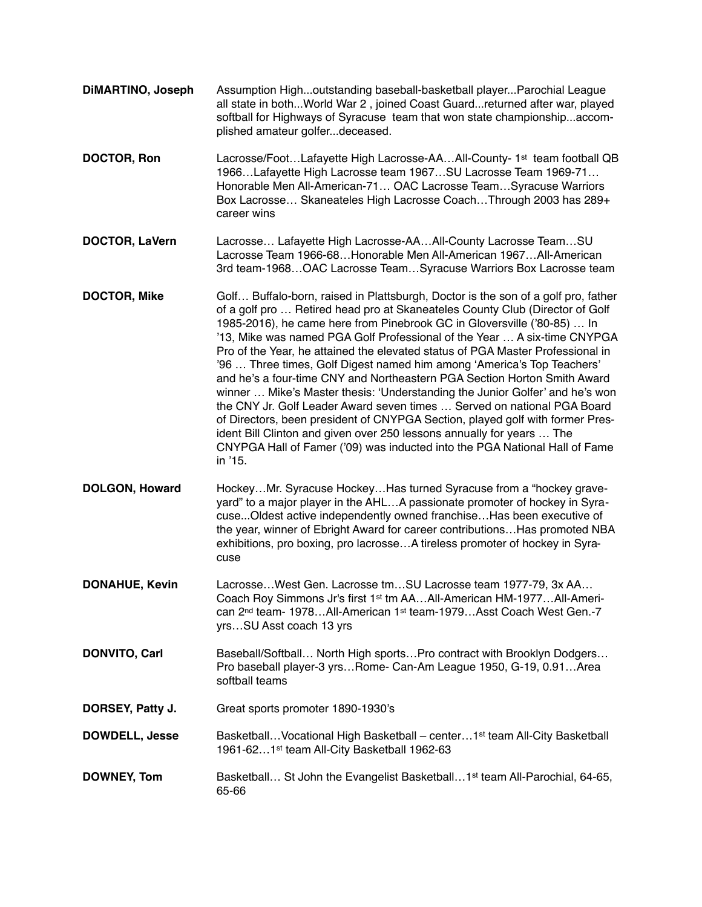**DiMARTINO, Joseph** Assumption High...outstanding baseball-basketball player...Parochial League all state in both...World War 2 , joined Coast Guard...returned after war, played softball for Highways of Syracuse team that won state championship...accomplished amateur golfer...deceased. **DOCTOR, Ron** Lacrosse/Foot...Lafayette High Lacrosse-AA...All-County-1<sup>st</sup> team football QB 1966…Lafayette High Lacrosse team 1967…SU Lacrosse Team 1969-71… Honorable Men All-American-71… OAC Lacrosse Team…Syracuse Warriors Box Lacrosse… Skaneateles High Lacrosse Coach…Through 2003 has 289+ career wins **DOCTOR, LaVern** Lacrosse… Lafayette High Lacrosse-AA…All-County Lacrosse Team…SU Lacrosse Team 1966-68…Honorable Men All-American 1967…All-American 3rd team-1968…OAC Lacrosse Team…Syracuse Warriors Box Lacrosse team **DOCTOR, Mike** Golf… Buffalo-born, raised in Plattsburgh, Doctor is the son of a golf pro, father of a golf pro … Retired head pro at Skaneateles County Club (Director of Golf 1985-2016), he came here from Pinebrook GC in Gloversville ('80-85) … In '13, Mike was named PGA Golf Professional of the Year … A six-time CNYPGA Pro of the Year, he attained the elevated status of PGA Master Professional in '96 … Three times, Golf Digest named him among 'America's Top Teachers' and he's a four-time CNY and Northeastern PGA Section Horton Smith Award winner … Mike's Master thesis: 'Understanding the Junior Golfer' and he's won the CNY Jr. Golf Leader Award seven times … Served on national PGA Board of Directors, been president of CNYPGA Section, played golf with former President Bill Clinton and given over 250 lessons annually for years … The CNYPGA Hall of Famer ('09) was inducted into the PGA National Hall of Fame in '15. **DOLGON, Howard** Hockey…Mr. Syracuse Hockey…Has turned Syracuse from a "hockey graveyard" to a major player in the AHL…A passionate promoter of hockey in Syracuse...Oldest active independently owned franchise…Has been executive of the year, winner of Ebright Award for career contributions…Has promoted NBA exhibitions, pro boxing, pro lacrosse…A tireless promoter of hockey in Syracuse **DONAHUE, Kevin** Lacrosse…West Gen. Lacrosse tm…SU Lacrosse team 1977-79, 3x AA… Coach Roy Simmons Jr's first 1st tm AA…All-American HM-1977…All-American 2nd team- 1978…All-American 1st team-1979…Asst Coach West Gen.-7 yrs…SU Asst coach 13 yrs **DONVITO, Carl** Baseball/Softball... North High sports... Pro contract with Brooklyn Dodgers... Pro baseball player-3 yrs…Rome- Can-Am League 1950, G-19, 0.91…Area softball teams **DORSEY, Patty J.** Great sports promoter 1890-1930's **DOWDELL, Jesse** Basketball...Vocational High Basketball – center...1<sup>st</sup> team All-City Basketball 1961-62…1st team All-City Basketball 1962-63 **DOWNEY, Tom** Basketball... St John the Evangelist Basketball...1<sup>st</sup> team All-Parochial, 64-65, 65-66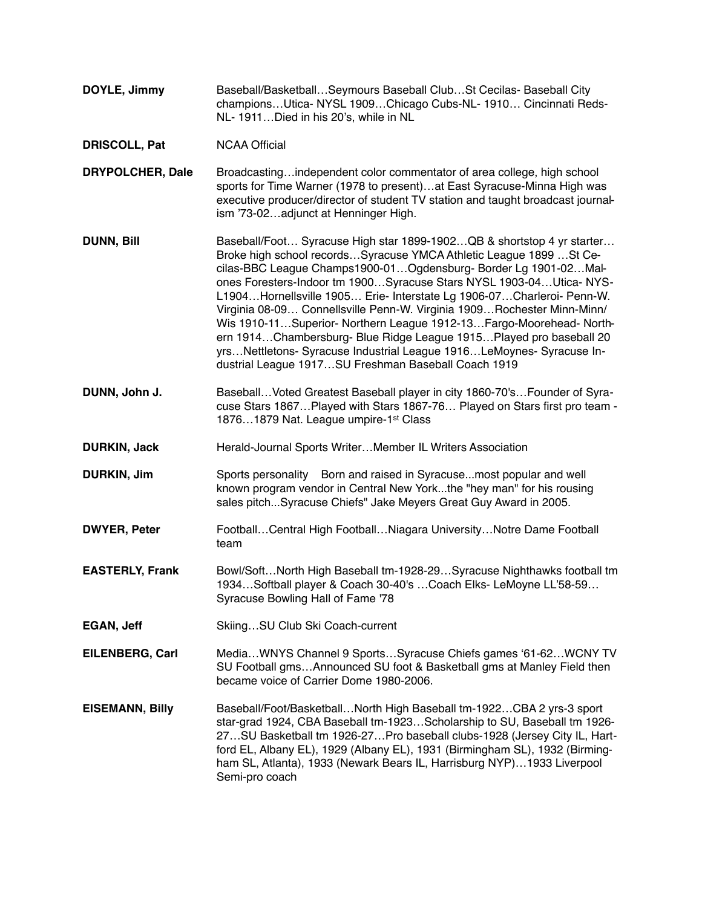- **DOYLE, Jimmy** Baseball/Basketball…Seymours Baseball Club…St Cecilas- Baseball City champions…Utica- NYSL 1909…Chicago Cubs-NL- 1910… Cincinnati Reds-NL- 1911…Died in his 20's, while in NL
- **DRISCOLL, Pat** NCAA Official
- **DRYPOLCHER, Dale** Broadcasting…independent color commentator of area college, high school sports for Time Warner (1978 to present)…at East Syracuse-Minna High was executive producer/director of student TV station and taught broadcast journalism '73-02…adjunct at Henninger High.
- **DUNN, Bill** Baseball/Foot… Syracuse High star 1899-1902…QB & shortstop 4 yr starter… Broke high school records…Syracuse YMCA Athletic League 1899 …St Cecilas-BBC League Champs1900-01…Ogdensburg- Border Lg 1901-02…Malones Foresters-Indoor tm 1900…Syracuse Stars NYSL 1903-04…Utica- NYS-L1904…Hornellsville 1905… Erie- Interstate Lg 1906-07…Charleroi- Penn-W. Virginia 08-09… Connellsville Penn-W. Virginia 1909…Rochester Minn-Minn/ Wis 1910-11…Superior- Northern League 1912-13…Fargo-Moorehead- Northern 1914…Chambersburg- Blue Ridge League 1915…Played pro baseball 20 yrs…Nettletons- Syracuse Industrial League 1916…LeMoynes- Syracuse Industrial League 1917…SU Freshman Baseball Coach 1919
- **DUNN, John J.** Baseball…Voted Greatest Baseball player in city 1860-70's…Founder of Syracuse Stars 1867…Played with Stars 1867-76… Played on Stars first pro team - 1876…1879 Nat. League umpire-1st Class
- **DURKIN, Jack** Herald-Journal Sports Writer...Member IL Writers Association
- **DURKIN, Jim** Sports personality Born and raised in Syracuse...most popular and well known program vendor in Central New York...the "hey man" for his rousing sales pitch...Syracuse Chiefs" Jake Meyers Great Guy Award in 2005.
- **DWYER, Peter** Football...Central High Football...Niagara University...Notre Dame Football team
- **EASTERLY, Frank** Bowl/Soft…North High Baseball tm-1928-29…Syracuse Nighthawks football tm 1934…Softball player & Coach 30-40's …Coach Elks- LeMoyne LL'58-59… Syracuse Bowling Hall of Fame '78
- **EGAN, Jeff** Skiing...SU Club Ski Coach-current
- **EILENBERG, Carl** Media…WNYS Channel 9 Sports…Syracuse Chiefs games '61-62…WCNY TV SU Football gms…Announced SU foot & Basketball gms at Manley Field then became voice of Carrier Dome 1980-2006.
- **EISEMANN, Billy** Baseball/Foot/Basketball…North High Baseball tm-1922…CBA 2 yrs-3 sport star-grad 1924, CBA Baseball tm-1923…Scholarship to SU, Baseball tm 1926- 27…SU Basketball tm 1926-27…Pro baseball clubs-1928 (Jersey City IL, Hartford EL, Albany EL), 1929 (Albany EL), 1931 (Birmingham SL), 1932 (Birmingham SL, Atlanta), 1933 (Newark Bears IL, Harrisburg NYP)…1933 Liverpool Semi-pro coach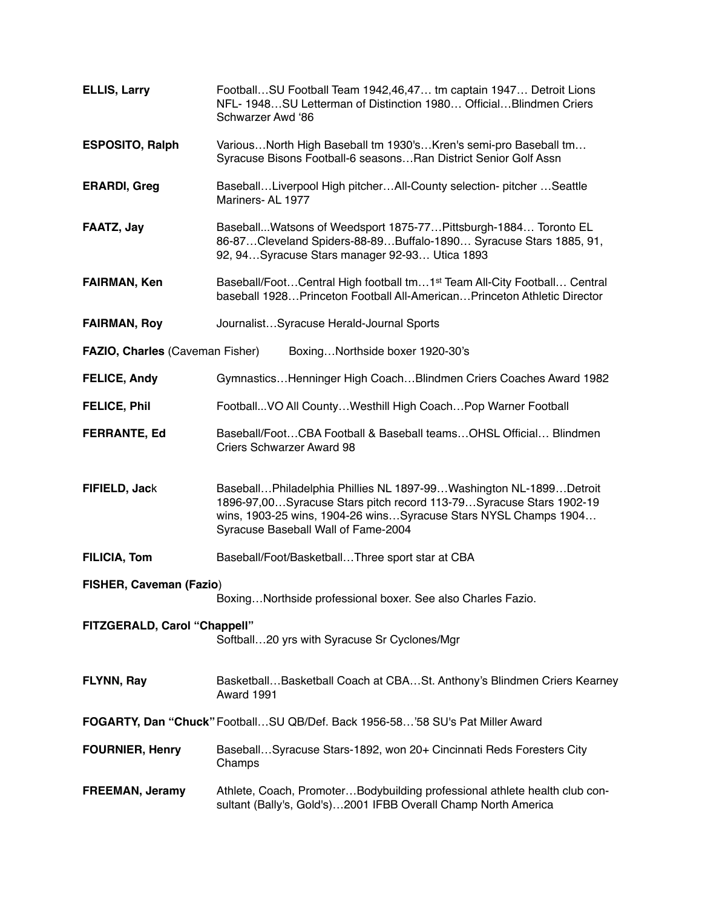| <b>ELLIS, Larry</b>             | FootballSU Football Team 1942,46,47 tm captain 1947 Detroit Lions<br>NFL- 1948SU Letterman of Distinction 1980 OfficialBlindmen Criers<br>Schwarzer Awd '86                                                                                       |
|---------------------------------|---------------------------------------------------------------------------------------------------------------------------------------------------------------------------------------------------------------------------------------------------|
| <b>ESPOSITO, Ralph</b>          | VariousNorth High Baseball tm 1930'sKren's semi-pro Baseball tm<br>Syracuse Bisons Football-6 seasonsRan District Senior Golf Assn                                                                                                                |
| <b>ERARDI, Greg</b>             | BaseballLiverpool High pitcherAll-County selection- pitcher Seattle<br>Mariners-AL 1977                                                                                                                                                           |
| FAATZ, Jay                      | Baseball Watsons of Weedsport 1875-77 Pittsburgh-1884 Toronto EL<br>86-87 Cleveland Spiders-88-89 Buffalo-1890 Syracuse Stars 1885, 91,<br>92, 94Syracuse Stars manager 92-93 Utica 1893                                                          |
| <b>FAIRMAN, Ken</b>             | Baseball/FootCentral High football tm1 <sup>st</sup> Team All-City Football Central<br>baseball 1928 Princeton Football All-American Princeton Athletic Director                                                                                  |
| <b>FAIRMAN, Roy</b>             | JournalistSyracuse Herald-Journal Sports                                                                                                                                                                                                          |
| FAZIO, Charles (Caveman Fisher) | BoxingNorthside boxer 1920-30's                                                                                                                                                                                                                   |
| <b>FELICE, Andy</b>             | Gymnastics Henninger High Coach Blindmen Criers Coaches Award 1982                                                                                                                                                                                |
| <b>FELICE, Phil</b>             | Football VO All County Westhill High Coach Pop Warner Football                                                                                                                                                                                    |
| <b>FERRANTE, Ed</b>             | Baseball/FootCBA Football & Baseball teamsOHSL Official Blindmen<br><b>Criers Schwarzer Award 98</b>                                                                                                                                              |
| FIFIELD, Jack                   | BaseballPhiladelphia Phillies NL 1897-99Washington NL-1899Detroit<br>1896-97,00Syracuse Stars pitch record 113-79Syracuse Stars 1902-19<br>wins, 1903-25 wins, 1904-26 winsSyracuse Stars NYSL Champs 1904<br>Syracuse Baseball Wall of Fame-2004 |
| <b>FILICIA, Tom</b>             | Baseball/Foot/BasketballThree sport star at CBA                                                                                                                                                                                                   |
| <b>FISHER, Caveman (Fazio)</b>  | BoxingNorthside professional boxer. See also Charles Fazio.                                                                                                                                                                                       |
| FITZGERALD, Carol "Chappell"    | Softball20 yrs with Syracuse Sr Cyclones/Mgr                                                                                                                                                                                                      |
| FLYNN, Ray                      | BasketballBasketball Coach at CBASt. Anthony's Blindmen Criers Kearney<br>Award 1991                                                                                                                                                              |
|                                 | FOGARTY, Dan "Chuck" FootballSU QB/Def. Back 1956-58'58 SU's Pat Miller Award                                                                                                                                                                     |
| <b>FOURNIER, Henry</b>          | BaseballSyracuse Stars-1892, won 20+ Cincinnati Reds Foresters City<br>Champs                                                                                                                                                                     |
| FREEMAN, Jeramy                 | Athlete, Coach, PromoterBodybuilding professional athlete health club con-<br>sultant (Bally's, Gold's)2001 IFBB Overall Champ North America                                                                                                      |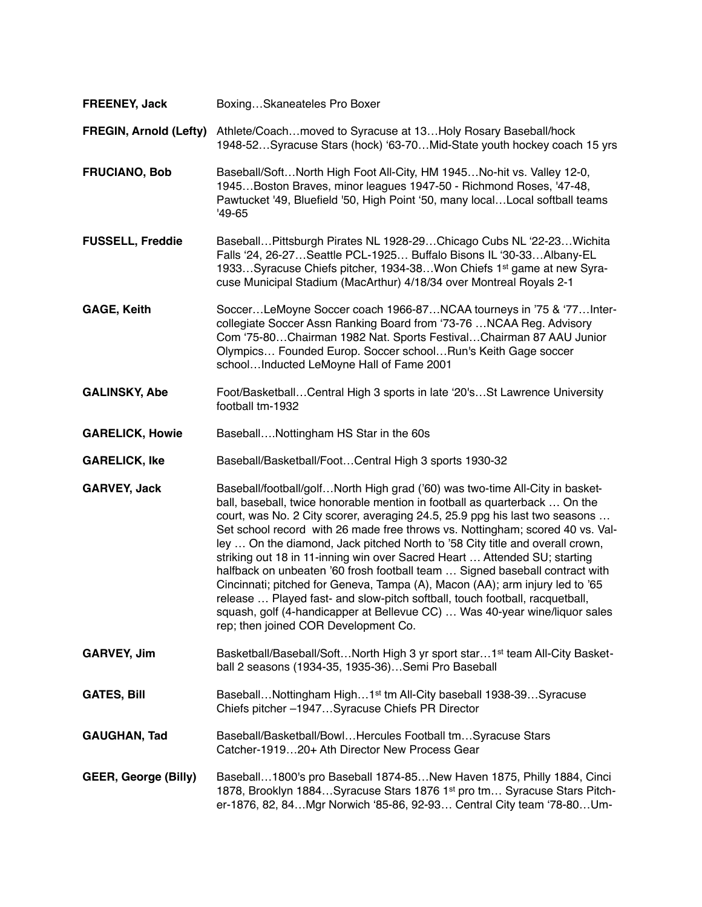**FREENEY, Jack** Boxing…Skaneateles Pro Boxer

**FREGIN, Arnold (Lefty)** Athlete/Coach...moved to Syracuse at 13...Holy Rosary Baseball/hock 1948-52…Syracuse Stars (hock) '63-70…Mid-State youth hockey coach 15 yrs

- **FRUCIANO, Bob** Baseball/Soft…North High Foot All-City, HM 1945…No-hit vs. Valley 12-0, 1945…Boston Braves, minor leagues 1947-50 - Richmond Roses, '47-48, Pawtucket '49, Bluefield '50, High Point '50, many local…Local softball teams '49-65
- **FUSSELL, Freddie** Baseball…Pittsburgh Pirates NL 1928-29…Chicago Cubs NL '22-23…Wichita Falls '24, 26-27…Seattle PCL-1925… Buffalo Bisons IL '30-33…Albany-EL 1933…Syracuse Chiefs pitcher, 1934-38…Won Chiefs 1st game at new Syracuse Municipal Stadium (MacArthur) 4/18/34 over Montreal Royals 2-1
- **GAGE, Keith** Soccer…LeMoyne Soccer coach 1966-87…NCAA tourneys in '75 & '77…Intercollegiate Soccer Assn Ranking Board from '73-76 …NCAA Reg. Advisory Com '75-80…Chairman 1982 Nat. Sports Festival…Chairman 87 AAU Junior Olympics… Founded Europ. Soccer school…Run's Keith Gage soccer school…Inducted LeMoyne Hall of Fame 2001
- **GALINSKY, Abe** Foot/Basketball…Central High 3 sports in late '20's…St Lawrence University football tm-1932
- **GARELICK, Howie** Baseball….Nottingham HS Star in the 60s
- **GARELICK, Ike** Baseball/Basketball/Foot…Central High 3 sports 1930-32
- **GARVEY, Jack** Baseball/football/golf…North High grad ('60) was two-time All-City in basketball, baseball, twice honorable mention in football as quarterback … On the court, was No. 2 City scorer, averaging 24.5, 25.9 ppg his last two seasons … Set school record with 26 made free throws vs. Nottingham; scored 40 vs. Valley … On the diamond, Jack pitched North to '58 City title and overall crown, striking out 18 in 11-inning win over Sacred Heart … Attended SU; starting halfback on unbeaten '60 frosh football team ... Signed baseball contract with Cincinnati; pitched for Geneva, Tampa (A), Macon (AA); arm injury led to '65 release … Played fast- and slow-pitch softball, touch football, racquetball, squash, golf (4-handicapper at Bellevue CC) … Was 40-year wine/liquor sales rep; then joined COR Development Co.
- GARVEY, Jim Basketball/Baseball/Soft...North High 3 yr sport star...1<sup>st</sup> team All-City Basketball 2 seasons (1934-35, 1935-36)…Semi Pro Baseball
- GATES, Bill Baseball...Nottingham High...1<sup>st</sup> tm All-City baseball 1938-39...Syracuse Chiefs pitcher –1947…Syracuse Chiefs PR Director
- GAUGHAN, Tad Baseball/Basketball/Bowl...Hercules Football tm...Syracuse Stars Catcher-1919…20+ Ath Director New Process Gear
- **GEER, George (Billy)** Baseball…1800's pro Baseball 1874-85…New Haven 1875, Philly 1884, Cinci 1878, Brooklyn 1884…Syracuse Stars 1876 1st pro tm… Syracuse Stars Pitcher-1876, 82, 84…Mgr Norwich '85-86, 92-93… Central City team '78-80…Um-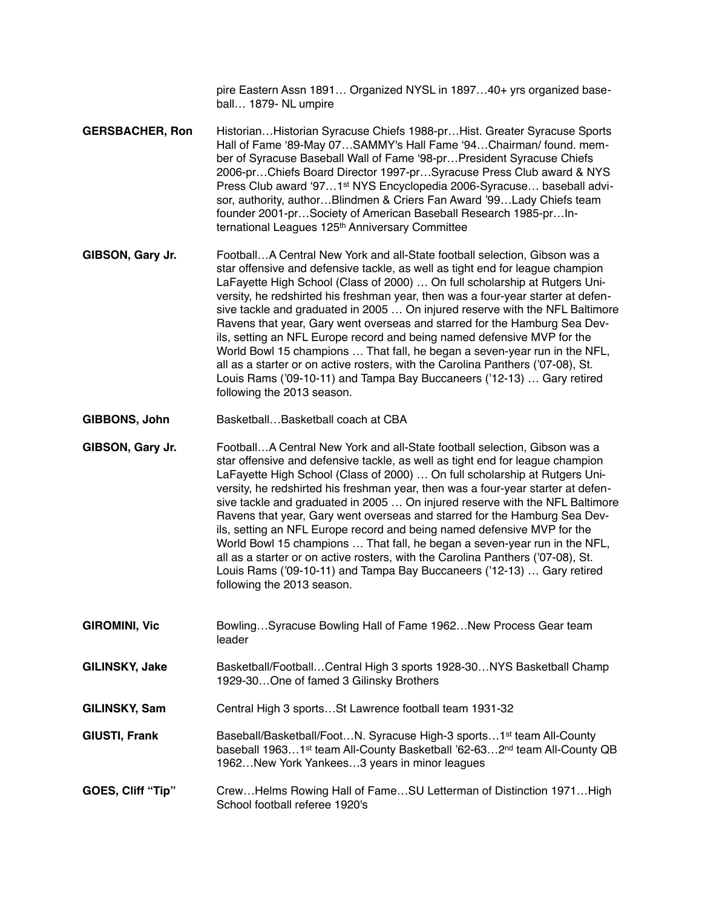pire Eastern Assn 1891… Organized NYSL in 1897…40+ yrs organized baseball… 1879- NL umpire

- **GERSBACHER, Ron** Historian…Historian Syracuse Chiefs 1988-pr…Hist. Greater Syracuse Sports Hall of Fame '89-May 07…SAMMY's Hall Fame '94…Chairman/ found. member of Syracuse Baseball Wall of Fame '98-pr…President Syracuse Chiefs 2006-pr…Chiefs Board Director 1997-pr…Syracuse Press Club award & NYS Press Club award '97…1st NYS Encyclopedia 2006-Syracuse… baseball advisor, authority, author…Blindmen & Criers Fan Award '99…Lady Chiefs team founder 2001-pr…Society of American Baseball Research 1985-pr…International Leagues 125<sup>th</sup> Anniversary Committee
- **GIBSON, Gary Jr.** Football…A Central New York and all-State football selection, Gibson was a star offensive and defensive tackle, as well as tight end for league champion LaFayette High School (Class of 2000) … On full scholarship at Rutgers University, he redshirted his freshman year, then was a four-year starter at defensive tackle and graduated in 2005 … On injured reserve with the NFL Baltimore Ravens that year, Gary went overseas and starred for the Hamburg Sea Devils, setting an NFL Europe record and being named defensive MVP for the World Bowl 15 champions … That fall, he began a seven-year run in the NFL, all as a starter or on active rosters, with the Carolina Panthers ('07-08), St. Louis Rams ('09-10-11) and Tampa Bay Buccaneers ('12-13) … Gary retired following the 2013 season.
- **GIBBONS, John** Basketball…Basketball coach at CBA
- **GIBSON, Gary Jr.** Football…A Central New York and all-State football selection, Gibson was a star offensive and defensive tackle, as well as tight end for league champion LaFayette High School (Class of 2000) … On full scholarship at Rutgers University, he redshirted his freshman year, then was a four-year starter at defensive tackle and graduated in 2005 … On injured reserve with the NFL Baltimore Ravens that year, Gary went overseas and starred for the Hamburg Sea Devils, setting an NFL Europe record and being named defensive MVP for the World Bowl 15 champions … That fall, he began a seven-year run in the NFL, all as a starter or on active rosters, with the Carolina Panthers ('07-08), St. Louis Rams ('09-10-11) and Tampa Bay Buccaneers ('12-13) … Gary retired following the 2013 season.
- **GIROMINI, Vic** Bowling…Syracuse Bowling Hall of Fame 1962…New Process Gear team leader
- **GILINSKY, Jake** Basketball/Football…Central High 3 sports 1928-30…NYS Basketball Champ 1929-30…One of famed 3 Gilinsky Brothers
- **GILINSKY, Sam** Central High 3 sports…St Lawrence football team 1931-32

**GIUSTI, Frank** Baseball/Basketball/Foot...N. Syracuse High-3 sports...1<sup>st</sup> team All-County baseball 1963...1<sup>st</sup> team All-County Basketball '62-63...2<sup>nd</sup> team All-County QB 1962…New York Yankees…3 years in minor leagues

**GOES, Cliff "Tip"** Crew…Helms Rowing Hall of Fame…SU Letterman of Distinction 1971…High School football referee 1920's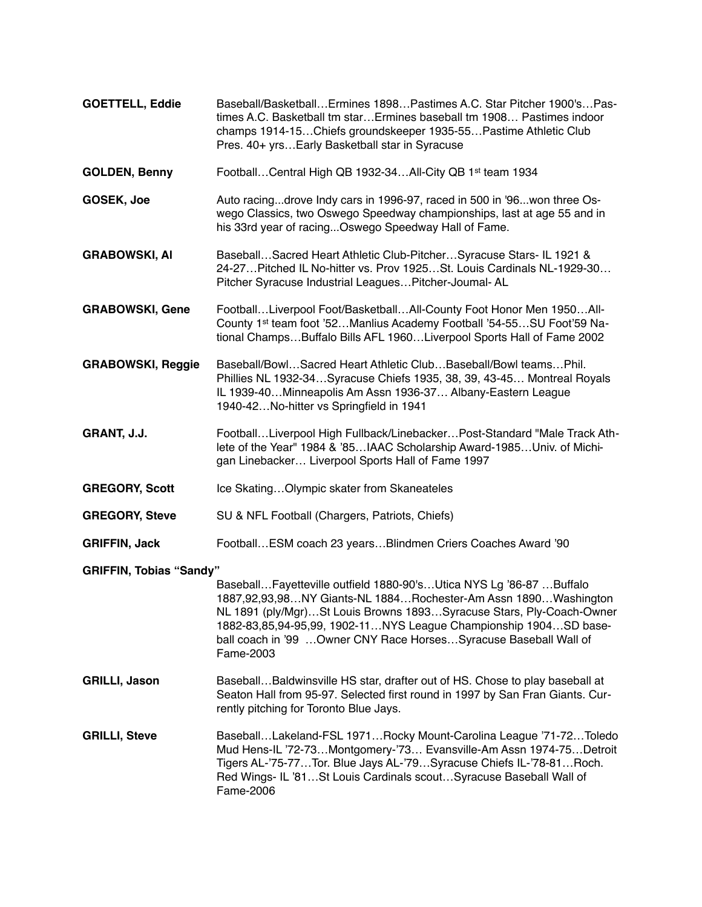| <b>GOETTELL, Eddie</b>         | Baseball/BasketballErmines 1898Pastimes A.C. Star Pitcher 1900'sPas-<br>times A.C. Basketball tm star Ermines baseball tm 1908 Pastimes indoor<br>champs 1914-15Chiefs groundskeeper 1935-55Pastime Athletic Club<br>Pres. 40+ yrsEarly Basketball star in Syracuse                                                                                                    |
|--------------------------------|------------------------------------------------------------------------------------------------------------------------------------------------------------------------------------------------------------------------------------------------------------------------------------------------------------------------------------------------------------------------|
| <b>GOLDEN, Benny</b>           | FootballCentral High QB 1932-34All-City QB 1st team 1934                                                                                                                                                                                                                                                                                                               |
| GOSEK, Joe                     | Auto racingdrove Indy cars in 1996-97, raced in 500 in '96won three Os-<br>wego Classics, two Oswego Speedway championships, last at age 55 and in<br>his 33rd year of racingOswego Speedway Hall of Fame.                                                                                                                                                             |
| <b>GRABOWSKI, AI</b>           | BaseballSacred Heart Athletic Club-PitcherSyracuse Stars- IL 1921 &<br>24-27 Pitched IL No-hitter vs. Prov 1925 St. Louis Cardinals NL-1929-30<br>Pitcher Syracuse Industrial Leagues Pitcher-Joumal-AL                                                                                                                                                                |
| <b>GRABOWSKI, Gene</b>         | FootballLiverpool Foot/BasketballAll-County Foot Honor Men 1950All-<br>County 1 <sup>st</sup> team foot '52Manlius Academy Football '54-55SU Foot'59 Na-<br>tional ChampsBuffalo Bills AFL 1960Liverpool Sports Hall of Fame 2002                                                                                                                                      |
| <b>GRABOWSKI, Reggie</b>       | Baseball/BowlSacred Heart Athletic ClubBaseball/Bowl teamsPhil.<br>Phillies NL 1932-34Syracuse Chiefs 1935, 38, 39, 43-45 Montreal Royals<br>IL 1939-40Minneapolis Am Assn 1936-37 Albany-Eastern League<br>1940-42No-hitter vs Springfield in 1941                                                                                                                    |
| GRANT, J.J.                    | FootballLiverpool High Fullback/LinebackerPost-Standard "Male Track Ath-<br>lete of the Year" 1984 & '85IAAC Scholarship Award-1985Univ. of Michi-<br>gan Linebacker Liverpool Sports Hall of Fame 1997                                                                                                                                                                |
| <b>GREGORY, Scott</b>          | Ice SkatingOlympic skater from Skaneateles                                                                                                                                                                                                                                                                                                                             |
| <b>GREGORY, Steve</b>          | SU & NFL Football (Chargers, Patriots, Chiefs)                                                                                                                                                                                                                                                                                                                         |
| <b>GRIFFIN, Jack</b>           | Football ESM coach 23 years Blindmen Criers Coaches Award '90                                                                                                                                                                                                                                                                                                          |
| <b>GRIFFIN, Tobias "Sandy"</b> | Baseball Fayetteville outfield 1880-90's Utica NYS Lg '86-87  Buffalo<br>1887,92,93,98NY Giants-NL 1884Rochester-Am Assn 1890Washington<br>NL 1891 (ply/Mgr)St Louis Browns 1893Syracuse Stars, Ply-Coach-Owner<br>1882-83,85,94-95,99, 1902-11NYS League Championship 1904SD base-<br>ball coach in '99  Owner CNY Race Horses Syracuse Baseball Wall of<br>Fame-2003 |
| <b>GRILLI, Jason</b>           | BaseballBaldwinsville HS star, drafter out of HS. Chose to play baseball at<br>Seaton Hall from 95-97. Selected first round in 1997 by San Fran Giants. Cur-<br>rently pitching for Toronto Blue Jays.                                                                                                                                                                 |
| <b>GRILLI, Steve</b>           | BaseballLakeland-FSL 1971Rocky Mount-Carolina League '71-72Toledo<br>Mud Hens-IL '72-73Montgomery-'73 Evansville-Am Assn 1974-75Detroit<br>Tigers AL-'75-77Tor. Blue Jays AL-'79Syracuse Chiefs IL-'78-81Roch.<br>Red Wings- IL '81St Louis Cardinals scoutSyracuse Baseball Wall of<br>Fame-2006                                                                      |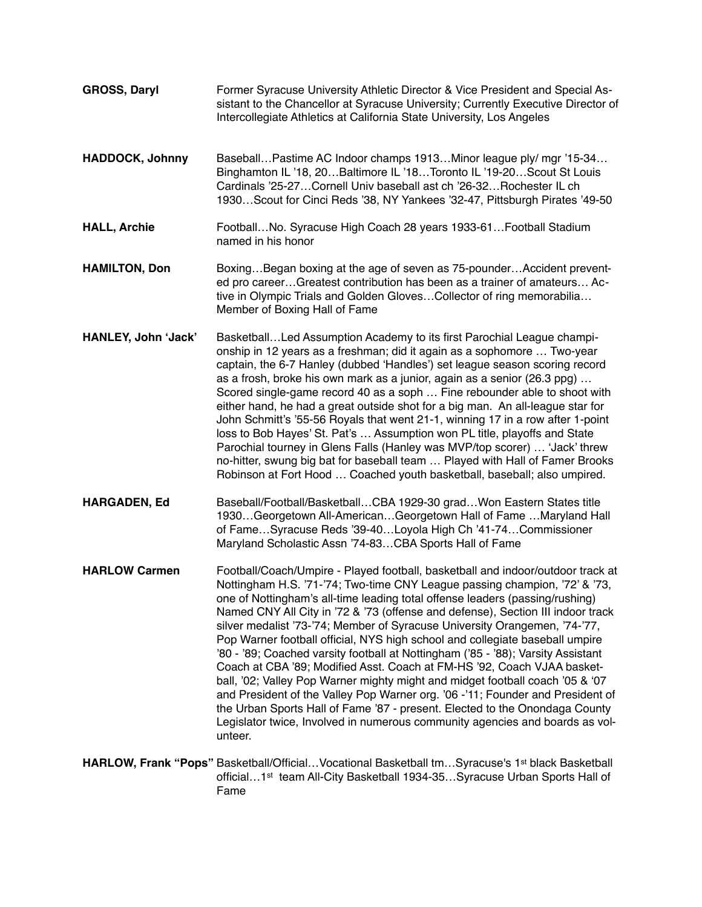**GROSS, Daryl** Former Syracuse University Athletic Director & Vice President and Special Assistant to the Chancellor at Syracuse University; Currently Executive Director of Intercollegiate Athletics at California State University, Los Angeles **HADDOCK, Johnny** Baseball…Pastime AC Indoor champs 1913…Minor league ply/ mgr '15-34… Binghamton IL '18, 20…Baltimore IL '18…Toronto IL '19-20…Scout St Louis Cardinals '25-27…Cornell Univ baseball ast ch '26-32…Rochester IL ch 1930…Scout for Cinci Reds '38, NY Yankees '32-47, Pittsburgh Pirates '49-50 **HALL, Archie** Football…No. Syracuse High Coach 28 years 1933-61…Football Stadium named in his honor **HAMILTON, Don** Boxing…Began boxing at the age of seven as 75-pounder…Accident prevented pro career…Greatest contribution has been as a trainer of amateurs… Active in Olympic Trials and Golden Gloves…Collector of ring memorabilia… Member of Boxing Hall of Fame **HANLEY, John 'Jack'** Basketball…Led Assumption Academy to its first Parochial League championship in 12 years as a freshman; did it again as a sophomore … Two-year captain, the 6-7 Hanley (dubbed 'Handles') set league season scoring record as a frosh, broke his own mark as a junior, again as a senior (26.3 ppg) … Scored single-game record 40 as a soph … Fine rebounder able to shoot with either hand, he had a great outside shot for a big man. An all-league star for John Schmitt's '55-56 Royals that went 21-1, winning 17 in a row after 1-point loss to Bob Hayes' St. Pat's … Assumption won PL title, playoffs and State Parochial tourney in Glens Falls (Hanley was MVP/top scorer) … 'Jack' threw no-hitter, swung big bat for baseball team … Played with Hall of Famer Brooks Robinson at Fort Hood … Coached youth basketball, baseball; also umpired. **HARGADEN, Ed** Baseball/Football/Basketball...CBA 1929-30 grad...Won Eastern States title 1930…Georgetown All-American…Georgetown Hall of Fame …Maryland Hall of Fame…Syracuse Reds '39-40…Loyola High Ch '41-74…Commissioner Maryland Scholastic Assn '74-83…CBA Sports Hall of Fame **HARLOW Carmen** Football/Coach/Umpire - Played football, basketball and indoor/outdoor track at Nottingham H.S. '71-'74; Two-time CNY League passing champion, '72' & '73, one of Nottingham's all-time leading total offense leaders (passing/rushing) Named CNY All City in '72 & '73 (offense and defense), Section III indoor track silver medalist '73-'74; Member of Syracuse University Orangemen, '74-'77, Pop Warner football official, NYS high school and collegiate baseball umpire '80 - '89; Coached varsity football at Nottingham ('85 - '88); Varsity Assistant Coach at CBA '89; Modified Asst. Coach at FM-HS '92, Coach VJAA basketball, '02; Valley Pop Warner mighty might and midget football coach '05 & '07 and President of the Valley Pop Warner org. '06 -'11; Founder and President of the Urban Sports Hall of Fame '87 - present. Elected to the Onondaga County Legislator twice, Involved in numerous community agencies and boards as volunteer. **HARLOW, Frank "Pops"** Basketball/Official...Vocational Basketball tm...Syracuse's 1<sup>st</sup> black Basketball official…1st team All-City Basketball 1934-35…Syracuse Urban Sports Hall of Fame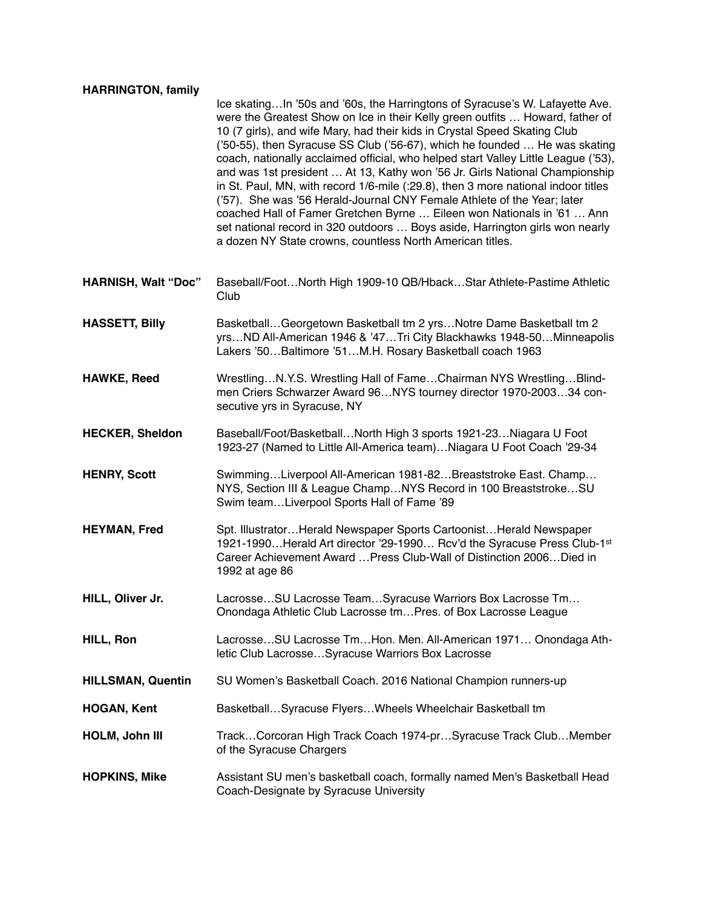#### **HARRINGTON, family**

Ice skating…In '50s and '60s, the Harringtons of Syracuse's W. Lafayette Ave. were the Greatest Show on Ice in their Kelly green outfits … Howard, father of 10 (7 girls), and wife Mary, had their kids in Crystal Speed Skating Club ('50-55), then Syracuse SS Club ('56-67), which he founded … He was skating coach, nationally acclaimed official, who helped start Valley Little League ('53), and was 1st president … At 13, Kathy won '56 Jr. Girls National Championship in St. Paul, MN, with record 1/6-mile (:29.8), then 3 more national indoor titles ('57). She was '56 Herald-Journal CNY Female Athlete of the Year; later coached Hall of Famer Gretchen Byrne … Eileen won Nationals in '61 … Ann set national record in 320 outdoors … Boys aside, Harrington girls won nearly a dozen NY State crowns, countless North American titles.

- **HARNISH, Walt "Doc"** Baseball/Foot…North High 1909-10 QB/Hback…Star Athlete-Pastime Athletic Club
- **HASSETT, Billy** Basketball...Georgetown Basketball tm 2 yrs...Notre Dame Basketball tm 2 yrs…ND All-American 1946 & '47…Tri City Blackhawks 1948-50…Minneapolis Lakers '50…Baltimore '51…M.H. Rosary Basketball coach 1963
- **HAWKE, Reed** Wrestling…N.Y.S. Wrestling Hall of Fame…Chairman NYS Wrestling…Blindmen Criers Schwarzer Award 96…NYS tourney director 1970-2003…34 consecutive yrs in Syracuse, NY
- **HECKER, Sheldon** Baseball/Foot/Basketball…North High 3 sports 1921-23…Niagara U Foot 1923-27 (Named to Little All-America team)…Niagara U Foot Coach '29-34
- **HENRY. Scott** Swimming...Liverpool All-American 1981-82...Breaststroke East. Champ... NYS, Section III & League Champ…NYS Record in 100 Breaststroke…SU Swim team…Liverpool Sports Hall of Fame '89
- **HEYMAN, Fred** Spt. Illustrator…Herald Newspaper Sports Cartoonist…Herald Newspaper 1921-1990…Herald Art director '29-1990… Rcv'd the Syracuse Press Club-1st Career Achievement Award …Press Club-Wall of Distinction 2006…Died in 1992 at age 86
- **HILL, Oliver Jr.** Lacrosse…SU Lacrosse Team…Syracuse Warriors Box Lacrosse Tm… Onondaga Athletic Club Lacrosse tm…Pres. of Box Lacrosse League
- **HILL, Ron** Lacrosse…SU Lacrosse Tm…Hon. Men. All-American 1971… Onondaga Athletic Club Lacrosse…Syracuse Warriors Box Lacrosse
- **HILLSMAN, Quentin** SU Women's Basketball Coach. 2016 National Champion runners-up
- **HOGAN, Kent** Basketball…Syracuse Flyers…Wheels Wheelchair Basketball tm
- **HOLM, John III** Track…Corcoran High Track Coach 1974-pr…Syracuse Track Club…Member of the Syracuse Chargers
- **HOPKINS, Mike** Assistant SU men's basketball coach, formally named Men's Basketball Head Coach-Designate by Syracuse University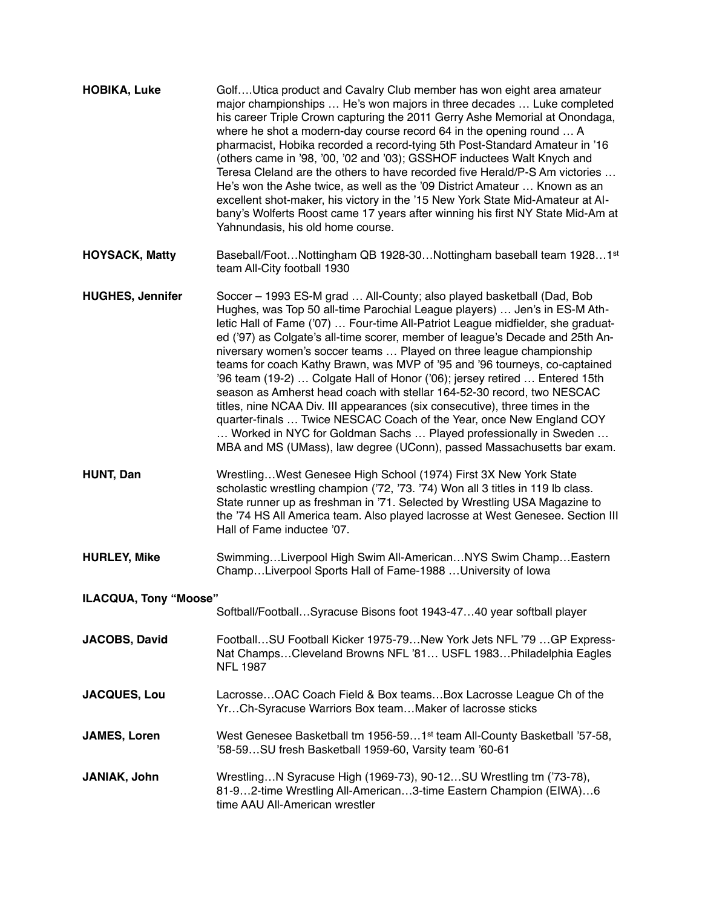| <b>HOBIKA, Luke</b>          | GolfUtica product and Cavalry Club member has won eight area amateur<br>major championships  He's won majors in three decades  Luke completed<br>his career Triple Crown capturing the 2011 Gerry Ashe Memorial at Onondaga,<br>where he shot a modern-day course record 64 in the opening round  A<br>pharmacist, Hobika recorded a record-tying 5th Post-Standard Amateur in '16<br>(others came in '98, '00, '02 and '03); GSSHOF inductees Walt Knych and<br>Teresa Cleland are the others to have recorded five Herald/P-S Am victories<br>He's won the Ashe twice, as well as the '09 District Amateur  Known as an<br>excellent shot-maker, his victory in the '15 New York State Mid-Amateur at Al-<br>bany's Wolferts Roost came 17 years after winning his first NY State Mid-Am at<br>Yahnundasis, his old home course.                                                                                                        |
|------------------------------|-------------------------------------------------------------------------------------------------------------------------------------------------------------------------------------------------------------------------------------------------------------------------------------------------------------------------------------------------------------------------------------------------------------------------------------------------------------------------------------------------------------------------------------------------------------------------------------------------------------------------------------------------------------------------------------------------------------------------------------------------------------------------------------------------------------------------------------------------------------------------------------------------------------------------------------------|
| <b>HOYSACK, Matty</b>        | Baseball/FootNottingham QB 1928-30Nottingham baseball team 19281st<br>team All-City football 1930                                                                                                                                                                                                                                                                                                                                                                                                                                                                                                                                                                                                                                                                                                                                                                                                                                         |
| <b>HUGHES, Jennifer</b>      | Soccer - 1993 ES-M grad  All-County; also played basketball (Dad, Bob<br>Hughes, was Top 50 all-time Parochial League players)  Jen's in ES-M Ath-<br>letic Hall of Fame ('07)  Four-time All-Patriot League midfielder, she graduat-<br>ed ('97) as Colgate's all-time scorer, member of league's Decade and 25th An-<br>niversary women's soccer teams  Played on three league championship<br>teams for coach Kathy Brawn, was MVP of '95 and '96 tourneys, co-captained<br>'96 team (19-2)  Colgate Hall of Honor ('06); jersey retired  Entered 15th<br>season as Amherst head coach with stellar 164-52-30 record, two NESCAC<br>titles, nine NCAA Div. III appearances (six consecutive), three times in the<br>quarter-finals  Twice NESCAC Coach of the Year, once New England COY<br>Worked in NYC for Goldman Sachs  Played professionally in Sweden<br>MBA and MS (UMass), law degree (UConn), passed Massachusetts bar exam. |
| <b>HUNT, Dan</b>             | WrestlingWest Genesee High School (1974) First 3X New York State<br>scholastic wrestling champion ('72, '73. '74) Won all 3 titles in 119 lb class.<br>State runner up as freshman in '71. Selected by Wrestling USA Magazine to<br>the '74 HS All America team. Also played lacrosse at West Genesee. Section III<br>Hall of Fame inductee '07.                                                                                                                                                                                                                                                                                                                                                                                                                                                                                                                                                                                          |
| <b>HURLEY, Mike</b>          | SwimmingLiverpool High Swim All-AmericanNYS Swim ChampEastern<br>ChampLiverpool Sports Hall of Fame-1988 University of lowa                                                                                                                                                                                                                                                                                                                                                                                                                                                                                                                                                                                                                                                                                                                                                                                                               |
| <b>ILACQUA, Tony "Moose"</b> |                                                                                                                                                                                                                                                                                                                                                                                                                                                                                                                                                                                                                                                                                                                                                                                                                                                                                                                                           |
|                              | Softball/FootballSyracuse Bisons foot 1943-4740 year softball player                                                                                                                                                                                                                                                                                                                                                                                                                                                                                                                                                                                                                                                                                                                                                                                                                                                                      |
| <b>JACOBS, David</b>         | Football SU Football Kicker 1975-79 New York Jets NFL '79  GP Express-<br>Nat ChampsCleveland Browns NFL '81 USFL 1983Philadelphia Eagles<br><b>NFL 1987</b>                                                                                                                                                                                                                                                                                                                                                                                                                                                                                                                                                                                                                                                                                                                                                                              |
| <b>JACQUES, Lou</b>          | LacrosseOAC Coach Field & Box teamsBox Lacrosse League Ch of the<br>YrCh-Syracuse Warriors Box teamMaker of lacrosse sticks                                                                                                                                                                                                                                                                                                                                                                                                                                                                                                                                                                                                                                                                                                                                                                                                               |
| <b>JAMES, Loren</b>          | West Genesee Basketball tm 1956-591 <sup>st</sup> team All-County Basketball '57-58,<br>'58-59SU fresh Basketball 1959-60, Varsity team '60-61                                                                                                                                                                                                                                                                                                                                                                                                                                                                                                                                                                                                                                                                                                                                                                                            |
| JANIAK, John                 | WrestlingN Syracuse High (1969-73), 90-12SU Wrestling tm ('73-78),<br>81-92-time Wrestling All-American3-time Eastern Champion (EIWA)6<br>time AAU All-American wrestler                                                                                                                                                                                                                                                                                                                                                                                                                                                                                                                                                                                                                                                                                                                                                                  |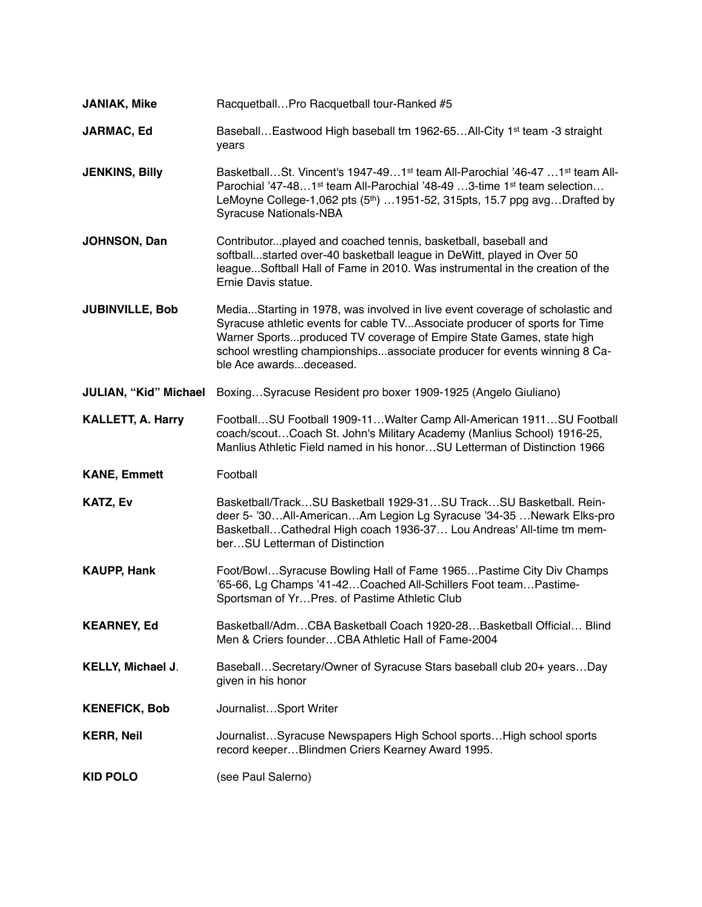| <b>JANIAK, Mike</b>          | RacquetballPro Racquetball tour-Ranked #5                                                                                                                                                                                                                                                                                                 |
|------------------------------|-------------------------------------------------------------------------------------------------------------------------------------------------------------------------------------------------------------------------------------------------------------------------------------------------------------------------------------------|
| <b>JARMAC, Ed</b>            | Baseball Eastwood High baseball tm 1962-65 All-City 1 <sup>st</sup> team -3 straight<br>years                                                                                                                                                                                                                                             |
| <b>JENKINS, Billy</b>        | BasketballSt. Vincent's 1947-491 <sup>st</sup> team All-Parochial '46-47 1 <sup>st</sup> team All-<br>Parochial '47-481 <sup>st</sup> team All-Parochial '48-49 3-time 1 <sup>st</sup> team selection<br>LeMoyne College-1,062 pts (5 <sup>th</sup> ) 1951-52, 315pts, 15.7 ppg avgDrafted by<br><b>Syracuse Nationals-NBA</b>            |
| <b>JOHNSON, Dan</b>          | Contributorplayed and coached tennis, basketball, baseball and<br>softballstarted over-40 basketball league in DeWitt, played in Over 50<br>leagueSoftball Hall of Fame in 2010. Was instrumental in the creation of the<br>Ernie Davis statue.                                                                                           |
| <b>JUBINVILLE, Bob</b>       | MediaStarting in 1978, was involved in live event coverage of scholastic and<br>Syracuse athletic events for cable TVAssociate producer of sports for Time<br>Warner Sportsproduced TV coverage of Empire State Games, state high<br>school wrestling championshipsassociate producer for events winning 8 Ca-<br>ble Ace awardsdeceased. |
| <b>JULIAN, "Kid" Michael</b> | BoxingSyracuse Resident pro boxer 1909-1925 (Angelo Giuliano)                                                                                                                                                                                                                                                                             |
| <b>KALLETT, A. Harry</b>     | FootballSU Football 1909-11Walter Camp All-American 1911SU Football<br>coach/scoutCoach St. John's Military Academy (Manlius School) 1916-25,<br>Manlius Athletic Field named in his honorSU Letterman of Distinction 1966                                                                                                                |
| <b>KANE, Emmett</b>          | Football                                                                                                                                                                                                                                                                                                                                  |
| <b>KATZ, Ev</b>              | Basketball/TrackSU Basketball 1929-31SU TrackSU Basketball. Rein-<br>deer 5- '30All-AmericanAm Legion Lg Syracuse '34-35 Newark Elks-pro<br>BasketballCathedral High coach 1936-37 Lou Andreas' All-time tm mem-<br>berSU Letterman of Distinction                                                                                        |
| <b>KAUPP, Hank</b>           | Foot/BowlSyracuse Bowling Hall of Fame 1965Pastime City Div Champs<br>'65-66, Lg Champs '41-42 Coached All-Schillers Foot team Pastime-<br>Sportsman of YrPres. of Pastime Athletic Club                                                                                                                                                  |
| <b>KEARNEY, Ed</b>           | Basketball/AdmCBA Basketball Coach 1920-28Basketball Official Blind<br>Men & Criers founderCBA Athletic Hall of Fame-2004                                                                                                                                                                                                                 |
| KELLY, Michael J.            | BaseballSecretary/Owner of Syracuse Stars baseball club 20+ yearsDay<br>given in his honor                                                                                                                                                                                                                                                |
| <b>KENEFICK, Bob</b>         | JournalistSport Writer                                                                                                                                                                                                                                                                                                                    |
| <b>KERR, Neil</b>            | JournalistSyracuse Newspapers High School sportsHigh school sports<br>record keeper Blindmen Criers Kearney Award 1995.                                                                                                                                                                                                                   |
| <b>KID POLO</b>              | (see Paul Salerno)                                                                                                                                                                                                                                                                                                                        |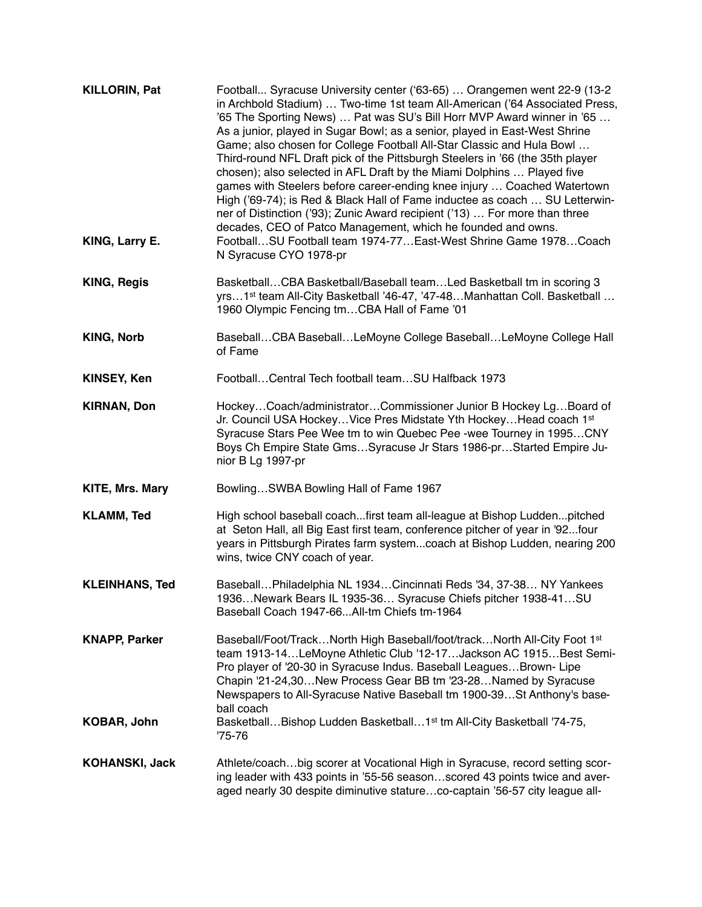| <b>KILLORIN, Pat</b>  | Football Syracuse University center ('63-65)  Orangemen went 22-9 (13-2<br>in Archbold Stadium)  Two-time 1st team All-American ('64 Associated Press,<br>'65 The Sporting News)  Pat was SU's Bill Horr MVP Award winner in '65<br>As a junior, played in Sugar Bowl; as a senior, played in East-West Shrine<br>Game; also chosen for College Football All-Star Classic and Hula Bowl<br>Third-round NFL Draft pick of the Pittsburgh Steelers in '66 (the 35th player<br>chosen); also selected in AFL Draft by the Miami Dolphins  Played five<br>games with Steelers before career-ending knee injury  Coached Watertown<br>High ('69-74); is Red & Black Hall of Fame inductee as coach  SU Letterwin-<br>ner of Distinction ('93); Zunic Award recipient ('13)  For more than three<br>decades, CEO of Patco Management, which he founded and owns. |
|-----------------------|------------------------------------------------------------------------------------------------------------------------------------------------------------------------------------------------------------------------------------------------------------------------------------------------------------------------------------------------------------------------------------------------------------------------------------------------------------------------------------------------------------------------------------------------------------------------------------------------------------------------------------------------------------------------------------------------------------------------------------------------------------------------------------------------------------------------------------------------------------|
| KING, Larry E.        | FootballSU Football team 1974-77East-West Shrine Game 1978Coach<br>N Syracuse CYO 1978-pr                                                                                                                                                                                                                                                                                                                                                                                                                                                                                                                                                                                                                                                                                                                                                                  |
| <b>KING, Regis</b>    | BasketballCBA Basketball/Baseball teamLed Basketball tm in scoring 3<br>yrs1 <sup>st</sup> team All-City Basketball '46-47, '47-48Manhattan Coll. Basketball<br>1960 Olympic Fencing tmCBA Hall of Fame '01                                                                                                                                                                                                                                                                                                                                                                                                                                                                                                                                                                                                                                                |
| <b>KING, Norb</b>     | BaseballCBA BaseballLeMoyne College BaseballLeMoyne College Hall<br>of Fame                                                                                                                                                                                                                                                                                                                                                                                                                                                                                                                                                                                                                                                                                                                                                                                |
| <b>KINSEY, Ken</b>    | FootballCentral Tech football teamSU Halfback 1973                                                                                                                                                                                                                                                                                                                                                                                                                                                                                                                                                                                                                                                                                                                                                                                                         |
| <b>KIRNAN, Don</b>    | HockeyCoach/administratorCommissioner Junior B Hockey LgBoard of<br>Jr. Council USA Hockey Vice Pres Midstate Yth Hockey Head coach 1st<br>Syracuse Stars Pee Wee tm to win Quebec Pee -wee Tourney in 1995CNY<br>Boys Ch Empire State GmsSyracuse Jr Stars 1986-prStarted Empire Ju-<br>nior B Lg 1997-pr                                                                                                                                                                                                                                                                                                                                                                                                                                                                                                                                                 |
| KITE, Mrs. Mary       | BowlingSWBA Bowling Hall of Fame 1967                                                                                                                                                                                                                                                                                                                                                                                                                                                                                                                                                                                                                                                                                                                                                                                                                      |
| <b>KLAMM, Ted</b>     | High school baseball coachfirst team all-league at Bishop Luddenpitched<br>at Seton Hall, all Big East first team, conference pitcher of year in '92four<br>years in Pittsburgh Pirates farm systemcoach at Bishop Ludden, nearing 200<br>wins, twice CNY coach of year.                                                                                                                                                                                                                                                                                                                                                                                                                                                                                                                                                                                   |
| <b>KLEINHANS, Ted</b> | BaseballPhiladelphia NL 1934Cincinnati Reds '34, 37-38 NY Yankees<br>1936Newark Bears IL 1935-36 Syracuse Chiefs pitcher 1938-41SU<br>Baseball Coach 1947-66All-tm Chiefs tm-1964                                                                                                                                                                                                                                                                                                                                                                                                                                                                                                                                                                                                                                                                          |
| <b>KNAPP, Parker</b>  | Baseball/Foot/TrackNorth High Baseball/foot/trackNorth All-City Foot 1st<br>team 1913-14LeMoyne Athletic Club '12-17Jackson AC 1915Best Semi-<br>Pro player of '20-30 in Syracuse Indus. Baseball Leagues Brown- Lipe<br>Chapin '21-24,30New Process Gear BB tm '23-28Named by Syracuse<br>Newspapers to All-Syracuse Native Baseball tm 1900-39 St Anthony's base-<br>ball coach                                                                                                                                                                                                                                                                                                                                                                                                                                                                          |
| <b>KOBAR, John</b>    | BasketballBishop Ludden Basketball1 <sup>st</sup> tm All-City Basketball '74-75,<br>$75 - 76$                                                                                                                                                                                                                                                                                                                                                                                                                                                                                                                                                                                                                                                                                                                                                              |
| <b>KOHANSKI, Jack</b> | Athlete/coachbig scorer at Vocational High in Syracuse, record setting scor-<br>ing leader with 433 points in '55-56 seasonscored 43 points twice and aver-<br>aged nearly 30 despite diminutive statureco-captain '56-57 city league all-                                                                                                                                                                                                                                                                                                                                                                                                                                                                                                                                                                                                                 |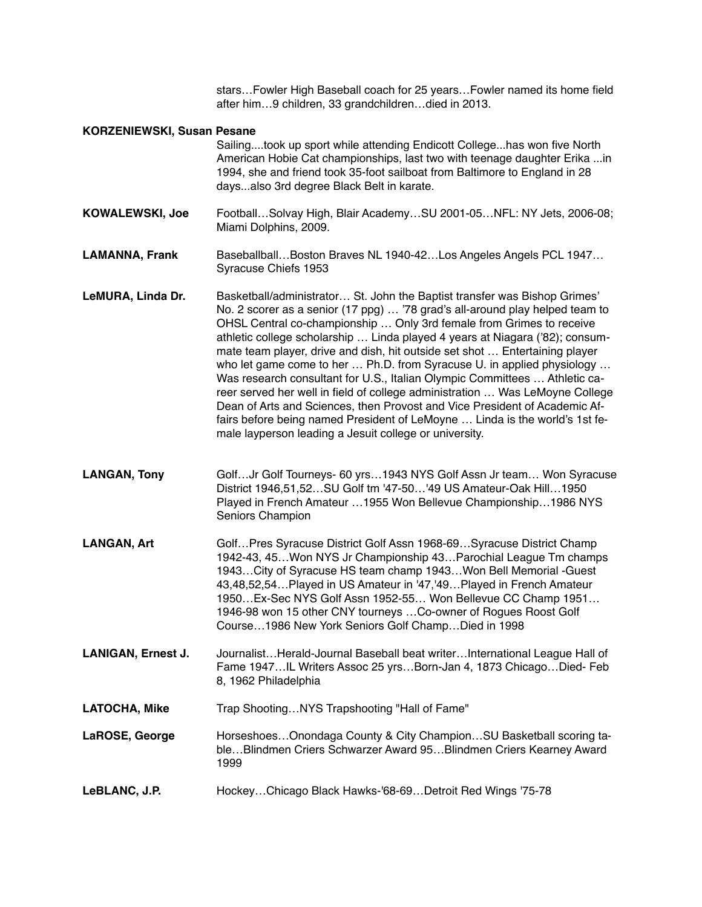stars…Fowler High Baseball coach for 25 years…Fowler named its home field after him…9 children, 33 grandchildren…died in 2013.

#### **KORZENIEWSKI, Susan Pesane**

Sailing....took up sport while attending Endicott College...has won five North American Hobie Cat championships, last two with teenage daughter Erika ...in 1994, she and friend took 35-foot sailboat from Baltimore to England in 28 days...also 3rd degree Black Belt in karate.

**KOWALEWSKI, Joe** Football…Solvay High, Blair Academy…SU 2001-05…NFL: NY Jets, 2006-08; Miami Dolphins, 2009.

- **LAMANNA, Frank** Baseballball…Boston Braves NL 1940-42…Los Angeles Angels PCL 1947… Syracuse Chiefs 1953
- LeMURA, Linda Dr. Basketball/administrator... St. John the Baptist transfer was Bishop Grimes' No. 2 scorer as a senior (17 ppg) … '78 grad's all-around play helped team to OHSL Central co-championship … Only 3rd female from Grimes to receive athletic college scholarship … Linda played 4 years at Niagara ('82); consummate team player, drive and dish, hit outside set shot … Entertaining player who let game come to her ... Ph.D. from Syracuse U. in applied physiology ... Was research consultant for U.S., Italian Olympic Committees … Athletic career served her well in field of college administration … Was LeMoyne College Dean of Arts and Sciences, then Provost and Vice President of Academic Affairs before being named President of LeMoyne … Linda is the world's 1st female layperson leading a Jesuit college or university.
- **LANGAN, Tony** Golf…Jr Golf Tourneys- 60 yrs…1943 NYS Golf Assn Jr team… Won Syracuse District 1946,51,52…SU Golf tm '47-50…'49 US Amateur-Oak Hill…1950 Played in French Amateur …1955 Won Bellevue Championship…1986 NYS Seniors Champion
- LANGAN, Art **Golf...Pres Syracuse District Golf Assn 1968-69...Syracuse District Champ** 1942-43, 45…Won NYS Jr Championship 43…Parochial League Tm champs 1943…City of Syracuse HS team champ 1943…Won Bell Memorial -Guest 43,48,52,54…Played in US Amateur in '47,'49…Played in French Amateur 1950…Ex-Sec NYS Golf Assn 1952-55… Won Bellevue CC Champ 1951… 1946-98 won 15 other CNY tourneys …Co-owner of Rogues Roost Golf Course…1986 New York Seniors Golf Champ…Died in 1998
- **LANIGAN, Ernest J.** Journalist…Herald-Journal Baseball beat writer…International League Hall of Fame 1947…IL Writers Assoc 25 yrs…Born-Jan 4, 1873 Chicago…Died- Feb 8, 1962 Philadelphia
- LATOCHA, Mike Trap Shooting...NYS Trapshooting "Hall of Fame"

**LaROSE, George** Horseshoes…Onondaga County & City Champion…SU Basketball scoring table…Blindmen Criers Schwarzer Award 95…Blindmen Criers Kearney Award 1999

**LeBLANC, J.P.** Hockey…Chicago Black Hawks-'68-69…Detroit Red Wings '75-78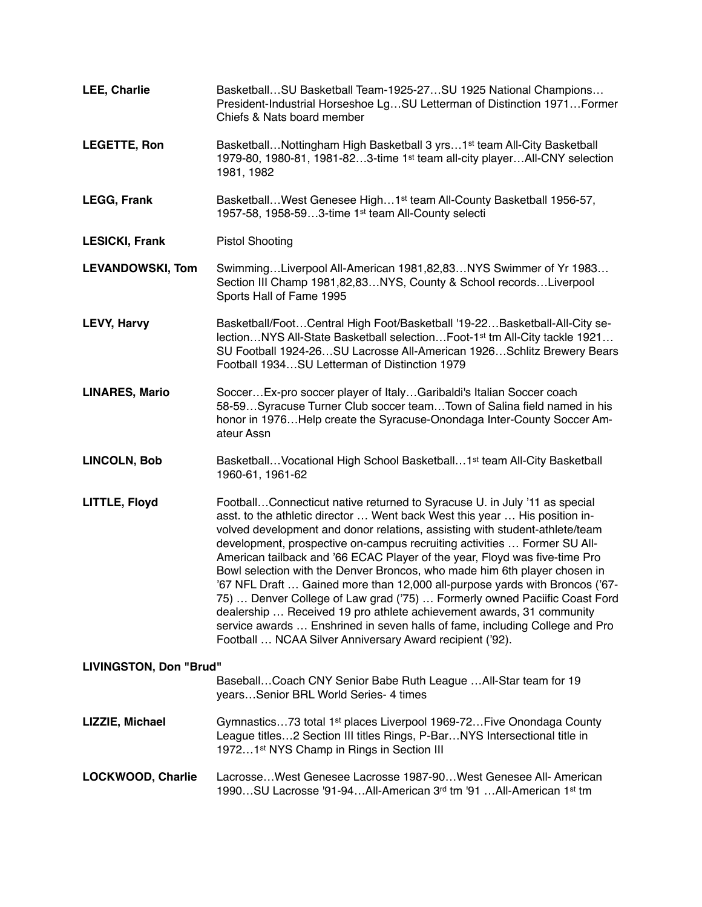| <b>LEE, Charlie</b>                                                                        | Basketball SU Basketball Team-1925-27 SU 1925 National Champions<br>President-Industrial Horseshoe LgSU Letterman of Distinction 1971Former<br>Chiefs & Nats board member                                                                                                                                                                                                                                                                                                                                                                                                                                                                                                                                                                                                                                                                                    |
|--------------------------------------------------------------------------------------------|--------------------------------------------------------------------------------------------------------------------------------------------------------------------------------------------------------------------------------------------------------------------------------------------------------------------------------------------------------------------------------------------------------------------------------------------------------------------------------------------------------------------------------------------------------------------------------------------------------------------------------------------------------------------------------------------------------------------------------------------------------------------------------------------------------------------------------------------------------------|
| <b>LEGETTE, Ron</b>                                                                        | Basketball Nottingham High Basketball 3 yrs 1 <sup>st</sup> team All-City Basketball<br>1979-80, 1980-81, 1981-823-time 1st team all-city playerAll-CNY selection<br>1981, 1982                                                                                                                                                                                                                                                                                                                                                                                                                                                                                                                                                                                                                                                                              |
| <b>LEGG, Frank</b>                                                                         | Basketball West Genesee High 1st team All-County Basketball 1956-57,<br>1957-58, 1958-593-time 1st team All-County selecti                                                                                                                                                                                                                                                                                                                                                                                                                                                                                                                                                                                                                                                                                                                                   |
| <b>LESICKI, Frank</b>                                                                      | <b>Pistol Shooting</b>                                                                                                                                                                                                                                                                                                                                                                                                                                                                                                                                                                                                                                                                                                                                                                                                                                       |
| <b>LEVANDOWSKI, Tom</b>                                                                    | SwimmingLiverpool All-American 1981,82,83NYS Swimmer of Yr 1983<br>Section III Champ 1981,82,83NYS, County & School recordsLiverpool<br>Sports Hall of Fame 1995                                                                                                                                                                                                                                                                                                                                                                                                                                                                                                                                                                                                                                                                                             |
| <b>LEVY, Harvy</b>                                                                         | Basketball/FootCentral High Foot/Basketball '19-22Basketball-All-City se-<br>lectionNYS All-State Basketball selectionFoot-1 <sup>st</sup> tm All-City tackle 1921<br>SU Football 1924-26SU Lacrosse All-American 1926Schlitz Brewery Bears<br>Football 1934SU Letterman of Distinction 1979                                                                                                                                                                                                                                                                                                                                                                                                                                                                                                                                                                 |
| <b>LINARES, Mario</b>                                                                      | SoccerEx-pro soccer player of ItalyGaribaldi's Italian Soccer coach<br>58-59Syracuse Turner Club soccer teamTown of Salina field named in his<br>honor in 1976 Help create the Syracuse-Onondaga Inter-County Soccer Am-<br>ateur Assn                                                                                                                                                                                                                                                                                                                                                                                                                                                                                                                                                                                                                       |
| <b>LINCOLN, Bob</b>                                                                        | Basketball Vocational High School Basketball 1 <sup>st</sup> team All-City Basketball<br>1960-61, 1961-62                                                                                                                                                                                                                                                                                                                                                                                                                                                                                                                                                                                                                                                                                                                                                    |
| LITTLE, Floyd                                                                              | FootballConnecticut native returned to Syracuse U. in July '11 as special<br>asst. to the athletic director  Went back West this year  His position in-<br>volved development and donor relations, assisting with student-athlete/team<br>development, prospective on-campus recruiting activities  Former SU All-<br>American tailback and '66 ECAC Player of the year, Floyd was five-time Pro<br>Bowl selection with the Denver Broncos, who made him 6th player chosen in<br>'67 NFL Draft  Gained more than 12,000 all-purpose yards with Broncos ('67-<br>75)  Denver College of Law grad ('75)  Formerly owned Paciific Coast Ford<br>dealership  Received 19 pro athlete achievement awards, 31 community<br>service awards  Enshrined in seven halls of fame, including College and Pro<br>Football  NCAA Silver Anniversary Award recipient ('92). |
| LIVINGSTON, Don "Brud"<br>Baseball Coach CNY Senior Babe Ruth League  All-Star team for 19 |                                                                                                                                                                                                                                                                                                                                                                                                                                                                                                                                                                                                                                                                                                                                                                                                                                                              |
|                                                                                            | yearsSenior BRL World Series- 4 times                                                                                                                                                                                                                                                                                                                                                                                                                                                                                                                                                                                                                                                                                                                                                                                                                        |
| LIZZIE, Michael                                                                            | Gymnastics73 total 1 <sup>st</sup> places Liverpool 1969-72Five Onondaga County<br>League titles2 Section III titles Rings, P-BarNYS Intersectional title in<br>19721st NYS Champ in Rings in Section III                                                                                                                                                                                                                                                                                                                                                                                                                                                                                                                                                                                                                                                    |
| LOCKWOOD, Charlie                                                                          | LacrosseWest Genesee Lacrosse 1987-90West Genesee All- American<br>1990SU Lacrosse '91-94All-American 3rd tm '91 All-American 1st tm                                                                                                                                                                                                                                                                                                                                                                                                                                                                                                                                                                                                                                                                                                                         |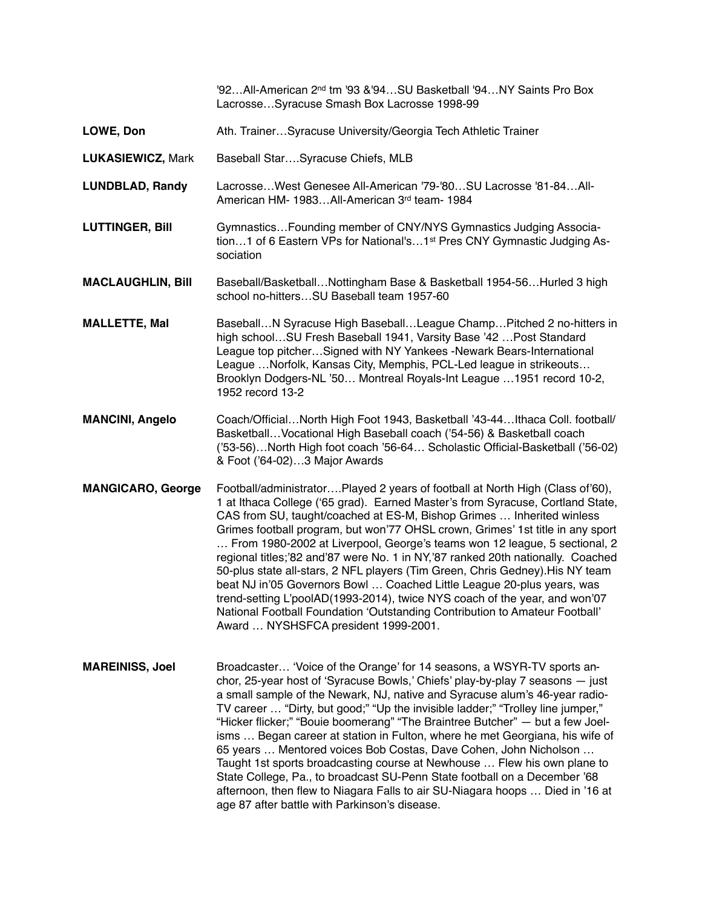|                          | '92All-American 2 <sup>nd</sup> tm '93 &'94SU Basketball '94NY Saints Pro Box<br>LacrosseSyracuse Smash Box Lacrosse 1998-99                                                                                                                                                                                                                                                                                                                                                                                                                                                                                                                                                                                                                                                                                                                               |
|--------------------------|------------------------------------------------------------------------------------------------------------------------------------------------------------------------------------------------------------------------------------------------------------------------------------------------------------------------------------------------------------------------------------------------------------------------------------------------------------------------------------------------------------------------------------------------------------------------------------------------------------------------------------------------------------------------------------------------------------------------------------------------------------------------------------------------------------------------------------------------------------|
| LOWE, Don                | Ath. TrainerSyracuse University/Georgia Tech Athletic Trainer                                                                                                                                                                                                                                                                                                                                                                                                                                                                                                                                                                                                                                                                                                                                                                                              |
| <b>LUKASIEWICZ, Mark</b> | Baseball StarSyracuse Chiefs, MLB                                                                                                                                                                                                                                                                                                                                                                                                                                                                                                                                                                                                                                                                                                                                                                                                                          |
| <b>LUNDBLAD, Randy</b>   | LacrosseWest Genesee All-American '79-'80SU Lacrosse '81-84All-<br>American HM- 1983All-American 3rd team- 1984                                                                                                                                                                                                                                                                                                                                                                                                                                                                                                                                                                                                                                                                                                                                            |
| <b>LUTTINGER, Bill</b>   | Gymnastics Founding member of CNY/NYS Gymnastics Judging Associa-<br>tion1 of 6 Eastern VPs for National's1 <sup>st</sup> Pres CNY Gymnastic Judging As-<br>sociation                                                                                                                                                                                                                                                                                                                                                                                                                                                                                                                                                                                                                                                                                      |
| <b>MACLAUGHLIN, Bill</b> | Baseball/BasketballNottingham Base & Basketball 1954-56Hurled 3 high<br>school no-hittersSU Baseball team 1957-60                                                                                                                                                                                                                                                                                                                                                                                                                                                                                                                                                                                                                                                                                                                                          |
| <b>MALLETTE, Mal</b>     | BaseballN Syracuse High BaseballLeague ChampPitched 2 no-hitters in<br>high schoolSU Fresh Baseball 1941, Varsity Base '42  Post Standard<br>League top pitcher Signed with NY Yankees -Newark Bears-International<br>League  Norfolk, Kansas City, Memphis, PCL-Led league in strikeouts<br>Brooklyn Dodgers-NL '50 Montreal Royals-Int League  1951 record 10-2,<br>1952 record 13-2                                                                                                                                                                                                                                                                                                                                                                                                                                                                     |
| <b>MANCINI, Angelo</b>   | Coach/OfficialNorth High Foot 1943, Basketball '43-44Ithaca Coll. football/<br>Basketball Vocational High Baseball coach ('54-56) & Basketball coach<br>('53-56)North High foot coach '56-64 Scholastic Official-Basketball ('56-02)<br>& Foot ('64-02)3 Major Awards                                                                                                                                                                                                                                                                                                                                                                                                                                                                                                                                                                                      |
| <b>MANGICARO, George</b> | Football/administratorPlayed 2 years of football at North High (Class of'60),<br>1 at Ithaca College ('65 grad). Earned Master's from Syracuse, Cortland State,<br>CAS from SU, taught/coached at ES-M, Bishop Grimes  Inherited winless<br>Grimes football program, but won'77 OHSL crown, Grimes' 1st title in any sport<br>From 1980-2002 at Liverpool, George's teams won 12 league, 5 sectional, 2<br>regional titles;'82 and'87 were No. 1 in NY,'87 ranked 20th nationally. Coached<br>50-plus state all-stars, 2 NFL players (Tim Green, Chris Gedney). His NY team<br>beat NJ in'05 Governors Bowl  Coached Little League 20-plus years, was<br>trend-setting L'poolAD(1993-2014), twice NYS coach of the year, and won'07<br>National Football Foundation 'Outstanding Contribution to Amateur Football'<br>Award  NYSHSFCA president 1999-2001. |
| <b>MAREINISS, Joel</b>   | Broadcaster 'Voice of the Orange' for 14 seasons, a WSYR-TV sports an-<br>chor, 25-year host of 'Syracuse Bowls,' Chiefs' play-by-play 7 seasons - just<br>a small sample of the Newark, NJ, native and Syracuse alum's 46-year radio-<br>TV career  "Dirty, but good;" "Up the invisible ladder;" "Trolley line jumper,"<br>"Hicker flicker;" "Bouie boomerang" "The Braintree Butcher" - but a few Joel-<br>isms  Began career at station in Fulton, where he met Georgiana, his wife of<br>65 years  Mentored voices Bob Costas, Dave Cohen, John Nicholson<br>Taught 1st sports broadcasting course at Newhouse  Flew his own plane to<br>State College, Pa., to broadcast SU-Penn State football on a December '68<br>afternoon, then flew to Niagara Falls to air SU-Niagara hoops  Died in '16 at<br>age 87 after battle with Parkinson's disease.  |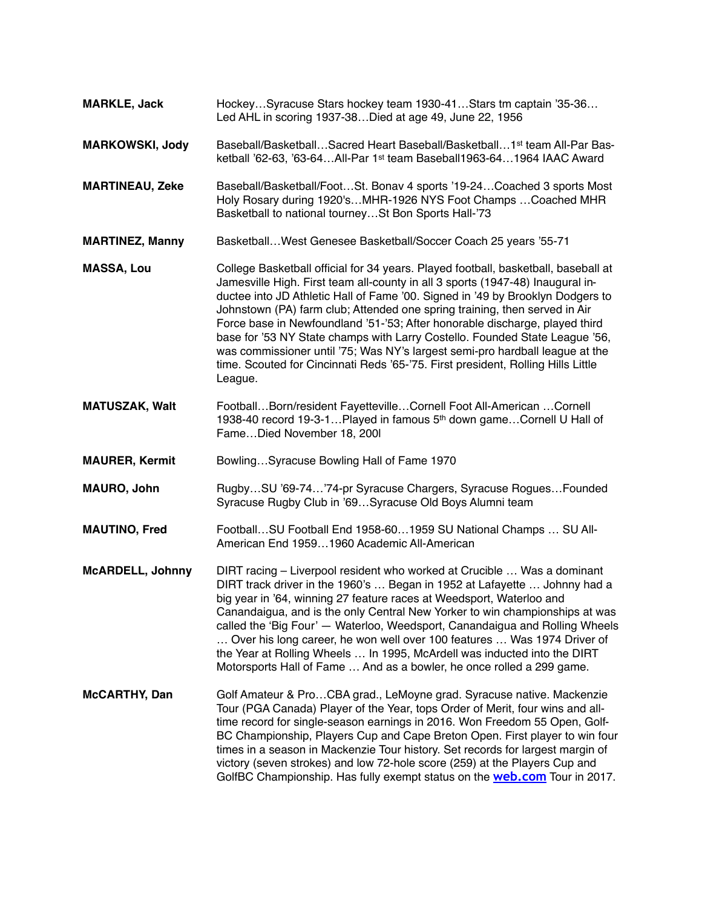**MARKLE, Jack** Hockey…Syracuse Stars hockey team 1930-41…Stars tm captain '35-36… Led AHL in scoring 1937-38…Died at age 49, June 22, 1956 **MARKOWSKI, Jody** Baseball/Basketball…Sacred Heart Baseball/Basketball…1st team All-Par Basketball '62-63, '63-64…All-Par 1st team Baseball1963-64…1964 IAAC Award **MARTINEAU, Zeke** Baseball/Basketball/Foot…St. Bonav 4 sports '19-24…Coached 3 sports Most Holy Rosary during 1920's…MHR-1926 NYS Foot Champs …Coached MHR Basketball to national tourney…St Bon Sports Hall-'73 **MARTINEZ, Manny** Basketball…West Genesee Basketball/Soccer Coach 25 years '55-71 **MASSA, Lou** College Basketball official for 34 years. Played football, basketball, baseball at Jamesville High. First team all-county in all 3 sports (1947-48) Inaugural inductee into JD Athletic Hall of Fame '00. Signed in '49 by Brooklyn Dodgers to Johnstown (PA) farm club; Attended one spring training, then served in Air Force base in Newfoundland '51-'53; After honorable discharge, played third base for '53 NY State champs with Larry Costello. Founded State League '56, was commissioner until '75; Was NY's largest semi-pro hardball league at the time. Scouted for Cincinnati Reds '65-'75. First president, Rolling Hills Little League. **MATUSZAK, Walt** Football…Born/resident Fayetteville…Cornell Foot All-American …Cornell 1938-40 record 19-3-1…Played in famous 5th down game…Cornell U Hall of Fame…Died November 18, 200l **MAURER, Kermit** Bowling...Syracuse Bowling Hall of Fame 1970 **MAURO, John** Rugby…SU '69-74…'74-pr Syracuse Chargers, Syracuse Rogues…Founded Syracuse Rugby Club in '69…Syracuse Old Boys Alumni team **MAUTINO, Fred** Football…SU Football End 1958-60…1959 SU National Champs … SU All-American End 1959…1960 Academic All-American **McARDELL, Johnny** DIRT racing – Liverpool resident who worked at Crucible … Was a dominant DIRT track driver in the 1960's … Began in 1952 at Lafayette … Johnny had a big year in '64, winning 27 feature races at Weedsport, Waterloo and Canandaigua, and is the only Central New Yorker to win championships at was called the 'Big Four' — Waterloo, Weedsport, Canandaigua and Rolling Wheels … Over his long career, he won well over 100 features … Was 1974 Driver of the Year at Rolling Wheels … In 1995, McArdell was inducted into the DIRT Motorsports Hall of Fame … And as a bowler, he once rolled a 299 game. **McCARTHY, Dan** Golf Amateur & Pro…CBA grad., LeMoyne grad. Syracuse native. Mackenzie Tour (PGA Canada) Player of the Year, tops Order of Merit, four wins and alltime record for single-season earnings in 2016. Won Freedom 55 Open, Golf-BC Championship, Players Cup and Cape Breton Open. First player to win four times in a season in Mackenzie Tour history. Set records for largest margin of victory (seven strokes) and low 72-hole score (259) at the Players Cup and GolfBC Championship. Has fully exempt status on the **[web.com](http://web.com)** Tour in 2017.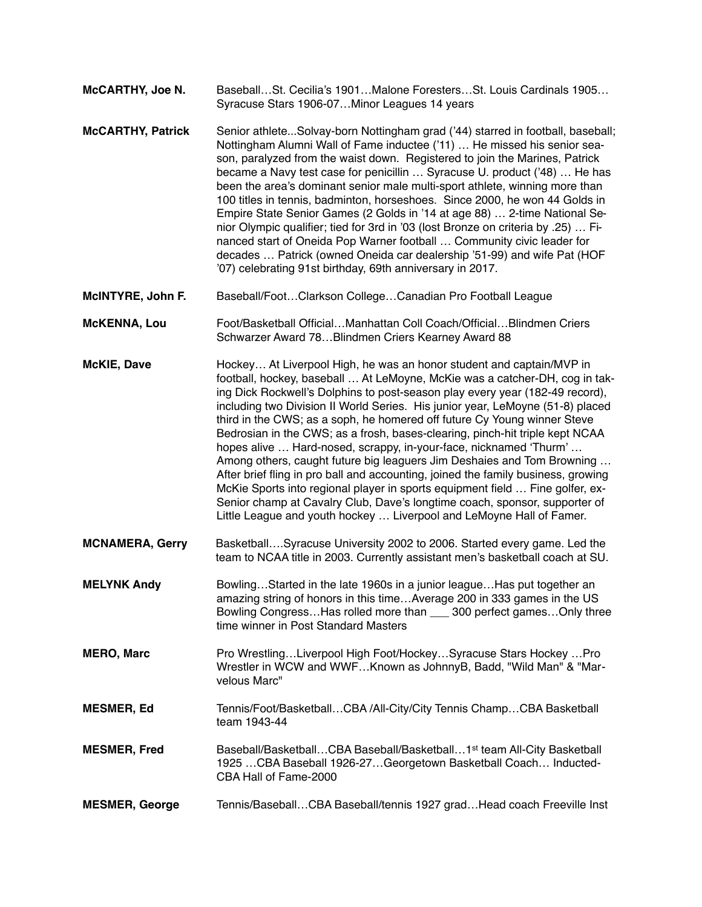| McCARTHY, Joe N. | BaseballSt. Cecilia's 1901Malone ForestersSt. Louis Cardinals 1905 |
|------------------|--------------------------------------------------------------------|
|                  | Syracuse Stars 1906-07Minor Leagues 14 years                       |

- **McCARTHY, Patrick** Senior athlete...Solvay-born Nottingham grad ('44) starred in football, baseball; Nottingham Alumni Wall of Fame inductee ('11) … He missed his senior season, paralyzed from the waist down. Registered to join the Marines, Patrick became a Navy test case for penicillin … Syracuse U. product ('48) … He has been the area's dominant senior male multi-sport athlete, winning more than 100 titles in tennis, badminton, horseshoes. Since 2000, he won 44 Golds in Empire State Senior Games (2 Golds in '14 at age 88) … 2-time National Senior Olympic qualifier; tied for 3rd in '03 (lost Bronze on criteria by .25) … Financed start of Oneida Pop Warner football … Community civic leader for decades … Patrick (owned Oneida car dealership '51-99) and wife Pat (HOF '07) celebrating 91st birthday, 69th anniversary in 2017.
- **McINTYRE, John F.** Baseball/Foot…Clarkson College…Canadian Pro Football League
- **McKENNA, Lou** Foot/Basketball Official…Manhattan Coll Coach/Official…Blindmen Criers Schwarzer Award 78…Blindmen Criers Kearney Award 88
- **McKIE, Dave** Hockey… At Liverpool High, he was an honor student and captain/MVP in football, hockey, baseball … At LeMoyne, McKie was a catcher-DH, cog in taking Dick Rockwell's Dolphins to post-season play every year (182-49 record), including two Division II World Series. His junior year, LeMoyne (51-8) placed third in the CWS; as a soph, he homered off future Cy Young winner Steve Bedrosian in the CWS; as a frosh, bases-clearing, pinch-hit triple kept NCAA hopes alive … Hard-nosed, scrappy, in-your-face, nicknamed 'Thurm' … Among others, caught future big leaguers Jim Deshaies and Tom Browning … After brief fling in pro ball and accounting, joined the family business, growing McKie Sports into regional player in sports equipment field … Fine golfer, ex-Senior champ at Cavalry Club, Dave's longtime coach, sponsor, supporter of Little League and youth hockey … Liverpool and LeMoyne Hall of Famer.
- **MCNAMERA, Gerry** Basketball….Syracuse University 2002 to 2006. Started every game. Led the team to NCAA title in 2003. Currently assistant men's basketball coach at SU.
- **MELYNK Andy** Bowling…Started in the late 1960s in a junior league…Has put together an amazing string of honors in this time…Average 200 in 333 games in the US Bowling Congress...Has rolled more than  $\overline{\phantom{a}}$  300 perfect games...Only three time winner in Post Standard Masters
- **MERO, Marc** Pro Wrestling…Liverpool High Foot/Hockey…Syracuse Stars Hockey …Pro Wrestler in WCW and WWF…Known as JohnnyB, Badd, "Wild Man" & "Marvelous Marc"
- **MESMER, Ed** Tennis/Foot/Basketball…CBA /All-City/City Tennis Champ…CBA Basketball team 1943-44
- **MESMER, Fred** Baseball/Basketball...CBA Baseball/Basketball...1<sup>st</sup> team All-City Basketball 1925 …CBA Baseball 1926-27…Georgetown Basketball Coach… Inducted-CBA Hall of Fame-2000
- **MESMER, George** Tennis/Baseball…CBA Baseball/tennis 1927 grad…Head coach Freeville Inst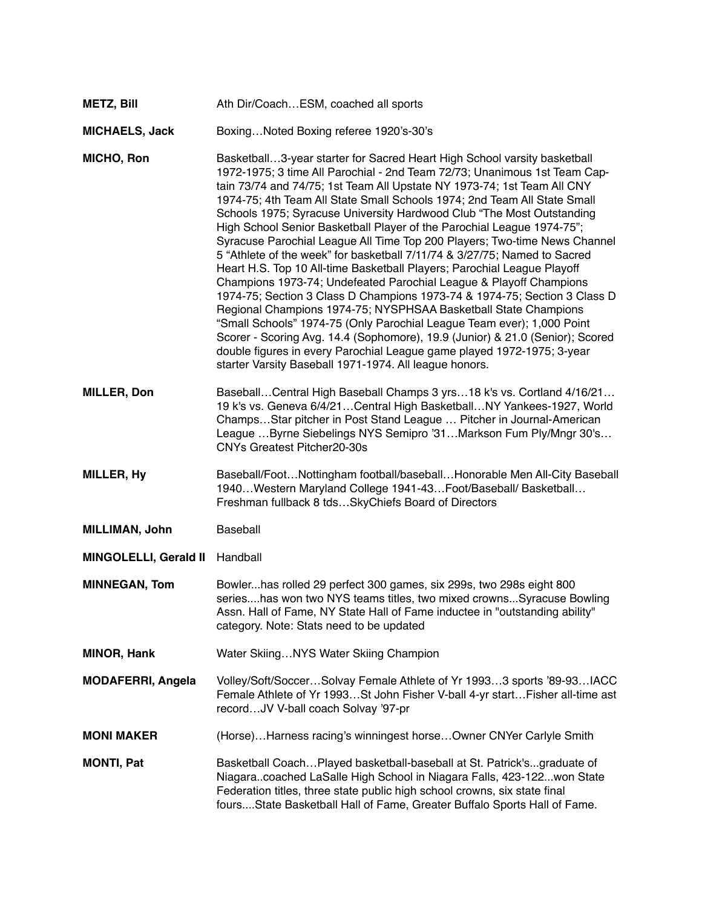| METZ, Bill | Ath Dir/CoachESM, coached all sports |  |
|------------|--------------------------------------|--|
|------------|--------------------------------------|--|

#### **MICHAELS, Jack** Boxing…Noted Boxing referee 1920's-30's

**MICHO, Ron** Basketball…3-year starter for Sacred Heart High School varsity basketball 1972-1975; 3 time All Parochial - 2nd Team 72/73; Unanimous 1st Team Captain 73/74 and 74/75; 1st Team All Upstate NY 1973-74; 1st Team All CNY 1974-75; 4th Team All State Small Schools 1974; 2nd Team All State Small Schools 1975; Syracuse University Hardwood Club "The Most Outstanding High School Senior Basketball Player of the Parochial League 1974-75"; Syracuse Parochial League All Time Top 200 Players; Two-time News Channel 5 "Athlete of the week" for basketball 7/11/74 & 3/27/75; Named to Sacred Heart H.S. Top 10 All-time Basketball Players; Parochial League Playoff Champions 1973-74; Undefeated Parochial League & Playoff Champions 1974-75; Section 3 Class D Champions 1973-74 & 1974-75; Section 3 Class D Regional Champions 1974-75; NYSPHSAA Basketball State Champions "Small Schools" 1974-75 (Only Parochial League Team ever); 1,000 Point Scorer - Scoring Avg. 14.4 (Sophomore), 19.9 (Junior) & 21.0 (Senior); Scored double figures in every Parochial League game played 1972-1975; 3-year starter Varsity Baseball 1971-1974. All league honors.

**MILLER, Don** Baseball…Central High Baseball Champs 3 yrs…18 k's vs. Cortland 4/16/21… 19 k's vs. Geneva 6/4/21…Central High Basketball…NY Yankees-1927, World Champs…Star pitcher in Post Stand League … Pitcher in Journal-American League …Byrne Siebelings NYS Semipro '31…Markson Fum Ply/Mngr 30's… CNYs Greatest Pitcher20-30s

**MILLER, Hy** Baseball/Foot…Nottingham football/baseball…Honorable Men All-City Baseball 1940…Western Maryland College 1941-43…Foot/Baseball/ Basketball… Freshman fullback 8 tds…SkyChiefs Board of Directors

- **MILLIMAN, John** Baseball
- **MINGOLELLI, Gerald II** Handball

**MINNEGAN, Tom** Bowler...has rolled 29 perfect 300 games, six 299s, two 298s eight 800 series....has won two NYS teams titles, two mixed crowns...Syracuse Bowling Assn. Hall of Fame, NY State Hall of Fame inductee in "outstanding ability" category. Note: Stats need to be updated

- **MINOR, Hank** Water Skiing…NYS Water Skiing Champion
- **MODAFERRI, Angela** Volley/Soft/Soccer…Solvay Female Athlete of Yr 1993…3 sports '89-93…IACC Female Athlete of Yr 1993…St John Fisher V-ball 4-yr start…Fisher all-time ast record…JV V-ball coach Solvay '97-pr
- **MONI MAKER** (Horse)…Harness racing's winningest horse…Owner CNYer Carlyle Smith
- **MONTI, Pat** Basketball Coach...Played basketball-baseball at St. Patrick's...graduate of Niagara..coached LaSalle High School in Niagara Falls, 423-122...won State Federation titles, three state public high school crowns, six state final fours....State Basketball Hall of Fame, Greater Buffalo Sports Hall of Fame.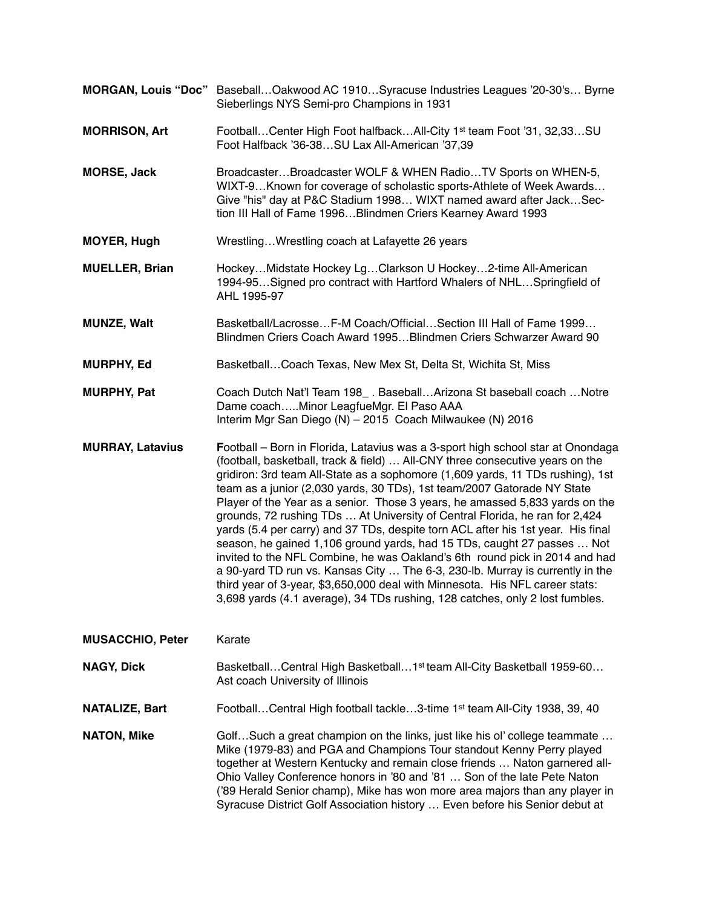- **MORGAN, Louis "Doc"** Baseball…Oakwood AC 1910…Syracuse Industries Leagues '20-30's… Byrne Sieberlings NYS Semi-pro Champions in 1931
- **MORRISON, Art** Football…Center High Foot halfback…All-City 1st team Foot '31, 32,33…SU Foot Halfback '36-38…SU Lax All-American '37,39
- **MORSE, Jack** Broadcaster…Broadcaster WOLF & WHEN Radio…TV Sports on WHEN-5, WIXT-9…Known for coverage of scholastic sports-Athlete of Week Awards… Give "his" day at P&C Stadium 1998… WIXT named award after Jack…Section III Hall of Fame 1996…Blindmen Criers Kearney Award 1993
- **MOYER, Hugh** Wrestling…Wrestling coach at Lafayette 26 years
- **MUELLER, Brian** Hockey…Midstate Hockey Lg…Clarkson U Hockey…2-time All-American 1994-95…Signed pro contract with Hartford Whalers of NHL…Springfield of AHL 1995-97
- **MUNZE, Walt** Basketball/Lacrosse…F-M Coach/Official…Section III Hall of Fame 1999… Blindmen Criers Coach Award 1995…Blindmen Criers Schwarzer Award 90
- **MURPHY, Ed** Basketball...Coach Texas, New Mex St, Delta St, Wichita St, Miss
- **MURPHY, Pat** Coach Dutch Nat'l Team 198 . Baseball...Arizona St baseball coach …Notre Dame coach…..Minor LeagfueMgr. El Paso AAA Interim Mgr San Diego (N) – 2015 Coach Milwaukee (N) 2016
- **MURRAY, Latavius F**ootball Born in Florida, Latavius was a 3-sport high school star at Onondaga (football, basketball, track & field) … All-CNY three consecutive years on the gridiron: 3rd team All-State as a sophomore (1,609 yards, 11 TDs rushing), 1st team as a junior (2,030 yards, 30 TDs), 1st team/2007 Gatorade NY State Player of the Year as a senior. Those 3 years, he amassed 5,833 yards on the grounds, 72 rushing TDs … At University of Central Florida, he ran for 2,424 yards (5.4 per carry) and 37 TDs, despite torn ACL after his 1st year. His final season, he gained 1,106 ground yards, had 15 TDs, caught 27 passes … Not invited to the NFL Combine, he was Oakland's 6th round pick in 2014 and had a 90-yard TD run vs. Kansas City … The 6-3, 230-lb. Murray is currently in the third year of 3-year, \$3,650,000 deal with Minnesota. His NFL career stats: 3,698 yards (4.1 average), 34 TDs rushing, 128 catches, only 2 lost fumbles.

### **MUSACCHIO, Peter** Karate

**NAGY, Dick** Basketball…Central High Basketball…1<sup>st</sup> team All-City Basketball 1959-60… Ast coach University of Illinois

**NATALIZE, Bart** Football…Central High football tackle…3-time 1st team All-City 1938, 39, 40

**NATON, Mike** Golf...Such a great champion on the links, just like his ol' college teammate ... Mike (1979-83) and PGA and Champions Tour standout Kenny Perry played together at Western Kentucky and remain close friends … Naton garnered all-Ohio Valley Conference honors in '80 and '81 … Son of the late Pete Naton ('89 Herald Senior champ), Mike has won more area majors than any player in Syracuse District Golf Association history … Even before his Senior debut at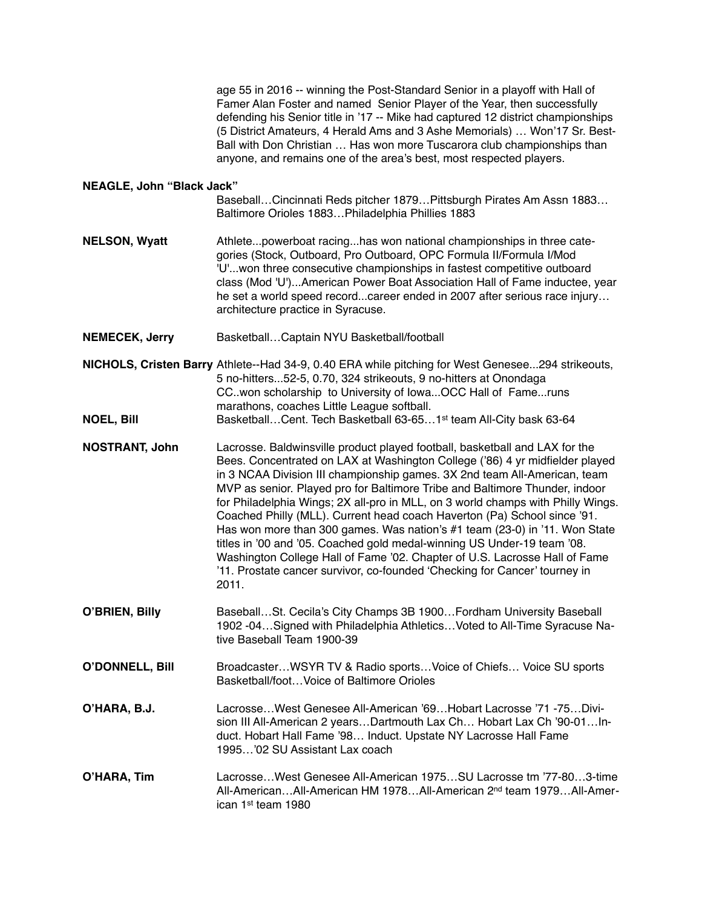|                                  | age 55 in 2016 -- winning the Post-Standard Senior in a playoff with Hall of<br>Famer Alan Foster and named Senior Player of the Year, then successfully<br>defending his Senior title in '17 -- Mike had captured 12 district championships<br>(5 District Amateurs, 4 Herald Ams and 3 Ashe Memorials)  Won'17 Sr. Best-<br>Ball with Don Christian  Has won more Tuscarora club championships than<br>anyone, and remains one of the area's best, most respected players.                                                                                                                                                                                                                                                                                                                                         |
|----------------------------------|----------------------------------------------------------------------------------------------------------------------------------------------------------------------------------------------------------------------------------------------------------------------------------------------------------------------------------------------------------------------------------------------------------------------------------------------------------------------------------------------------------------------------------------------------------------------------------------------------------------------------------------------------------------------------------------------------------------------------------------------------------------------------------------------------------------------|
| <b>NEAGLE, John "Black Jack"</b> | Baseball Cincinnati Reds pitcher 1879 Pittsburgh Pirates Am Assn 1883<br>Baltimore Orioles 1883Philadelphia Phillies 1883                                                                                                                                                                                                                                                                                                                                                                                                                                                                                                                                                                                                                                                                                            |
| <b>NELSON, Wyatt</b>             | Athletepowerboat racinghas won national championships in three cate-<br>gories (Stock, Outboard, Pro Outboard, OPC Formula II/Formula I/Mod<br>'U'won three consecutive championships in fastest competitive outboard<br>class (Mod 'U')American Power Boat Association Hall of Fame inductee, year<br>he set a world speed recordcareer ended in 2007 after serious race injury<br>architecture practice in Syracuse.                                                                                                                                                                                                                                                                                                                                                                                               |
| <b>NEMECEK, Jerry</b>            | BasketballCaptain NYU Basketball/football                                                                                                                                                                                                                                                                                                                                                                                                                                                                                                                                                                                                                                                                                                                                                                            |
|                                  | NICHOLS, Cristen Barry Athlete--Had 34-9, 0.40 ERA while pitching for West Genesee294 strikeouts,<br>5 no-hitters52-5, 0.70, 324 strikeouts, 9 no-hitters at Onondaga<br>CC. won scholarship to University of Iowa OCC Hall of Fameruns<br>marathons, coaches Little League softball.                                                                                                                                                                                                                                                                                                                                                                                                                                                                                                                                |
| <b>NOEL, Bill</b>                | Basketball Cent. Tech Basketball 63-65 1 <sup>st</sup> team All-City bask 63-64                                                                                                                                                                                                                                                                                                                                                                                                                                                                                                                                                                                                                                                                                                                                      |
| <b>NOSTRANT, John</b>            | Lacrosse. Baldwinsville product played football, basketball and LAX for the<br>Bees. Concentrated on LAX at Washington College ('86) 4 yr midfielder played<br>in 3 NCAA Division III championship games. 3X 2nd team All-American, team<br>MVP as senior. Played pro for Baltimore Tribe and Baltimore Thunder, indoor<br>for Philadelphia Wings; 2X all-pro in MLL, on 3 world champs with Philly Wings.<br>Coached Philly (MLL). Current head coach Haverton (Pa) School since '91.<br>Has won more than 300 games. Was nation's #1 team (23-0) in '11. Won State<br>titles in '00 and '05. Coached gold medal-winning US Under-19 team '08.<br>Washington College Hall of Fame '02. Chapter of U.S. Lacrosse Hall of Fame<br>'11. Prostate cancer survivor, co-founded 'Checking for Cancer' tourney in<br>2011. |
| O'BRIEN, Billy                   | BaseballSt. Cecila's City Champs 3B 1900 Fordham University Baseball<br>1902 -04Signed with Philadelphia AthleticsVoted to All-Time Syracuse Na-<br>tive Baseball Team 1900-39                                                                                                                                                                                                                                                                                                                                                                                                                                                                                                                                                                                                                                       |
| <b>O'DONNELL, Bill</b>           | BroadcasterWSYR TV & Radio sportsVoice of Chiefs Voice SU sports<br>Basketball/footVoice of Baltimore Orioles                                                                                                                                                                                                                                                                                                                                                                                                                                                                                                                                                                                                                                                                                                        |
| O'HARA, B.J.                     | LacrosseWest Genesee All-American '69Hobart Lacrosse '71 -75Divi-<br>sion III All-American 2 yearsDartmouth Lax Ch Hobart Lax Ch '90-01In-<br>duct. Hobart Hall Fame '98 Induct. Upstate NY Lacrosse Hall Fame<br>1995'02 SU Assistant Lax coach                                                                                                                                                                                                                                                                                                                                                                                                                                                                                                                                                                     |
| O'HARA, Tim                      | LacrosseWest Genesee All-American 1975SU Lacrosse tm '77-803-time<br>All-AmericanAll-American HM 1978All-American 2 <sup>nd</sup> team 1979All-Amer-<br>ican 1 <sup>st</sup> team 1980                                                                                                                                                                                                                                                                                                                                                                                                                                                                                                                                                                                                                               |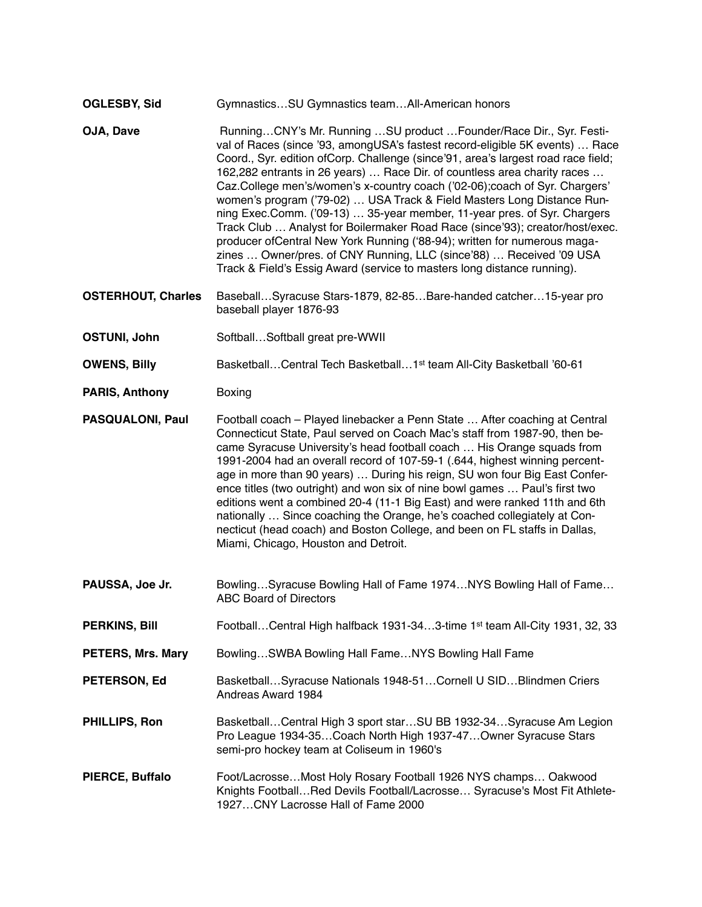#### **OGLESBY, Sid** Gymnastics…SU Gymnastics team…All-American honors

- **OJA, Dave** Running...CNY's Mr. Running ...SU product ... Founder/Race Dir., Syr. Festival of Races (since '93, amongUSA's fastest record-eligible 5K events) … Race Coord., Syr. edition ofCorp. Challenge (since'91, area's largest road race field; 162,282 entrants in 26 years) … Race Dir. of countless area charity races … Caz.College men's/women's x-country coach ('02-06);coach of Syr. Chargers' women's program ('79-02) … USA Track & Field Masters Long Distance Running Exec.Comm. ('09-13) … 35-year member, 11-year pres. of Syr. Chargers Track Club … Analyst for Boilermaker Road Race (since'93); creator/host/exec. producer ofCentral New York Running ('88-94); written for numerous magazines … Owner/pres. of CNY Running, LLC (since'88) … Received '09 USA Track & Field's Essig Award (service to masters long distance running).
- **OSTERHOUT, Charles** Baseball…Syracuse Stars-1879, 82-85…Bare-handed catcher…15-year pro baseball player 1876-93
- **OSTUNI, John** Softball...Softball great pre-WWII
- **OWENS, Billy** Basketball...Central Tech Basketball...1<sup>st</sup> team All-City Basketball '60-61
- **PARIS, Anthony** Boxing
- **PASQUALONI, Paul** Football coach Played linebacker a Penn State … After coaching at Central Connecticut State, Paul served on Coach Mac's staff from 1987-90, then became Syracuse University's head football coach … His Orange squads from 1991-2004 had an overall record of 107-59-1 (.644, highest winning percentage in more than 90 years) … During his reign, SU won four Big East Conference titles (two outright) and won six of nine bowl games … Paul's first two editions went a combined 20-4 (11-1 Big East) and were ranked 11th and 6th nationally … Since coaching the Orange, he's coached collegiately at Connecticut (head coach) and Boston College, and been on FL staffs in Dallas, Miami, Chicago, Houston and Detroit.
- **PAUSSA, Joe Jr.** Bowling…Syracuse Bowling Hall of Fame 1974...NYS Bowling Hall of Fame... ABC Board of Directors
- **PERKINS, Bill** Football…Central High halfback 1931-34…3-time 1st team All-City 1931, 32, 33
- **PETERS, Mrs. Mary** Bowling…SWBA Bowling Hall Fame…NYS Bowling Hall Fame
- **PETERSON, Ed** Basketball…Syracuse Nationals 1948-51…Cornell U SID…Blindmen Criers Andreas Award 1984
- **PHILLIPS, Ron** Basketball...Central High 3 sport star...SU BB 1932-34...Syracuse Am Legion Pro League 1934-35…Coach North High 1937-47…Owner Syracuse Stars semi-pro hockey team at Coliseum in 1960's
- **PIERCE, Buffalo** Foot/Lacrosse…Most Holy Rosary Football 1926 NYS champs… Oakwood Knights Football…Red Devils Football/Lacrosse… Syracuse's Most Fit Athlete-1927…CNY Lacrosse Hall of Fame 2000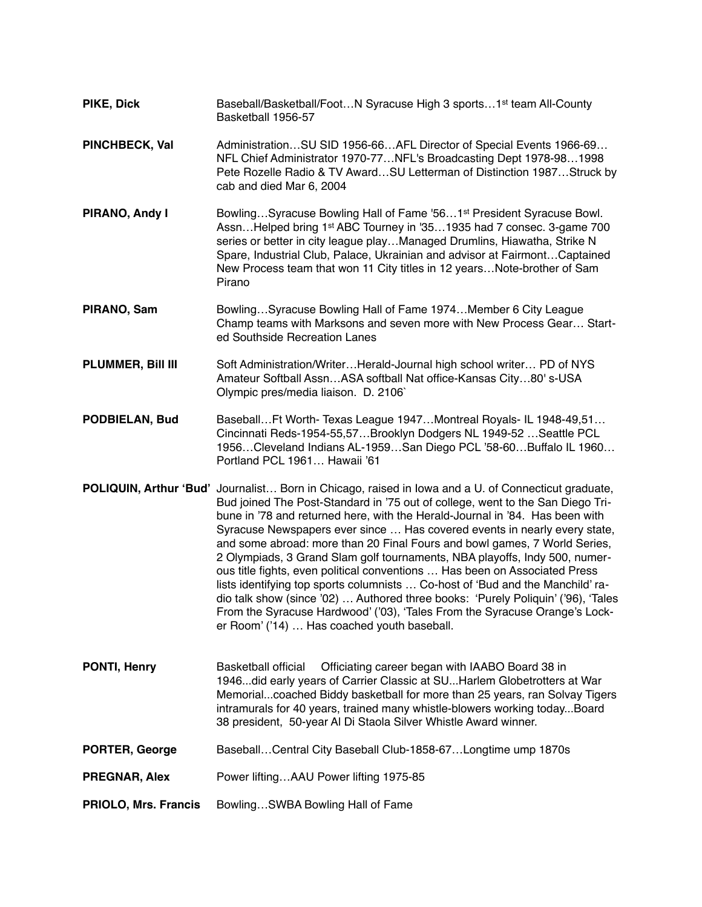**PIKE, Dick** Baseball/Basketball/Foot...N Syracuse High 3 sports...1<sup>st</sup> team All-County Basketball 1956-57 **PINCHBECK, Val** Administration…SU SID 1956-66…AFL Director of Special Events 1966-69… NFL Chief Administrator 1970-77…NFL's Broadcasting Dept 1978-98…1998 Pete Rozelle Radio & TV Award…SU Letterman of Distinction 1987…Struck by

cab and died Mar 6, 2004

- **PIRANO, Andy I** Bowling...Syracuse Bowling Hall of Fame '56...1<sup>st</sup> President Syracuse Bowl. Assn…Helped bring 1st ABC Tourney in '35…1935 had 7 consec. 3-game 700 series or better in city league play...Managed Drumlins, Hiawatha, Strike N Spare, Industrial Club, Palace, Ukrainian and advisor at Fairmont…Captained New Process team that won 11 City titles in 12 years…Note-brother of Sam Pirano
- **PIRANO, Sam** Bowling…Syracuse Bowling Hall of Fame 1974…Member 6 City League Champ teams with Marksons and seven more with New Process Gear… Started Southside Recreation Lanes
- **PLUMMER, Bill III** Soft Administration/Writer…Herald-Journal high school writer… PD of NYS Amateur Softball Assn…ASA softball Nat office-Kansas City…80' s-USA Olympic pres/media liaison. D. 2106`
- **PODBIELAN, Bud** Baseball…Ft Worth- Texas League 1947…Montreal Royals- IL 1948-49,51… Cincinnati Reds-1954-55,57…Brooklyn Dodgers NL 1949-52 …Seattle PCL 1956…Cleveland Indians AL-1959…San Diego PCL '58-60…Buffalo IL 1960… Portland PCL 1961… Hawaii '61
- **POLIQUIN, Arthur 'Bud'** Journalist… Born in Chicago, raised in Iowa and a U. of Connecticut graduate, Bud joined The Post-Standard in '75 out of college, went to the San Diego Tribune in '78 and returned here, with the Herald-Journal in '84. Has been with Syracuse Newspapers ever since … Has covered events in nearly every state, and some abroad: more than 20 Final Fours and bowl games, 7 World Series, 2 Olympiads, 3 Grand Slam golf tournaments, NBA playoffs, Indy 500, numerous title fights, even political conventions … Has been on Associated Press lists identifying top sports columnists … Co-host of 'Bud and the Manchild' radio talk show (since '02) … Authored three books: 'Purely Poliquin' ('96), 'Tales From the Syracuse Hardwood' ('03), 'Tales From the Syracuse Orange's Locker Room' ('14) … Has coached youth baseball.
- **PONTI, Henry** Basketball official Officiating career began with IAABO Board 38 in 1946...did early years of Carrier Classic at SU...Harlem Globetrotters at War Memorial...coached Biddy basketball for more than 25 years, ran Solvay Tigers intramurals for 40 years, trained many whistle-blowers working today...Board 38 president, 50-year Al Di Staola Silver Whistle Award winner.
- **PORTER, George** Baseball…Central City Baseball Club-1858-67…Longtime ump 1870s
- **PREGNAR, Alex** Power lifting...AAU Power lifting 1975-85
- **PRIOLO, Mrs. Francis** Bowling...SWBA Bowling Hall of Fame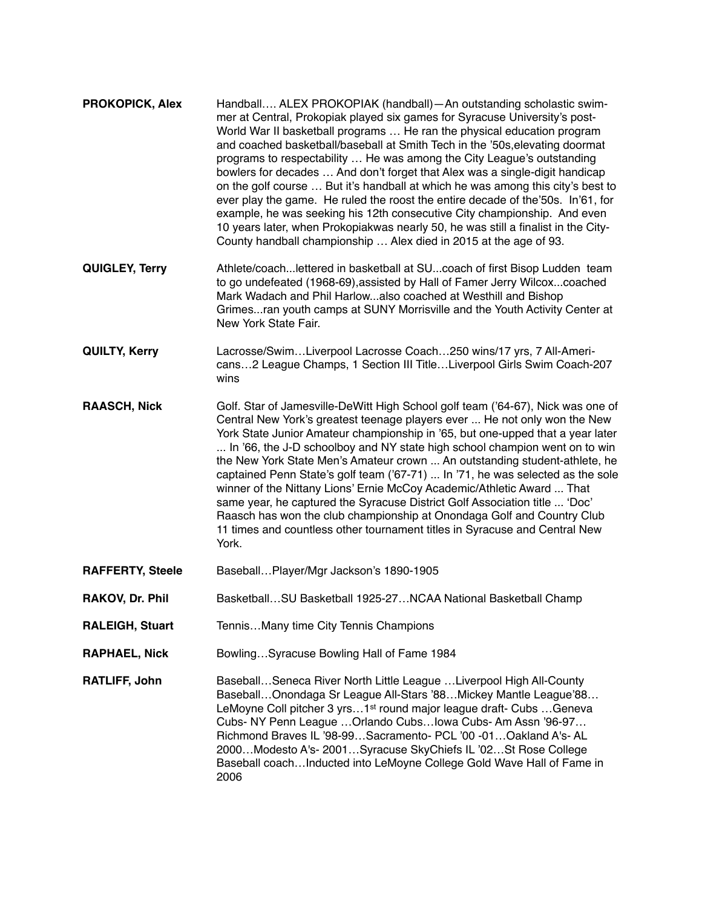| <b>PROKOPICK, Alex</b>  | Handball ALEX PROKOPIAK (handball)-An outstanding scholastic swim-<br>mer at Central, Prokopiak played six games for Syracuse University's post-<br>World War II basketball programs  He ran the physical education program<br>and coached basketball/baseball at Smith Tech in the '50s, elevating doormat<br>programs to respectability  He was among the City League's outstanding<br>bowlers for decades  And don't forget that Alex was a single-digit handicap<br>on the golf course  But it's handball at which he was among this city's best to<br>ever play the game. He ruled the roost the entire decade of the'50s. In'61, for<br>example, he was seeking his 12th consecutive City championship. And even<br>10 years later, when Prokopiakwas nearly 50, he was still a finalist in the City-<br>County handball championship  Alex died in 2015 at the age of 93. |
|-------------------------|----------------------------------------------------------------------------------------------------------------------------------------------------------------------------------------------------------------------------------------------------------------------------------------------------------------------------------------------------------------------------------------------------------------------------------------------------------------------------------------------------------------------------------------------------------------------------------------------------------------------------------------------------------------------------------------------------------------------------------------------------------------------------------------------------------------------------------------------------------------------------------|
| QUIGLEY, Terry          | Athlete/coachlettered in basketball at SUcoach of first Bisop Ludden team<br>to go undefeated (1968-69), assisted by Hall of Famer Jerry Wilcoxcoached<br>Mark Wadach and Phil Harlowalso coached at Westhill and Bishop<br>Grimesran youth camps at SUNY Morrisville and the Youth Activity Center at<br>New York State Fair.                                                                                                                                                                                                                                                                                                                                                                                                                                                                                                                                                   |
| <b>QUILTY, Kerry</b>    | Lacrosse/SwimLiverpool Lacrosse Coach250 wins/17 yrs, 7 All-Ameri-<br>cans2 League Champs, 1 Section III TitleLiverpool Girls Swim Coach-207<br>wins                                                                                                                                                                                                                                                                                                                                                                                                                                                                                                                                                                                                                                                                                                                             |
| <b>RAASCH, Nick</b>     | Golf. Star of Jamesville-DeWitt High School golf team ('64-67), Nick was one of<br>Central New York's greatest teenage players ever  He not only won the New<br>York State Junior Amateur championship in '65, but one-upped that a year later<br>In '66, the J-D schoolboy and NY state high school champion went on to win<br>the New York State Men's Amateur crown  An outstanding student-athlete, he                                                                                                                                                                                                                                                                                                                                                                                                                                                                       |
|                         | captained Penn State's golf team ('67-71)  In '71, he was selected as the sole<br>winner of the Nittany Lions' Ernie McCoy Academic/Athletic Award  That<br>same year, he captured the Syracuse District Golf Association title  'Doc'<br>Raasch has won the club championship at Onondaga Golf and Country Club<br>11 times and countless other tournament titles in Syracuse and Central New<br>York.                                                                                                                                                                                                                                                                                                                                                                                                                                                                          |
| <b>RAFFERTY, Steele</b> | BaseballPlayer/Mgr Jackson's 1890-1905                                                                                                                                                                                                                                                                                                                                                                                                                                                                                                                                                                                                                                                                                                                                                                                                                                           |
| RAKOV, Dr. Phil         | BasketballSU Basketball 1925-27NCAA National Basketball Champ                                                                                                                                                                                                                                                                                                                                                                                                                                                                                                                                                                                                                                                                                                                                                                                                                    |
| <b>RALEIGH, Stuart</b>  | TennisMany time City Tennis Champions                                                                                                                                                                                                                                                                                                                                                                                                                                                                                                                                                                                                                                                                                                                                                                                                                                            |
| <b>RAPHAEL, Nick</b>    | BowlingSyracuse Bowling Hall of Fame 1984                                                                                                                                                                                                                                                                                                                                                                                                                                                                                                                                                                                                                                                                                                                                                                                                                                        |

Baseball…Onondaga Sr League All-Stars '88…Mickey Mantle League'88… LeMoyne Coll pitcher 3 yrs...1<sup>st</sup> round major league draft- Cubs ...Geneva Cubs- NY Penn League …Orlando Cubs…Iowa Cubs- Am Assn '96-97… Richmond Braves IL '98-99…Sacramento- PCL '00 -01…Oakland A's- AL 2000…Modesto A's- 2001…Syracuse SkyChiefs IL '02…St Rose College Baseball coach…Inducted into LeMoyne College Gold Wave Hall of Fame in 2006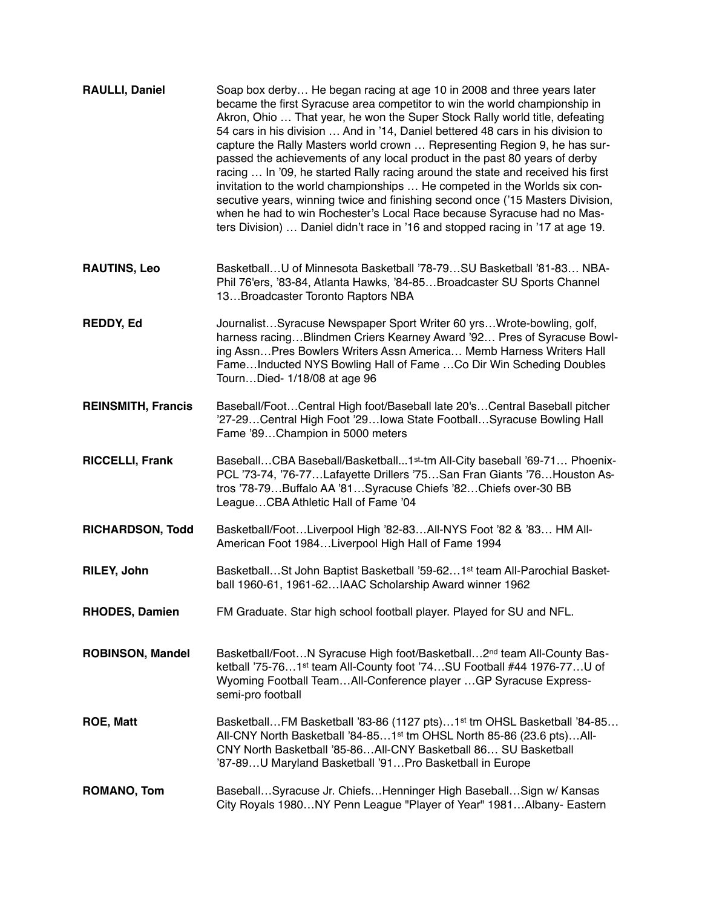| <b>RAULLI, Daniel</b>     | Soap box derby He began racing at age 10 in 2008 and three years later<br>became the first Syracuse area competitor to win the world championship in<br>Akron, Ohio  That year, he won the Super Stock Rally world title, defeating<br>54 cars in his division  And in '14, Daniel bettered 48 cars in his division to<br>capture the Rally Masters world crown  Representing Region 9, he has sur-<br>passed the achievements of any local product in the past 80 years of derby<br>racing  In '09, he started Rally racing around the state and received his first<br>invitation to the world championships  He competed in the Worlds six con-<br>secutive years, winning twice and finishing second once ('15 Masters Division,<br>when he had to win Rochester's Local Race because Syracuse had no Mas-<br>ters Division)  Daniel didn't race in '16 and stopped racing in '17 at age 19. |
|---------------------------|-------------------------------------------------------------------------------------------------------------------------------------------------------------------------------------------------------------------------------------------------------------------------------------------------------------------------------------------------------------------------------------------------------------------------------------------------------------------------------------------------------------------------------------------------------------------------------------------------------------------------------------------------------------------------------------------------------------------------------------------------------------------------------------------------------------------------------------------------------------------------------------------------|
| <b>RAUTINS, Leo</b>       | BasketballU of Minnesota Basketball '78-79SU Basketball '81-83 NBA-<br>Phil 76'ers, '83-84, Atlanta Hawks, '84-85 Broadcaster SU Sports Channel<br>13Broadcaster Toronto Raptors NBA                                                                                                                                                                                                                                                                                                                                                                                                                                                                                                                                                                                                                                                                                                            |
| <b>REDDY, Ed</b>          | JournalistSyracuse Newspaper Sport Writer 60 yrsWrote-bowling, golf,<br>harness racing Blindmen Criers Kearney Award '92 Pres of Syracuse Bowl-<br>ing AssnPres Bowlers Writers Assn America Memb Harness Writers Hall<br>FameInducted NYS Bowling Hall of Fame  Co Dir Win Scheding Doubles<br>TournDied- 1/18/08 at age 96                                                                                                                                                                                                                                                                                                                                                                                                                                                                                                                                                                    |
| <b>REINSMITH, Francis</b> | Baseball/FootCentral High foot/Baseball late 20'sCentral Baseball pitcher<br>'27-29Central High Foot '29Iowa State FootballSyracuse Bowling Hall<br>Fame '89Champion in 5000 meters                                                                                                                                                                                                                                                                                                                                                                                                                                                                                                                                                                                                                                                                                                             |
| <b>RICCELLI, Frank</b>    | BaseballCBA Baseball/Basketball1 <sup>st</sup> -tm All-City baseball '69-71 Phoenix-<br>PCL '73-74, '76-77Lafayette Drillers '75San Fran Giants '76Houston As-<br>tros '78-79Buffalo AA '81Syracuse Chiefs '82Chiefs over-30 BB<br>LeagueCBA Athletic Hall of Fame '04                                                                                                                                                                                                                                                                                                                                                                                                                                                                                                                                                                                                                          |
| <b>RICHARDSON, Todd</b>   | Basketball/FootLiverpool High '82-83All-NYS Foot '82 & '83 HM All-<br>American Foot 1984Liverpool High Hall of Fame 1994                                                                                                                                                                                                                                                                                                                                                                                                                                                                                                                                                                                                                                                                                                                                                                        |
| RILEY, John               | Basketball St John Baptist Basketball '59-62 1 <sup>st</sup> team All-Parochial Basket-<br>ball 1960-61, 1961-62IAAC Scholarship Award winner 1962                                                                                                                                                                                                                                                                                                                                                                                                                                                                                                                                                                                                                                                                                                                                              |
| <b>RHODES, Damien</b>     | FM Graduate. Star high school football player. Played for SU and NFL.                                                                                                                                                                                                                                                                                                                                                                                                                                                                                                                                                                                                                                                                                                                                                                                                                           |
| <b>ROBINSON, Mandel</b>   | Basketball/FootN Syracuse High foot/Basketball2nd team All-County Bas-<br>ketball '75-761 <sup>st</sup> team All-County foot '74SU Football #44 1976-77U of<br>Wyoming Football TeamAll-Conference player GP Syracuse Express-<br>semi-pro football                                                                                                                                                                                                                                                                                                                                                                                                                                                                                                                                                                                                                                             |
| <b>ROE, Matt</b>          | BasketballFM Basketball '83-86 (1127 pts)1 <sup>st</sup> tm OHSL Basketball '84-85<br>All-CNY North Basketball '84-851 <sup>st</sup> tm OHSL North 85-86 (23.6 pts)All-<br>CNY North Basketball '85-86 All-CNY Basketball 86 SU Basketball<br>'87-89U Maryland Basketball '91Pro Basketball in Europe                                                                                                                                                                                                                                                                                                                                                                                                                                                                                                                                                                                           |
| <b>ROMANO, Tom</b>        | BaseballSyracuse Jr. ChiefsHenninger High BaseballSign w/ Kansas<br>City Royals 1980NY Penn League "Player of Year" 1981Albany- Eastern                                                                                                                                                                                                                                                                                                                                                                                                                                                                                                                                                                                                                                                                                                                                                         |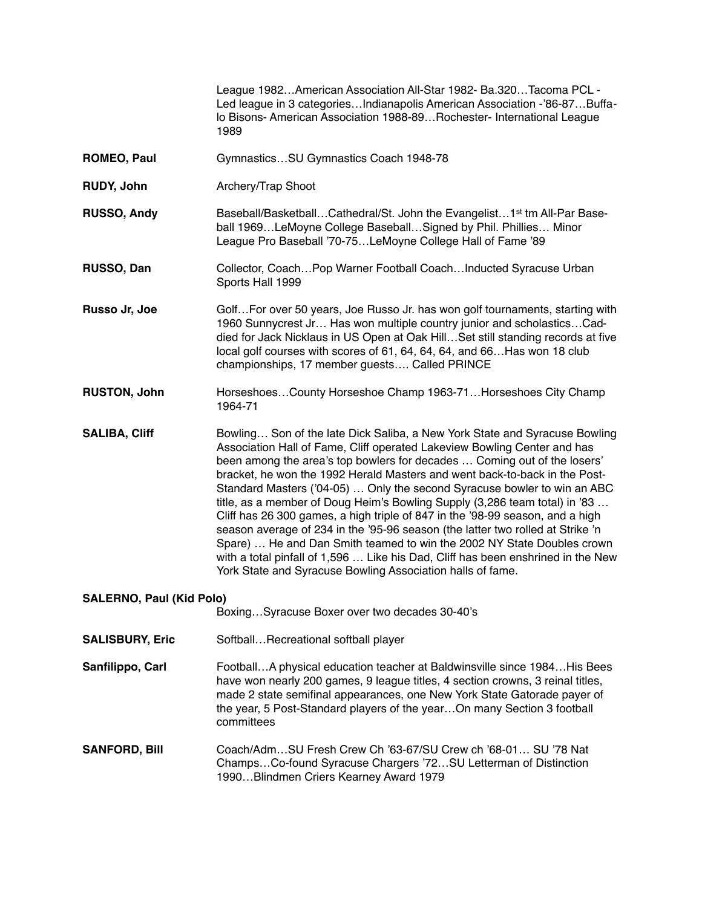|                                                                                  | League 1982American Association All-Star 1982- Ba.320Tacoma PCL -<br>Led league in 3 categoriesIndianapolis American Association -'86-87Buffa-<br>lo Bisons- American Association 1988-89 Rochester- International League<br>1989                                                                                                                                                                                                                                                                                                                                                                                                                                                                                                                                                                                                                                         |
|----------------------------------------------------------------------------------|---------------------------------------------------------------------------------------------------------------------------------------------------------------------------------------------------------------------------------------------------------------------------------------------------------------------------------------------------------------------------------------------------------------------------------------------------------------------------------------------------------------------------------------------------------------------------------------------------------------------------------------------------------------------------------------------------------------------------------------------------------------------------------------------------------------------------------------------------------------------------|
| <b>ROMEO, Paul</b>                                                               | GymnasticsSU Gymnastics Coach 1948-78                                                                                                                                                                                                                                                                                                                                                                                                                                                                                                                                                                                                                                                                                                                                                                                                                                     |
| <b>RUDY, John</b>                                                                | Archery/Trap Shoot                                                                                                                                                                                                                                                                                                                                                                                                                                                                                                                                                                                                                                                                                                                                                                                                                                                        |
| RUSSO, Andy                                                                      | Baseball/BasketballCathedral/St. John the Evangelist1 <sup>st</sup> tm All-Par Base-<br>ball 1969LeMoyne College BaseballSigned by Phil. Phillies Minor<br>League Pro Baseball '70-75LeMoyne College Hall of Fame '89                                                                                                                                                                                                                                                                                                                                                                                                                                                                                                                                                                                                                                                     |
| RUSSO, Dan                                                                       | Collector, Coach Pop Warner Football Coach Inducted Syracuse Urban<br>Sports Hall 1999                                                                                                                                                                                                                                                                                                                                                                                                                                                                                                                                                                                                                                                                                                                                                                                    |
| Russo Jr, Joe                                                                    | GolfFor over 50 years, Joe Russo Jr. has won golf tournaments, starting with<br>1960 Sunnycrest Jr Has won multiple country junior and scholasticsCad-<br>died for Jack Nicklaus in US Open at Oak HillSet still standing records at five<br>local golf courses with scores of 61, 64, 64, 64, and 66 Has won 18 club<br>championships, 17 member guests Called PRINCE                                                                                                                                                                                                                                                                                                                                                                                                                                                                                                    |
| <b>RUSTON, John</b>                                                              | HorseshoesCounty Horseshoe Champ 1963-71Horseshoes City Champ<br>1964-71                                                                                                                                                                                                                                                                                                                                                                                                                                                                                                                                                                                                                                                                                                                                                                                                  |
| <b>SALIBA, Cliff</b>                                                             | Bowling Son of the late Dick Saliba, a New York State and Syracuse Bowling<br>Association Hall of Fame, Cliff operated Lakeview Bowling Center and has<br>been among the area's top bowlers for decades  Coming out of the losers'<br>bracket, he won the 1992 Herald Masters and went back-to-back in the Post-<br>Standard Masters ('04-05)  Only the second Syracuse bowler to win an ABC<br>title, as a member of Doug Heim's Bowling Supply (3,286 team total) in '83<br>Cliff has 26 300 games, a high triple of 847 in the '98-99 season, and a high<br>season average of 234 in the '95-96 season (the latter two rolled at Strike 'n<br>Spare)  He and Dan Smith teamed to win the 2002 NY State Doubles crown<br>with a total pinfall of 1,596  Like his Dad, Cliff has been enshrined in the New<br>York State and Syracuse Bowling Association halls of fame. |
| <b>SALERNO, Paul (Kid Polo)</b><br>BoxingSyracuse Boxer over two decades 30-40's |                                                                                                                                                                                                                                                                                                                                                                                                                                                                                                                                                                                                                                                                                                                                                                                                                                                                           |
| <b>SALISBURY, Eric</b>                                                           | SoftballRecreational softball player                                                                                                                                                                                                                                                                                                                                                                                                                                                                                                                                                                                                                                                                                                                                                                                                                                      |
| Sanfilippo, Carl                                                                 | FootballA physical education teacher at Baldwinsville since 1984His Bees<br>have won nearly 200 games, 9 league titles, 4 section crowns, 3 reinal titles,<br>made 2 state semifinal appearances, one New York State Gatorade payer of<br>the year, 5 Post-Standard players of the yearOn many Section 3 football<br>committees                                                                                                                                                                                                                                                                                                                                                                                                                                                                                                                                           |
| <b>SANFORD, Bill</b>                                                             | Coach/AdmSU Fresh Crew Ch '63-67/SU Crew ch '68-01 SU '78 Nat<br>ChampsCo-found Syracuse Chargers '72SU Letterman of Distinction<br>1990Blindmen Criers Kearney Award 1979                                                                                                                                                                                                                                                                                                                                                                                                                                                                                                                                                                                                                                                                                                |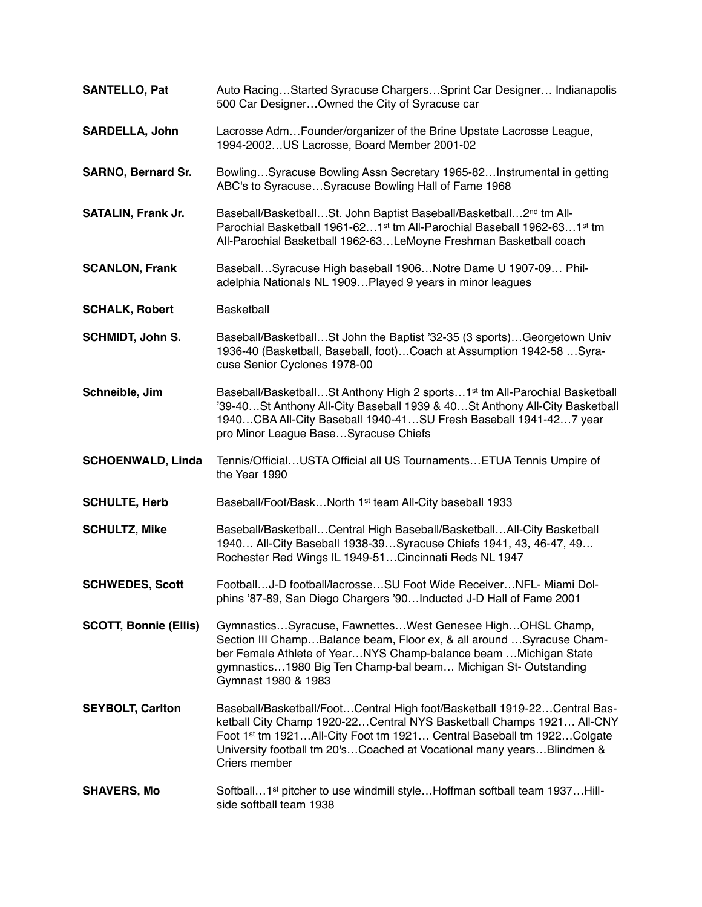| <b>SANTELLO, Pat</b>         | Auto RacingStarted Syracuse ChargersSprint Car Designer Indianapolis<br>500 Car DesignerOwned the City of Syracuse car                                                                                                                                                                                              |
|------------------------------|---------------------------------------------------------------------------------------------------------------------------------------------------------------------------------------------------------------------------------------------------------------------------------------------------------------------|
| <b>SARDELLA, John</b>        | Lacrosse Adm Founder/organizer of the Brine Upstate Lacrosse League,<br>1994-2002 US Lacrosse, Board Member 2001-02                                                                                                                                                                                                 |
| <b>SARNO, Bernard Sr.</b>    | BowlingSyracuse Bowling Assn Secretary 1965-82Instrumental in getting<br>ABC's to SyracuseSyracuse Bowling Hall of Fame 1968                                                                                                                                                                                        |
| <b>SATALIN, Frank Jr.</b>    | Baseball/BasketballSt. John Baptist Baseball/Basketball2nd tm All-<br>Parochial Basketball 1961-621st tm All-Parochial Baseball 1962-631st tm<br>All-Parochial Basketball 1962-63LeMoyne Freshman Basketball coach                                                                                                  |
| <b>SCANLON, Frank</b>        | BaseballSyracuse High baseball 1906Notre Dame U 1907-09 Phil-<br>adelphia Nationals NL 1909Played 9 years in minor leagues                                                                                                                                                                                          |
| <b>SCHALK, Robert</b>        | <b>Basketball</b>                                                                                                                                                                                                                                                                                                   |
| <b>SCHMIDT, John S.</b>      | Baseball/BasketballSt John the Baptist '32-35 (3 sports)Georgetown Univ<br>1936-40 (Basketball, Baseball, foot)Coach at Assumption 1942-58 Syra-<br>cuse Senior Cyclones 1978-00                                                                                                                                    |
| Schneible, Jim               | Baseball/BasketballSt Anthony High 2 sports1 <sup>st</sup> tm All-Parochial Basketball<br>'39-40St Anthony All-City Baseball 1939 & 40St Anthony All-City Basketball<br>1940CBA All-City Baseball 1940-41SU Fresh Baseball 1941-427 year<br>pro Minor League BaseSyracuse Chiefs                                    |
| <b>SCHOENWALD, Linda</b>     | Tennis/OfficialUSTA Official all US TournamentsETUA Tennis Umpire of<br>the Year 1990                                                                                                                                                                                                                               |
| <b>SCHULTE, Herb</b>         | Baseball/Foot/BaskNorth 1 <sup>st</sup> team All-City baseball 1933                                                                                                                                                                                                                                                 |
| <b>SCHULTZ, Mike</b>         | Baseball/BasketballCentral High Baseball/BasketballAll-City Basketball<br>1940 All-City Baseball 1938-39 Syracuse Chiefs 1941, 43, 46-47, 49<br>Rochester Red Wings IL 1949-51 Cincinnati Reds NL 1947                                                                                                              |
| <b>SCHWEDES, Scott</b>       | FootballJ-D football/lacrosseSU Foot Wide ReceiverNFL- Miami Dol-<br>phins '87-89, San Diego Chargers '90 Inducted J-D Hall of Fame 2001                                                                                                                                                                            |
| <b>SCOTT, Bonnie (Ellis)</b> | GymnasticsSyracuse, FawnettesWest Genesee HighOHSL Champ,<br>Section III ChampBalance beam, Floor ex, & all around Syracuse Cham-<br>ber Female Athlete of YearNYS Champ-balance beam  Michigan State<br>gymnastics1980 Big Ten Champ-bal beam Michigan St- Outstanding<br>Gymnast 1980 & 1983                      |
| <b>SEYBOLT, Carlton</b>      | Baseball/Basketball/FootCentral High foot/Basketball 1919-22Central Bas-<br>ketball City Champ 1920-22Central NYS Basketball Champs 1921 All-CNY<br>Foot 1st tm 1921All-City Foot tm 1921 Central Baseball tm 1922Colgate<br>University football tm 20'sCoached at Vocational many yearsBlindmen &<br>Criers member |
| <b>SHAVERS, Mo</b>           | Softball1 <sup>st</sup> pitcher to use windmill styleHoffman softball team 1937Hill-<br>side softball team 1938                                                                                                                                                                                                     |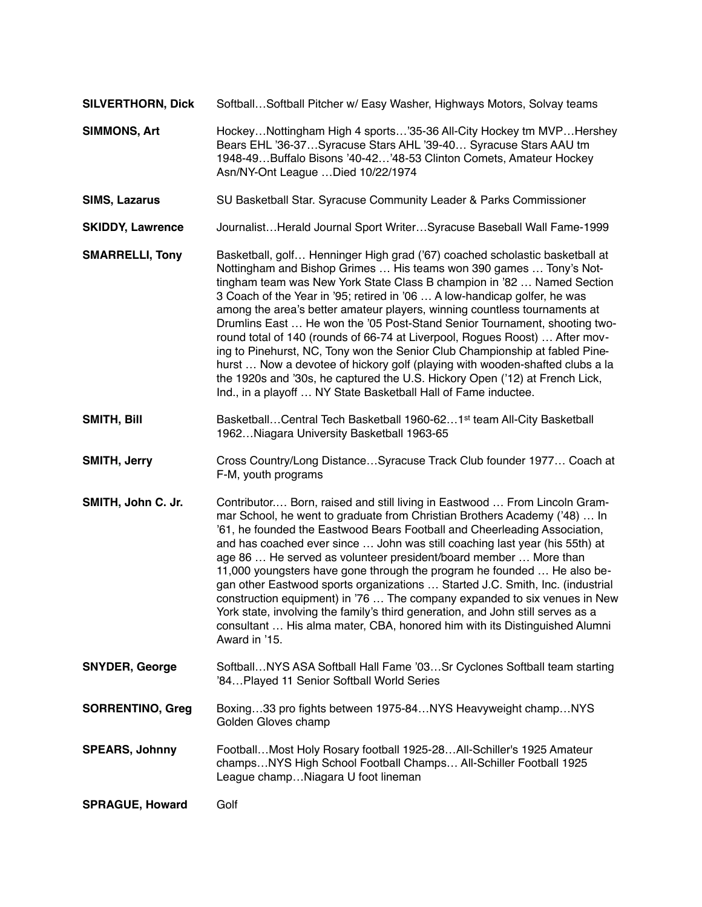- **SILVERTHORN, Dick** Softball…Softball Pitcher w/ Easy Washer, Highways Motors, Solvay teams
- **SIMMONS, Art** Hockey…Nottingham High 4 sports…'35-36 All-City Hockey tm MVP…Hershey Bears EHL '36-37…Syracuse Stars AHL '39-40… Syracuse Stars AAU tm 1948-49…Buffalo Bisons '40-42…'48-53 Clinton Comets, Amateur Hockey Asn/NY-Ont League …Died 10/22/1974
- **SIMS, Lazarus** SU Basketball Star. Syracuse Community Leader & Parks Commissioner
- **SKIDDY, Lawrence** Journalist…Herald Journal Sport Writer…Syracuse Baseball Wall Fame-1999
- **SMARRELLI, Tony** Basketball, golf… Henninger High grad ('67) coached scholastic basketball at Nottingham and Bishop Grimes … His teams won 390 games … Tony's Nottingham team was New York State Class B champion in '82 … Named Section 3 Coach of the Year in '95; retired in '06 … A low-handicap golfer, he was among the area's better amateur players, winning countless tournaments at Drumlins East … He won the '05 Post-Stand Senior Tournament, shooting tworound total of 140 (rounds of 66-74 at Liverpool, Rogues Roost) … After moving to Pinehurst, NC, Tony won the Senior Club Championship at fabled Pinehurst … Now a devotee of hickory golf (playing with wooden-shafted clubs a la the 1920s and '30s, he captured the U.S. Hickory Open ('12) at French Lick, Ind., in a playoff … NY State Basketball Hall of Fame inductee.
- **SMITH, Bill** Basketball…Central Tech Basketball 1960-62...1<sup>st</sup> team All-City Basketball 1962…Niagara University Basketball 1963-65
- **SMITH, Jerry** Cross Country/Long Distance…Syracuse Track Club founder 1977… Coach at F-M, youth programs
- **SMITH, John C. Jr.** Contributor.... Born, raised and still living in Eastwood ... From Lincoln Grammar School, he went to graduate from Christian Brothers Academy ('48) … In '61, he founded the Eastwood Bears Football and Cheerleading Association, and has coached ever since … John was still coaching last year (his 55th) at age 86 … He served as volunteer president/board member … More than 11,000 youngsters have gone through the program he founded … He also began other Eastwood sports organizations … Started J.C. Smith, Inc. (industrial construction equipment) in '76 … The company expanded to six venues in New York state, involving the family's third generation, and John still serves as a consultant … His alma mater, CBA, honored him with its Distinguished Alumni Award in '15.
- **SNYDER, George** Softball…NYS ASA Softball Hall Fame '03…Sr Cyclones Softball team starting '84…Played 11 Senior Softball World Series
- **SORRENTINO, Greg** Boxing…33 pro fights between 1975-84…NYS Heavyweight champ…NYS Golden Gloves champ
- **SPEARS, Johnny** Football…Most Holy Rosary football 1925-28…All-Schiller's 1925 Amateur champs…NYS High School Football Champs… All-Schiller Football 1925 League champ…Niagara U foot lineman

**SPRAGUE, Howard** Golf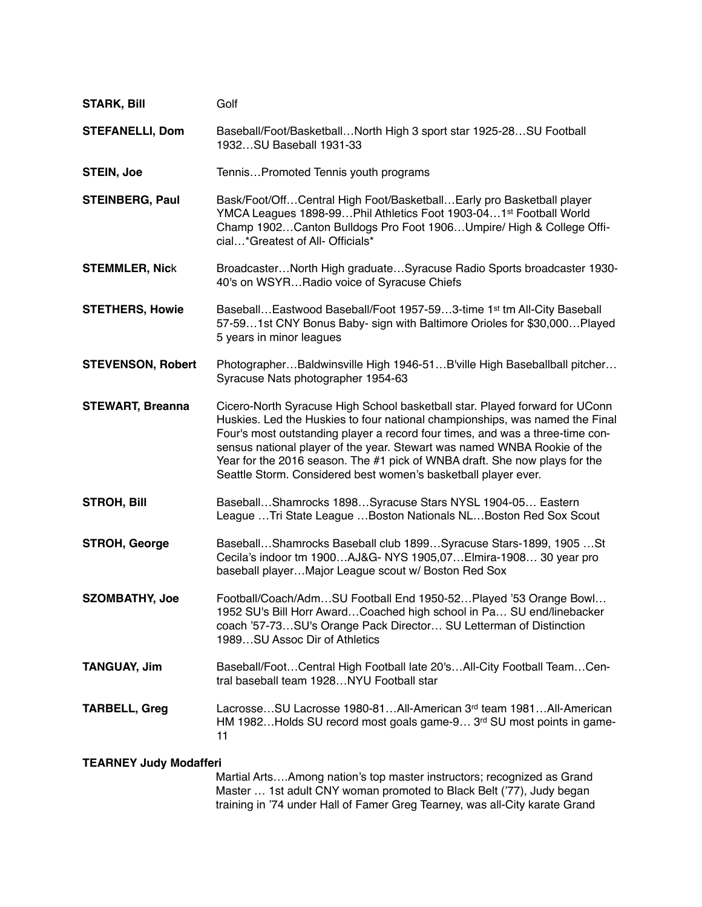| <b>STARK, Bill</b>            | Golf                                                                                                                                                                                                                                                                                                                                                                                                                                                                     |
|-------------------------------|--------------------------------------------------------------------------------------------------------------------------------------------------------------------------------------------------------------------------------------------------------------------------------------------------------------------------------------------------------------------------------------------------------------------------------------------------------------------------|
| <b>STEFANELLI, Dom</b>        | Baseball/Foot/BasketballNorth High 3 sport star 1925-28SU Football<br>1932SU Baseball 1931-33                                                                                                                                                                                                                                                                                                                                                                            |
| <b>STEIN, Joe</b>             | TennisPromoted Tennis youth programs                                                                                                                                                                                                                                                                                                                                                                                                                                     |
| <b>STEINBERG, Paul</b>        | Bask/Foot/OffCentral High Foot/BasketballEarly pro Basketball player<br>YMCA Leagues 1898-99 Phil Athletics Foot 1903-04 1st Football World<br>Champ 1902Canton Bulldogs Pro Foot 1906Umpire/ High & College Offi-<br>cial*Greatest of All- Officials*                                                                                                                                                                                                                   |
| <b>STEMMLER, Nick</b>         | BroadcasterNorth High graduateSyracuse Radio Sports broadcaster 1930-<br>40's on WSYRRadio voice of Syracuse Chiefs                                                                                                                                                                                                                                                                                                                                                      |
| <b>STETHERS, Howie</b>        | Baseball Eastwood Baseball/Foot 1957-593-time 1 <sup>st</sup> tm All-City Baseball<br>57-591st CNY Bonus Baby- sign with Baltimore Orioles for \$30,000Played<br>5 years in minor leagues                                                                                                                                                                                                                                                                                |
| <b>STEVENSON, Robert</b>      | PhotographerBaldwinsville High 1946-51B'ville High Baseballball pitcher<br>Syracuse Nats photographer 1954-63                                                                                                                                                                                                                                                                                                                                                            |
| <b>STEWART, Breanna</b>       | Cicero-North Syracuse High School basketball star. Played forward for UConn<br>Huskies. Led the Huskies to four national championships, was named the Final<br>Four's most outstanding player a record four times, and was a three-time con-<br>sensus national player of the year. Stewart was named WNBA Rookie of the<br>Year for the 2016 season. The #1 pick of WNBA draft. She now plays for the<br>Seattle Storm. Considered best women's basketball player ever. |
| <b>STROH, Bill</b>            | BaseballShamrocks 1898Syracuse Stars NYSL 1904-05 Eastern<br>League  Tri State League  Boston Nationals NL Boston Red Sox Scout                                                                                                                                                                                                                                                                                                                                          |
| <b>STROH, George</b>          | BaseballShamrocks Baseball club 1899Syracuse Stars-1899, 1905St<br>Cecila's indoor tm 1900AJ&G- NYS 1905,07Elmira-1908 30 year pro<br>baseball playerMajor League scout w/ Boston Red Sox                                                                                                                                                                                                                                                                                |
| <b>SZOMBATHY, Joe</b>         | Football/Coach/AdmSU Football End 1950-52Played '53 Orange Bowl<br>1952 SU's Bill Horr Award Coached high school in Pa SU end/linebacker<br>coach '57-73SU's Orange Pack Director SU Letterman of Distinction<br>1989SU Assoc Dir of Athletics                                                                                                                                                                                                                           |
| <b>TANGUAY, Jim</b>           | Baseball/FootCentral High Football late 20'sAll-City Football TeamCen-<br>tral baseball team 1928NYU Football star                                                                                                                                                                                                                                                                                                                                                       |
| <b>TARBELL, Greg</b>          | LacrosseSU Lacrosse 1980-81All-American 3 <sup>rd</sup> team 1981All-American<br>HM 1982Holds SU record most goals game-9 3rd SU most points in game-<br>11                                                                                                                                                                                                                                                                                                              |
| <b>TEARNEY Judy Modafferi</b> | Martial ArtsAmong nation's top master instructors; recognized as Grand                                                                                                                                                                                                                                                                                                                                                                                                   |

 Master … 1st adult CNY woman promoted to Black Belt ('77), Judy began training in '74 under Hall of Famer Greg Tearney, was all-City karate Grand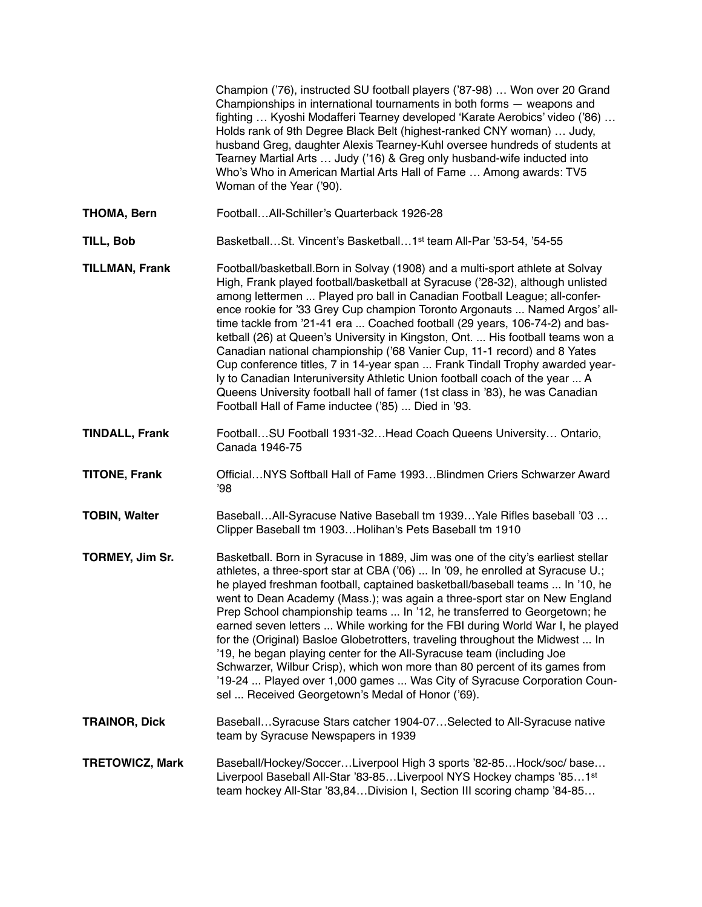|                        | Champion ('76), instructed SU football players ('87-98)  Won over 20 Grand<br>Championships in international tournaments in both forms - weapons and<br>fighting  Kyoshi Modafferi Tearney developed 'Karate Aerobics' video ('86)<br>Holds rank of 9th Degree Black Belt (highest-ranked CNY woman)  Judy,<br>husband Greg, daughter Alexis Tearney-Kuhl oversee hundreds of students at<br>Tearney Martial Arts  Judy ('16) & Greg only husband-wife inducted into<br>Who's Who in American Martial Arts Hall of Fame  Among awards: TV5<br>Woman of the Year ('90).                                                                                                                                                                                                                                                                                                        |
|------------------------|-------------------------------------------------------------------------------------------------------------------------------------------------------------------------------------------------------------------------------------------------------------------------------------------------------------------------------------------------------------------------------------------------------------------------------------------------------------------------------------------------------------------------------------------------------------------------------------------------------------------------------------------------------------------------------------------------------------------------------------------------------------------------------------------------------------------------------------------------------------------------------|
| <b>THOMA, Bern</b>     | FootballAll-Schiller's Quarterback 1926-28                                                                                                                                                                                                                                                                                                                                                                                                                                                                                                                                                                                                                                                                                                                                                                                                                                    |
| TILL, Bob              | BasketballSt. Vincent's Basketball1 <sup>st</sup> team All-Par '53-54, '54-55                                                                                                                                                                                                                                                                                                                                                                                                                                                                                                                                                                                                                                                                                                                                                                                                 |
| <b>TILLMAN, Frank</b>  | Football/basketball. Born in Solvay (1908) and a multi-sport athlete at Solvay<br>High, Frank played football/basketball at Syracuse ('28-32), although unlisted<br>among lettermen  Played pro ball in Canadian Football League; all-confer-<br>ence rookie for '33 Grey Cup champion Toronto Argonauts  Named Argos' all-<br>time tackle from '21-41 era  Coached football (29 years, 106-74-2) and bas-<br>ketball (26) at Queen's University in Kingston, Ont.  His football teams won a<br>Canadian national championship ('68 Vanier Cup, 11-1 record) and 8 Yates<br>Cup conference titles, 7 in 14-year span  Frank Tindall Trophy awarded year-<br>ly to Canadian Interuniversity Athletic Union football coach of the year  A<br>Queens University football hall of famer (1st class in '83), he was Canadian<br>Football Hall of Fame inductee ('85)  Died in '93. |
| <b>TINDALL, Frank</b>  | FootballSU Football 1931-32Head Coach Queens University Ontario,<br>Canada 1946-75                                                                                                                                                                                                                                                                                                                                                                                                                                                                                                                                                                                                                                                                                                                                                                                            |
| <b>TITONE, Frank</b>   | OfficialNYS Softball Hall of Fame 1993Blindmen Criers Schwarzer Award<br>'98                                                                                                                                                                                                                                                                                                                                                                                                                                                                                                                                                                                                                                                                                                                                                                                                  |
| <b>TOBIN, Walter</b>   | BaseballAll-Syracuse Native Baseball tm 1939 Yale Rifles baseball '03<br>Clipper Baseball tm 1903Holihan's Pets Baseball tm 1910                                                                                                                                                                                                                                                                                                                                                                                                                                                                                                                                                                                                                                                                                                                                              |
| TORMEY, Jim Sr.        | Basketball. Born in Syracuse in 1889, Jim was one of the city's earliest stellar<br>athletes, a three-sport star at CBA ('06)  In '09, he enrolled at Syracuse U.;<br>he played freshman football, captained basketball/baseball teams  In '10, he<br>went to Dean Academy (Mass.); was again a three-sport star on New England<br>Prep School championship teams  In '12, he transferred to Georgetown; he<br>earned seven letters  While working for the FBI during World War I, he played<br>for the (Original) Basloe Globetrotters, traveling throughout the Midwest  In<br>'19, he began playing center for the All-Syracuse team (including Joe<br>Schwarzer, Wilbur Crisp), which won more than 80 percent of its games from<br>'19-24  Played over 1,000 games  Was City of Syracuse Corporation Coun-<br>sel  Received Georgetown's Medal of Honor ('69).           |
| <b>TRAINOR, Dick</b>   | BaseballSyracuse Stars catcher 1904-07Selected to All-Syracuse native<br>team by Syracuse Newspapers in 1939                                                                                                                                                                                                                                                                                                                                                                                                                                                                                                                                                                                                                                                                                                                                                                  |
| <b>TRETOWICZ, Mark</b> | Baseball/Hockey/SoccerLiverpool High 3 sports '82-85Hock/soc/ base<br>Liverpool Baseball All-Star '83-85Liverpool NYS Hockey champs '851st<br>team hockey All-Star '83,84Division I, Section III scoring champ '84-85                                                                                                                                                                                                                                                                                                                                                                                                                                                                                                                                                                                                                                                         |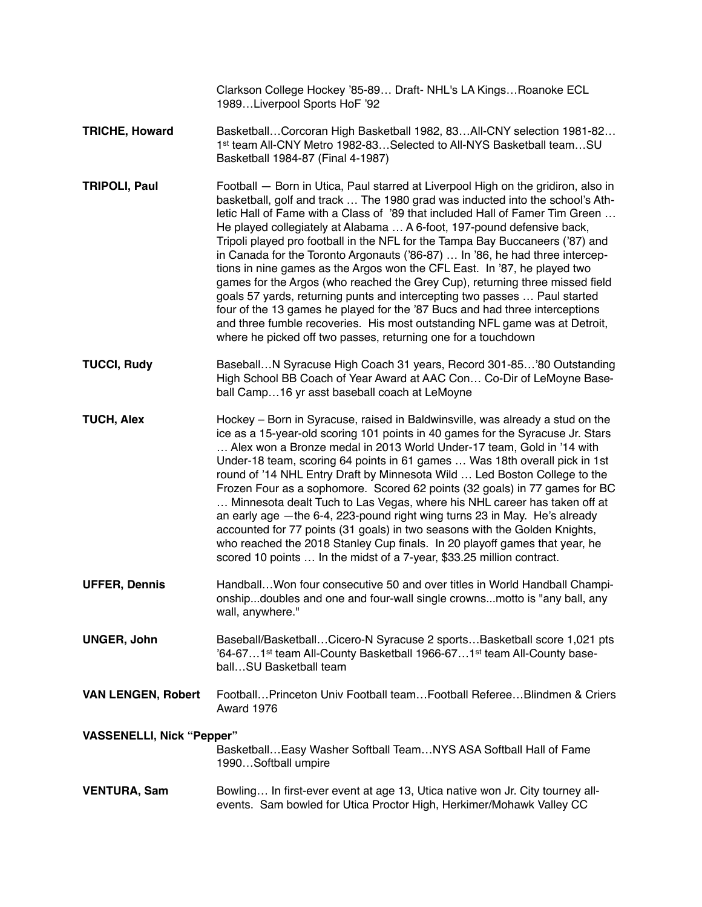|                                  | Clarkson College Hockey '85-89 Draft- NHL's LA Kings Roanoke ECL<br>1989Liverpool Sports HoF '92                                                                                                                                                                                                                                                                                                                                                                                                                                                                                                                                                                                                                                                                                                                                                                                                                                                                     |
|----------------------------------|----------------------------------------------------------------------------------------------------------------------------------------------------------------------------------------------------------------------------------------------------------------------------------------------------------------------------------------------------------------------------------------------------------------------------------------------------------------------------------------------------------------------------------------------------------------------------------------------------------------------------------------------------------------------------------------------------------------------------------------------------------------------------------------------------------------------------------------------------------------------------------------------------------------------------------------------------------------------|
| <b>TRICHE, Howard</b>            | BasketballCorcoran High Basketball 1982, 83All-CNY selection 1981-82<br>1st team All-CNY Metro 1982-83Selected to All-NYS Basketball teamSU<br>Basketball 1984-87 (Final 4-1987)                                                                                                                                                                                                                                                                                                                                                                                                                                                                                                                                                                                                                                                                                                                                                                                     |
| <b>TRIPOLI, Paul</b>             | Football - Born in Utica, Paul starred at Liverpool High on the gridiron, also in<br>basketball, golf and track  The 1980 grad was inducted into the school's Ath-<br>letic Hall of Fame with a Class of '89 that included Hall of Famer Tim Green<br>He played collegiately at Alabama  A 6-foot, 197-pound defensive back,<br>Tripoli played pro football in the NFL for the Tampa Bay Buccaneers ('87) and<br>in Canada for the Toronto Argonauts ('86-87)  In '86, he had three intercep-<br>tions in nine games as the Argos won the CFL East. In '87, he played two<br>games for the Argos (who reached the Grey Cup), returning three missed field<br>goals 57 yards, returning punts and intercepting two passes  Paul started<br>four of the 13 games he played for the '87 Bucs and had three interceptions<br>and three fumble recoveries. His most outstanding NFL game was at Detroit,<br>where he picked off two passes, returning one for a touchdown |
| <b>TUCCI, Rudy</b>               | BaseballN Syracuse High Coach 31 years, Record 301-85'80 Outstanding<br>High School BB Coach of Year Award at AAC Con Co-Dir of LeMoyne Base-<br>ball Camp16 yr asst baseball coach at LeMoyne                                                                                                                                                                                                                                                                                                                                                                                                                                                                                                                                                                                                                                                                                                                                                                       |
| <b>TUCH, Alex</b>                | Hockey - Born in Syracuse, raised in Baldwinsville, was already a stud on the<br>ice as a 15-year-old scoring 101 points in 40 games for the Syracuse Jr. Stars<br>Alex won a Bronze medal in 2013 World Under-17 team, Gold in '14 with<br>Under-18 team, scoring 64 points in 61 games  Was 18th overall pick in 1st<br>round of '14 NHL Entry Draft by Minnesota Wild  Led Boston College to the<br>Frozen Four as a sophomore. Scored 62 points (32 goals) in 77 games for BC<br>Minnesota dealt Tuch to Las Vegas, where his NHL career has taken off at<br>an early age - the 6-4, 223-pound right wing turns 23 in May. He's already<br>accounted for 77 points (31 goals) in two seasons with the Golden Knights,<br>who reached the 2018 Stanley Cup finals. In 20 playoff games that year, he<br>scored 10 points  In the midst of a 7-year, \$33.25 million contract.                                                                                     |
| <b>UFFER, Dennis</b>             | Handball Won four consecutive 50 and over titles in World Handball Champi-<br>onshipdoubles and one and four-wall single crownsmotto is "any ball, any<br>wall, anywhere."                                                                                                                                                                                                                                                                                                                                                                                                                                                                                                                                                                                                                                                                                                                                                                                           |
| <b>UNGER, John</b>               | Baseball/BasketballCicero-N Syracuse 2 sportsBasketball score 1,021 pts<br>'64-671 <sup>st</sup> team All-County Basketball 1966-671 <sup>st</sup> team All-County base-<br>ballSU Basketball team                                                                                                                                                                                                                                                                                                                                                                                                                                                                                                                                                                                                                                                                                                                                                                   |
| <b>VAN LENGEN, Robert</b>        | FootballPrinceton Univ Football teamFootball RefereeBlindmen & Criers<br>Award 1976                                                                                                                                                                                                                                                                                                                                                                                                                                                                                                                                                                                                                                                                                                                                                                                                                                                                                  |
| <b>VASSENELLI, Nick "Pepper"</b> | Basketball Easy Washer Softball Team NYS ASA Softball Hall of Fame<br>1990Softball umpire                                                                                                                                                                                                                                                                                                                                                                                                                                                                                                                                                                                                                                                                                                                                                                                                                                                                            |
| <b>VENTURA, Sam</b>              | Bowling In first-ever event at age 13, Utica native won Jr. City tourney all-<br>events. Sam bowled for Utica Proctor High, Herkimer/Mohawk Valley CC                                                                                                                                                                                                                                                                                                                                                                                                                                                                                                                                                                                                                                                                                                                                                                                                                |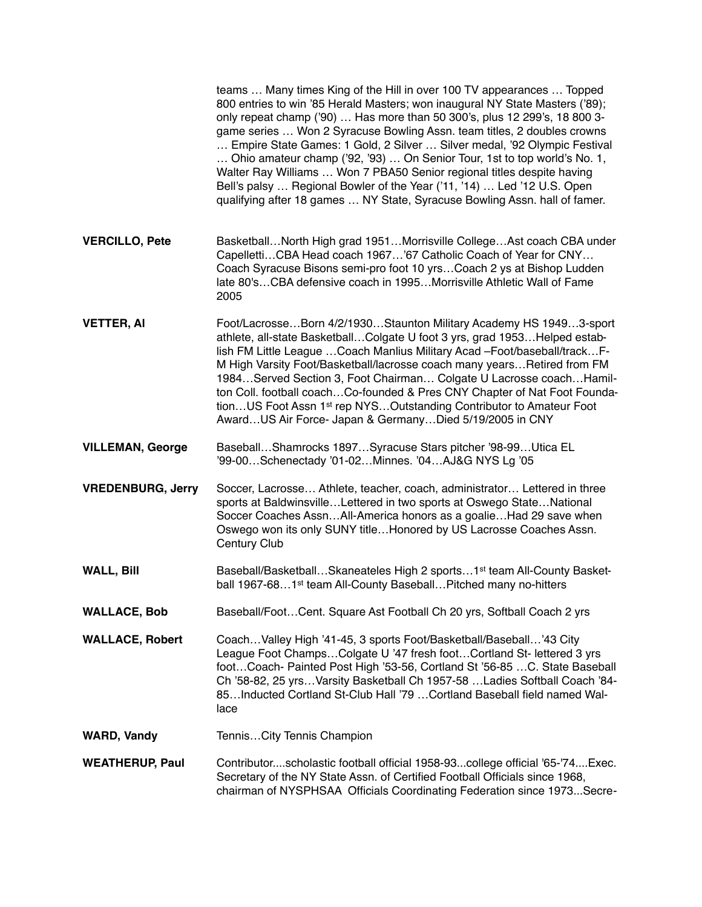|                          | teams  Many times King of the Hill in over 100 TV appearances  Topped<br>800 entries to win '85 Herald Masters; won inaugural NY State Masters ('89);<br>only repeat champ ('90)  Has more than 50 300's, plus 12 299's, 18 800 3-<br>game series  Won 2 Syracuse Bowling Assn. team titles, 2 doubles crowns<br>Empire State Games: 1 Gold, 2 Silver  Silver medal, '92 Olympic Festival<br>Ohio amateur champ ('92, '93)  On Senior Tour, 1st to top world's No. 1,<br>Walter Ray Williams  Won 7 PBA50 Senior regional titles despite having<br>Bell's palsy  Regional Bowler of the Year ('11, '14)  Led '12 U.S. Open<br>qualifying after 18 games  NY State, Syracuse Bowling Assn. hall of famer. |
|--------------------------|----------------------------------------------------------------------------------------------------------------------------------------------------------------------------------------------------------------------------------------------------------------------------------------------------------------------------------------------------------------------------------------------------------------------------------------------------------------------------------------------------------------------------------------------------------------------------------------------------------------------------------------------------------------------------------------------------------|
| <b>VERCILLO, Pete</b>    | BasketballNorth High grad 1951Morrisville CollegeAst coach CBA under<br>CapellettiCBA Head coach 1967'67 Catholic Coach of Year for CNY<br>Coach Syracuse Bisons semi-pro foot 10 yrsCoach 2 ys at Bishop Ludden<br>late 80'sCBA defensive coach in 1995Morrisville Athletic Wall of Fame<br>2005                                                                                                                                                                                                                                                                                                                                                                                                        |
| <b>VETTER, AI</b>        | Foot/LacrosseBorn 4/2/1930Staunton Military Academy HS 19493-sport<br>athlete, all-state Basketball Colgate U foot 3 yrs, grad 1953 Helped estab-<br>lish FM Little League  Coach Manlius Military Acad -Foot/baseball/track F-<br>M High Varsity Foot/Basketball/lacrosse coach many years Retired from FM<br>1984Served Section 3, Foot Chairman Colgate U Lacrosse coachHamil-<br>ton Coll. football coachCo-founded & Pres CNY Chapter of Nat Foot Founda-<br>tionUS Foot Assn 1 <sup>st</sup> rep NYSOutstanding Contributor to Amateur Foot<br>AwardUS Air Force- Japan & GermanyDied 5/19/2005 in CNY                                                                                             |
| <b>VILLEMAN, George</b>  | BaseballShamrocks 1897Syracuse Stars pitcher '98-99Utica EL<br>'99-00Schenectady '01-02Minnes. '04AJ&G NYS Lg '05                                                                                                                                                                                                                                                                                                                                                                                                                                                                                                                                                                                        |
| <b>VREDENBURG, Jerry</b> | Soccer, Lacrosse Athlete, teacher, coach, administrator Lettered in three<br>sports at BaldwinsvilleLettered in two sports at Oswego StateNational<br>Soccer Coaches AssnAll-America honors as a goalieHad 29 save when<br>Oswego won its only SUNY titleHonored by US Lacrosse Coaches Assn.<br>Century Club                                                                                                                                                                                                                                                                                                                                                                                            |
| <b>WALL, Bill</b>        | Baseball/BasketballSkaneateles High 2 sports1 <sup>st</sup> team All-County Basket-<br>ball 1967-681 <sup>st</sup> team All-County BaseballPitched many no-hitters                                                                                                                                                                                                                                                                                                                                                                                                                                                                                                                                       |
| <b>WALLACE, Bob</b>      | Baseball/FootCent. Square Ast Football Ch 20 yrs, Softball Coach 2 yrs                                                                                                                                                                                                                                                                                                                                                                                                                                                                                                                                                                                                                                   |
| <b>WALLACE, Robert</b>   | CoachValley High '41-45, 3 sports Foot/Basketball/Baseball'43 City<br>League Foot ChampsColgate U '47 fresh footCortland St- lettered 3 yrs<br>footCoach- Painted Post High '53-56, Cortland St '56-85 C. State Baseball<br>Ch '58-82, 25 yrsVarsity Basketball Ch 1957-58 Ladies Softball Coach '84-<br>85Inducted Cortland St-Club Hall '79 Cortland Baseball field named Wal-<br>lace                                                                                                                                                                                                                                                                                                                 |
| <b>WARD, Vandy</b>       | TennisCity Tennis Champion                                                                                                                                                                                                                                                                                                                                                                                                                                                                                                                                                                                                                                                                               |
| <b>WEATHERUP, Paul</b>   | Contributorscholastic football official 1958-93college official '65-'74Exec.<br>Secretary of the NY State Assn. of Certified Football Officials since 1968,<br>chairman of NYSPHSAA Officials Coordinating Federation since 1973Secre-                                                                                                                                                                                                                                                                                                                                                                                                                                                                   |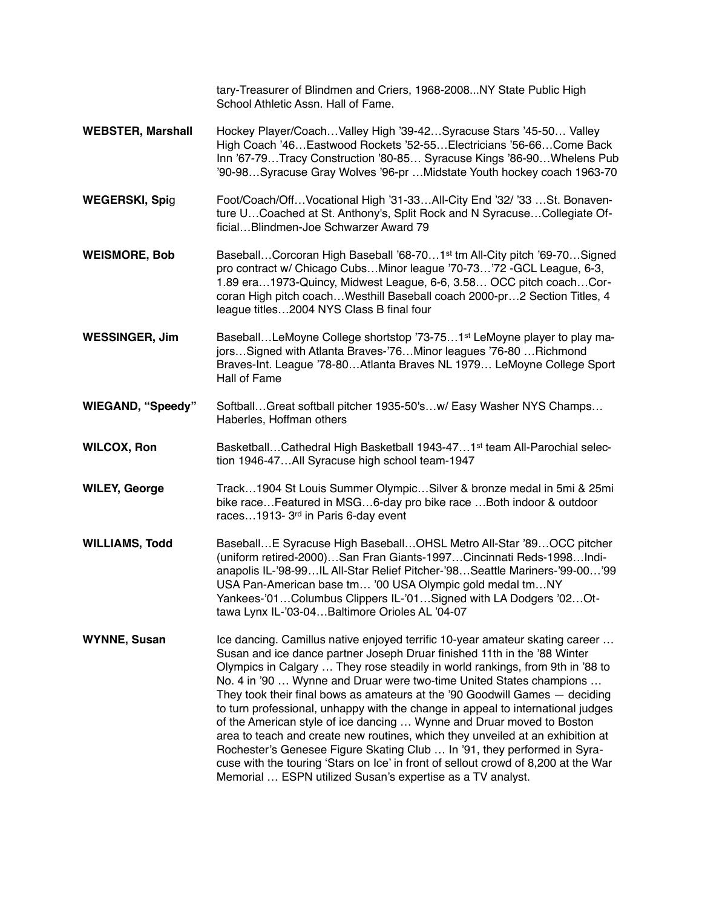tary-Treasurer of Blindmen and Criers, 1968-2008...NY State Public High School Athletic Assn. Hall of Fame.

- **WEBSTER, Marshall** Hockey Player/Coach…Valley High '39-42…Syracuse Stars '45-50… Valley High Coach '46…Eastwood Rockets '52-55…Electricians '56-66…Come Back Inn '67-79…Tracy Construction '80-85… Syracuse Kings '86-90…Whelens Pub '90-98…Syracuse Gray Wolves '96-pr …Midstate Youth hockey coach 1963-70
- **WEGERSKI, Spi**g Foot/Coach/Off…Vocational High '31-33…All-City End '32/ '33 …St. Bonaventure U…Coached at St. Anthony's, Split Rock and N Syracuse…Collegiate Official…Blindmen-Joe Schwarzer Award 79
- **WEISMORE, Bob** Baseball…Corcoran High Baseball '68-70…1st tm All-City pitch '69-70…Signed pro contract w/ Chicago Cubs…Minor league '70-73…'72 -GCL League, 6-3, 1.89 era…1973-Quincy, Midwest League, 6-6, 3.58… OCC pitch coach…Corcoran High pitch coach…Westhill Baseball coach 2000-pr…2 Section Titles, 4 league titles…2004 NYS Class B final four
- **WESSINGER, Jim** Baseball...LeMoyne College shortstop '73-75...1<sup>st</sup> LeMoyne player to play majors…Signed with Atlanta Braves-'76…Minor leagues '76-80 …Richmond Braves-Int. League '78-80…Atlanta Braves NL 1979… LeMoyne College Sport Hall of Fame
- **WIEGAND, "Speedy"** Softball…Great softball pitcher 1935-50's…w/ Easy Washer NYS Champs… Haberles, Hoffman others
- **WILCOX, Ron** Basketball…Cathedral High Basketball 1943-47…1<sup>st</sup> team All-Parochial selection 1946-47…All Syracuse high school team-1947
- **WILEY, George** Track…1904 St Louis Summer Olympic…Silver & bronze medal in 5mi & 25mi bike race…Featured in MSG…6-day pro bike race …Both indoor & outdoor races…1913- 3rd in Paris 6-day event
- **WILLIAMS, Todd** Baseball…E Syracuse High Baseball…OHSL Metro All-Star '89…OCC pitcher (uniform retired-2000)…San Fran Giants-1997…Cincinnati Reds-1998…Indianapolis IL-'98-99…IL All-Star Relief Pitcher-'98…Seattle Mariners-'99-00…'99 USA Pan-American base tm… '00 USA Olympic gold medal tm…NY Yankees-'01…Columbus Clippers IL-'01…Signed with LA Dodgers '02…Ottawa Lynx IL-'03-04…Baltimore Orioles AL '04-07
- **WYNNE, Susan** Ice dancing. Camillus native enjoyed terrific 10-year amateur skating career ... Susan and ice dance partner Joseph Druar finished 11th in the '88 Winter Olympics in Calgary … They rose steadily in world rankings, from 9th in '88 to No. 4 in '90 … Wynne and Druar were two-time United States champions … They took their final bows as amateurs at the '90 Goodwill Games — deciding to turn professional, unhappy with the change in appeal to international judges of the American style of ice dancing … Wynne and Druar moved to Boston area to teach and create new routines, which they unveiled at an exhibition at Rochester's Genesee Figure Skating Club … In '91, they performed in Syracuse with the touring 'Stars on Ice' in front of sellout crowd of 8,200 at the War Memorial … ESPN utilized Susan's expertise as a TV analyst.